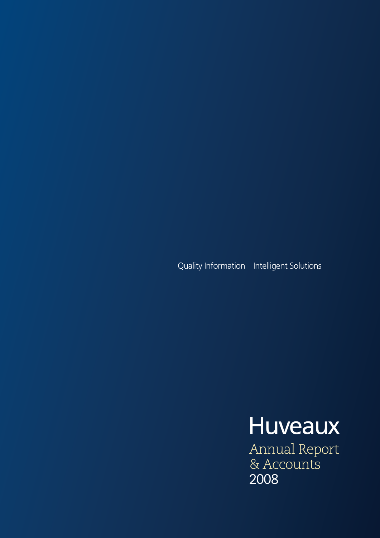Quality Information | Intelligent Solutions

# **Huveaux**

Annual Report & Accounts 2008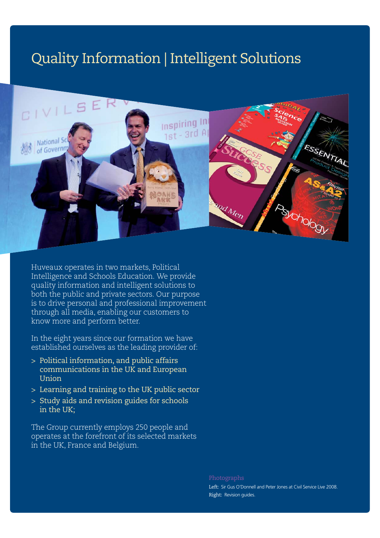# Quality Information | Intelligent Solutions



Huveaux operates in two markets, Political Intelligence and Schools Education. We provide quality information and intelligent solutions to both the public and private sectors. Our purpose is to drive personal and professional improvement through all media, enabling our customers to know more and perform better.

In the eight years since our formation we have established ourselves as the leading provider of:

- > Political information, and public affairs communications in the UK and European Union
- > Learning and training to the UK public sector
- > Study aids and revision guides for schools in the UK;

The Group currently employs 250 people and operates at the forefront of its selected markets in the UK, France and Belgium.

> Left: Sir Gus O'Donnell and Peter Jones at Civil Service Live 2008. Right: Revision guides.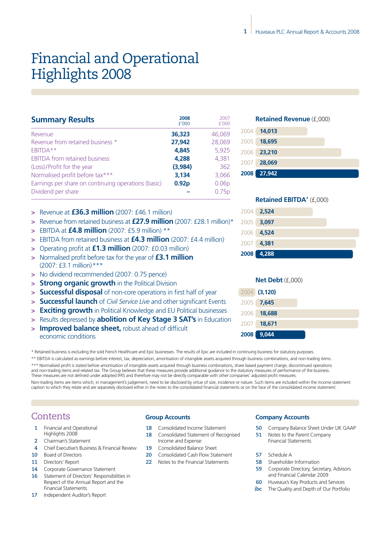### Financial and Operational Highlights 2008

| <b>Summary Results</b>                              | 2008<br>£'000     | 2007<br>f'000 |
|-----------------------------------------------------|-------------------|---------------|
| Revenue                                             | 36,323            | 46,069        |
| Revenue from retained business *                    | 27,942            | 28,069        |
| EBITDA**                                            | 4,845             | 5,925         |
| <b>EBITDA</b> from retained business                | 4,288             | 4,381         |
| (Loss)/Profit for the year                          | (3,984)           | 362           |
| Normalised profit before tax***                     | 3,134             | 3,066         |
| Earnings per share on continuing operations (basic) | 0.92 <sub>p</sub> | 0.06p         |
| Dividend per share                                  |                   | 0.75p         |

**>** Revenue at **£36.3 million** (2007: £46.1 million)

- **>** Revenue from retained business at **£27.9 million** (2007: £28.1 million)\*
- **>** EBITDA at **£4.8 million** (2007: £5.9 million) \*\*
- **>** EBITDA from retained business at **£4.3 million** (2007: £4.4 million)
- **>** Operating profit at **£1.3 million** (2007: £0.03 million)
- **>** Normalised profit before tax for the year of **£3.1 million** (2007: £3.1 million) \*\*\*
- **>** No dividend recommended (2007: 0.75 pence)
- **> Strong organic growth** in the Political Division
- **> Successful disposal** of non-core operations in first half of year
- **> Successful launch** of *Civil Service Live* and other significant Events
- **> Exciting growth** in Political Knowledge and EU Political businesses
- **>** Results depressed by **abolition of Key Stage 3 SAT's** in Education
- **Improved balance sheet, robust ahead of difficult** economic conditions

| <b>Retained Revenue (£,000)</b> |  |
|---------------------------------|--|
| 2004 <b>14,013</b>              |  |
| 2005 18,695                     |  |
| 2006 23,210                     |  |
| 2007 28,069                     |  |
| 2008 27,942                     |  |

#### **Retained EBITDA\*** (£,000)

| 2004 2,524<br>2005 3,097<br>2006 4,524<br>2007 4,381 | 2008 4,288 |  |  |
|------------------------------------------------------|------------|--|--|
|                                                      |            |  |  |
|                                                      |            |  |  |
|                                                      |            |  |  |
|                                                      |            |  |  |

### **Net Debt** (£,000)

| 2004 (3,120)       |
|--------------------|
| 2005 7,645         |
| 2006 18,688        |
| 2007 <b>18,671</b> |
| 2008 9,044         |

\* Retained business is excluding the sold French Healthcare and Epic businesses. The results of Epic are included in continuing business for statutory purposes.

\*\* EBITDA is calculated as earnings before interest, tax, depreciation, amortisation of intangible assets acquired through business combinations, and non-trading items.

\*\*\* Normalised profit is stated before amortisation of intangible assets acquired through business combinations, share based payment charge, discontinued operations and non-trading items and related tax. The Group believes that these measures provide additional guidance to the statutory measures of performance of the business. These measures are not defined under adopted IFRS and therefore may not be directly comparable with other companies' adjusted profit measures.

Non-trading items are items which, in management's judgement, need to be disclosed by virtue of size, incidence or nature. Such items are included within the income statement caption to which they relate and are separately disclosed either in the notes to the consolidated financial statements or on the face of the consolidated income statement.

### Contents **Group Accounts**

- **1** Financial and Operational
- Highlights 2008 **2** Chairman's Statement
- 
- **4** Chief Executive's Business & Financial Review
- **10** Board of Directors
- **11** Directors' Report
- **14** Corporate Governance Statement
- **16** Statement of Directors' Responsibilities in Respect of the Annual Report and the Financial Statements
- **17** Independent Auditor's Report

- **18** Consolidated Income Statement
- **18** Consolidated Statement of Recognised
- Income and Expense **19** Consolidated Balance Sheet
- 
- **20** Consolidated Cash Flow Statement 22 Notes to the Financial Statements
- 

#### **Company Accounts**

- **50** Company Balance Sheet Under UK GAAP
- **51** Notes to the Parent Company Financial Statements
- **57** Schedule A
- **58** Shareholder Information
- **59** Corporate Directory, Secretary, Advisors and Financial Calendar 2009
- **60** Huveaux's Key Products and Services
- **ibc** The Quality and Depth of Our Portfolio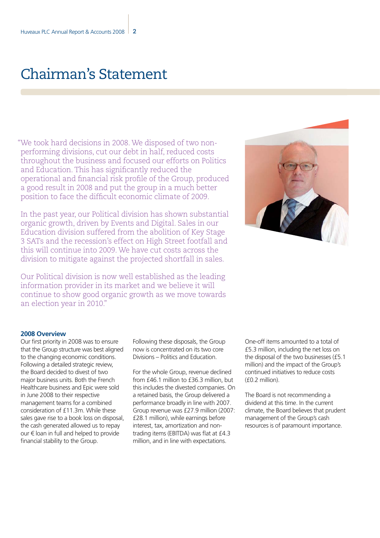### Chairman's Statement

"We took hard decisions in 2008. We disposed of two nonperforming divisions, cut our debt in half, reduced costs throughout the business and focused our efforts on Politics and Education. This has significantly reduced the operational and financial risk profile of the Group, produced a good result in 2008 and put the group in a much better position to face the difficult economic climate of 2009.

In the past year, our Political division has shown substantial organic growth, driven by Events and Digital. Sales in our Education division suffered from the abolition of Key Stage 3 SATs and the recession's effect on High Street footfall and this will continue into 2009. We have cut costs across the division to mitigate against the projected shortfall in sales.

Our Political division is now well established as the leading information provider in its market and we believe it will continue to show good organic growth as we move towards an election year in 2010."



#### **2008 Overview**

Our first priority in 2008 was to ensure that the Group structure was best aligned to the changing economic conditions. Following a detailed strategic review, the Board decided to divest of two major business units. Both the French Healthcare business and Epic were sold in June 2008 to their respective management teams for a combined consideration of £11.3m. While these sales gave rise to a book loss on disposal, the cash generated allowed us to repay our € loan in full and helped to provide financial stability to the Group.

Following these disposals, the Group now is concentrated on its two core Divisions – Politics and Education.

For the whole Group, revenue declined from £46.1 million to £36.3 million, but this includes the divested companies. On a retained basis, the Group delivered a performance broadly in line with 2007. Group revenue was £27.9 million (2007: £28.1 million), while earnings before interest, tax, amortization and nontrading items (EBITDA) was flat at £4.3 million, and in line with expectations.

One-off items amounted to a total of £5.3 million, including the net loss on the disposal of the two businesses (£5.1 million) and the impact of the Group's continued initiatives to reduce costs (£0.2 million).

The Board is not recommending a dividend at this time. In the current climate, the Board believes that prudent management of the Group's cash resources is of paramount importance.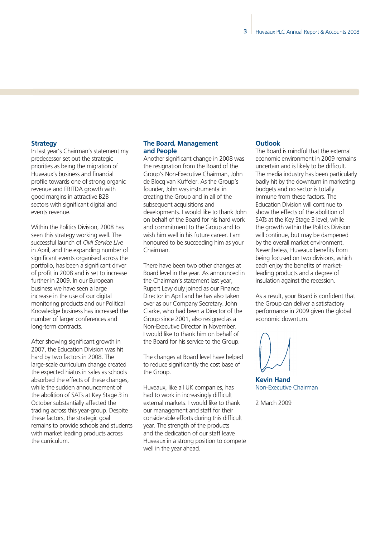#### **Strategy**

In last year's Chairman's statement my predecessor set out the strategic priorities as being the migration of Huveaux's business and financial profile towards one of strong organic revenue and EBITDA growth with good margins in attractive B2B sectors with significant digital and events revenue.

Within the Politics Division, 2008 has seen this strategy working well. The successful launch of *Civil Service Live* in April, and the expanding number of significant events organised across the portfolio, has been a significant driver of profit in 2008 and is set to increase further in 2009. In our European business we have seen a large increase in the use of our digital monitoring products and our Political Knowledge business has increased the number of larger conferences and long-term contracts.

After showing significant growth in 2007, the Education Division was hit hard by two factors in 2008. The large-scale curriculum change created the expected hiatus in sales as schools absorbed the effects of these changes, while the sudden announcement of the abolition of SATs at Key Stage 3 in October substantially affected the trading across this year-group. Despite these factors, the strategic goal remains to provide schools and students with market leading products across the curriculum.

#### **The Board, Management and People**

Another significant change in 2008 was the resignation from the Board of the Group's Non-Executive Chairman, John de Blocq van Kuffeler. As the Group's founder, John was instrumental in creating the Group and in all of the subsequent acquisitions and developments. I would like to thank John on behalf of the Board for his hard work and commitment to the Group and to wish him well in his future career. I am honoured to be succeeding him as your Chairman.

There have been two other changes at Board level in the year. As announced in the Chairman's statement last year, Rupert Levy duly joined as our Finance Director in April and he has also taken over as our Company Secretary. John Clarke, who had been a Director of the Group since 2001, also resigned as a Non-Executive Director in November. I would like to thank him on behalf of the Board for his service to the Group.

The changes at Board level have helped to reduce significantly the cost base of the Group.

Huveaux, like all UK companies, has had to work in increasingly difficult external markets. I would like to thank our management and staff for their considerable efforts during this difficult year. The strength of the products and the dedication of our staff leave Huveaux in a strong position to compete well in the year ahead.

#### **Outlook**

The Board is mindful that the external economic environment in 2009 remains uncertain and is likely to be difficult. The media industry has been particularly badly hit by the downturn in marketing budgets and no sector is totally immune from these factors. The Education Division will continue to show the effects of the abolition of SATs at the Key Stage 3 level, while the growth within the Politics Division will continue, but may be dampened by the overall market environment. Nevertheless, Huveaux benefits from being focused on two divisions, which each enjoy the benefits of marketleading products and a degree of insulation against the recession.

As a result, your Board is confident that the Group can deliver a satisfactory performance in 2009 given the global economic downturn.

**Kevin Hand** Non-Executive Chairman

2 March 2009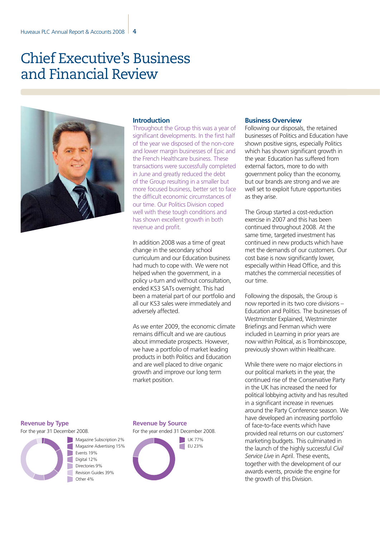### Chief Executive's Business and Financial Review



#### **Introduction**

Throughout the Group this was a year of significant developments. In the first half of the year we disposed of the non-core and lower margin businesses of Epic and the French Healthcare business. These transactions were successfully completed in June and greatly reduced the debt of the Group resulting in a smaller but more focused business, better set to face the difficult economic circumstances of our time. Our Politics Division coped well with these tough conditions and has shown excellent growth in both revenue and profit.

In addition 2008 was a time of great change in the secondary school curriculum and our Education business had much to cope with. We were not helped when the government, in a policy u-turn and without consultation, ended KS3 SATs overnight. This had been a material part of our portfolio and all our KS3 sales were immediately and adversely affected.

As we enter 2009, the economic climate remains difficult and we are cautious about immediate prospects. However, we have a portfolio of market leading products in both Politics and Education and are well placed to drive organic growth and improve our long term market position.

#### **Business Overview**

Following our disposals, the retained businesses of Politics and Education have shown positive signs, especially Politics which has shown significant growth in the year. Education has suffered from external factors, more to do with government policy than the economy, but our brands are strong and we are well set to exploit future opportunities as they arise.

The Group started a cost-reduction exercise in 2007 and this has been continued throughout 2008. At the same time, targeted investment has continued in new products which have met the demands of our customers. Our cost base is now significantly lower, especially within Head Office, and this matches the commercial necessities of our time.

Following the disposals, the Group is now reported in its two core divisions – Education and Politics. The businesses of Westminster Explained, Westminster Briefings and Fenman which were included in Learning in prior years are now within Political, as is Trombinoscope, previously shown within Healthcare.

While there were no major elections in our political markets in the year, the continued rise of the Conservative Party in the UK has increased the need for political lobbying activity and has resulted in a significant increase in revenues around the Party Conference season. We have developed an increasing portfolio of face-to-face events which have provided real returns on our customers' marketing budgets. This culminated in the launch of the highly successful *Civil Service Live* in April. These events, together with the development of our awards events, provide the engine for the growth of this Division.

#### **Revenue by Type** For the year 31 December 2008.



Magazine Subscription 2% Magazine Advertising 15% Events 19% Digital 12% Directories 9% Revision Guides 39% Other 4%

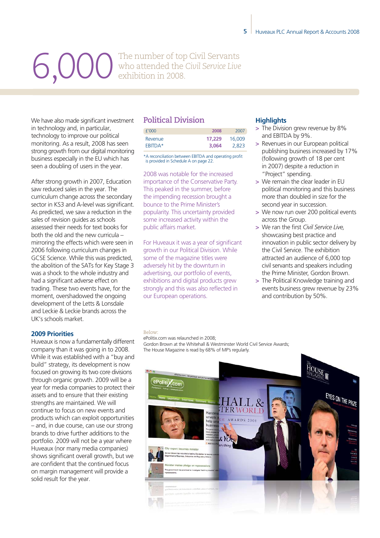6,000 The number of top Civil Servants<br>exhibition in 2008. who attended the *Civil Service Live* exhibition in 2008.

We have also made significant investment in technology and, in particular, technology to improve our political monitoring. As a result, 2008 has seen strong growth from our digital monitoring business especially in the EU which has seen a doubling of users in the year.

After strong growth in 2007, Education saw reduced sales in the year. The curriculum change across the secondary sector in KS3 and A-level was significant. As predicted, we saw a reduction in the sales of revision guides as schools assessed their needs for text books for both the old and the new curricula – mirroring the effects which were seen in 2006 following curriculum changes in GCSE Science. While this was predicted, the abolition of the SATs for Key Stage 3 was a shock to the whole industry and had a significant adverse effect on trading. These two events have, for the moment, overshadowed the ongoing development of the Letts & Lonsdale and Leckie & Leckie brands across the UK's schools market.

### **2009 Priorities**

Huveaux is now a fundamentally different company than it was going in to 2008. While it was established with a "buy and build" strategy, its development is now focused on growing its two core divisions through organic growth. 2009 will be a year for media companies to protect their assets and to ensure that their existing strengths are maintained. We will continue to focus on new events and products which can exploit opportunities – and, in due course, can use our strong brands to drive further additions to the portfolio. 2009 will not be a year where Huveaux (nor many media companies) shows significant overall growth, but we are confident that the continued focus on margin management will provide a solid result for the year.

### **Political Division**

| f'000   | 2008   | 2007   |
|---------|--------|--------|
| Revenue | 17.229 | 16,009 |
| FRITDA* | 3.064  | 2.823  |
|         |        |        |

\*A reconciliation between EBITDA and operating profit is provided in Schedule A on page 22.

2008 was notable for the increased importance of the Conservative Party. This peaked in the summer, before the impending recession brought a bounce to the Prime Minister's popularity. This uncertainty provided some increased activity within the public affairs market.

For Huveaux it was a year of significant growth in our Political Division. While some of the magazine titles were adversely hit by the downturn in advertising, our portfolio of events, exhibitions and digital products grew strongly and this was also reflected in our European operations.

#### **Highlights**

- **>** The Division grew revenue by 8% and EBITDA by 9%.
- **>** Revenues in our European political publishing business increased by 17% (following growth of 18 per cent in 2007) despite a reduction in "Project" spending.
- **>** We remain the clear leader in EU political monitoring and this business more than doubled in size for the second year in succession.
- **>** We now run over 200 political events across the Group.
- **>** We ran the first *Civil Service Live,* showcasing best practice and innovation in public sector delivery by the Civil Service. The exhibition attracted an audience of 6,000 top civil servants and speakers including the Prime Minister, Gordon Brown.
- **>** The Political Knowledge training and events business grew revenue by 23% and contribution by 50%.

#### Below:

ePolitix.com was relaunched in 2008; Gordon Brown at the Whitehall & Westminster World Civil Service Awards; The House Magazine is read by 68% of MP's regularly.

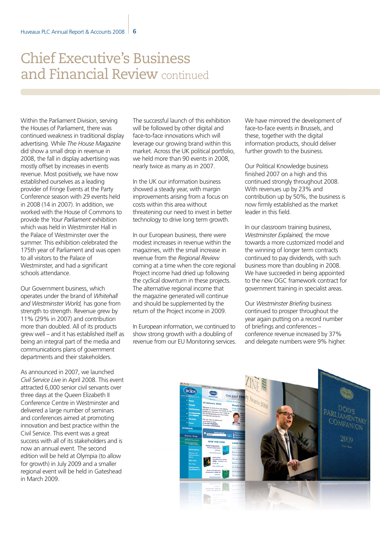# Chief Executive's Business and Financial Review continued

Within the Parliament Division, serving the Houses of Parliament, there was continued weakness in traditional display advertising. While *The House Magazine* did show a small drop in revenue in 2008, the fall in display advertising was mostly offset by increases in events revenue. Most positively, we have now established ourselves as a leading provider of Fringe Events at the Party Conference season with 29 events held in 2008 (14 in 2007). In addition, we worked with the House of Commons to provide the *Your Parliament* exhibition which was held in Westminster Hall in the Palace of Westminster over the summer. This exhibition celebrated the 175th year of Parliament and was open to all visitors to the Palace of Westminster, and had a significant schools attendance.

Our Government business, which operates under the brand of *Whitehall and Westminster World,* has gone from strength to strength. Revenue grew by 11% (29% in 2007) and contribution more than doubled. All of its products grew well – and it has established itself as being an integral part of the media and communications plans of government departments and their stakeholders.

As announced in 2007, we launched *Civil Service Live* in April 2008. This event attracted 6,000 senior civil servants over three days at the Queen Elizabeth II Conference Centre in Westminster and delivered a large number of seminars and conferences aimed at promoting innovation and best practice within the Civil Service. This event was a great success with all of its stakeholders and is now an annual event. The second edition will be held at Olympia (to allow for growth) in July 2009 and a smaller regional event will be held in Gateshead in March 2009.

The successful launch of this exhibition will be followed by other digital and face-to-face innovations which will leverage our growing brand within this market. Across the UK political portfolio, we held more than 90 events in 2008, nearly twice as many as in 2007.

In the UK our information business showed a steady year, with margin improvements arising from a focus on costs within this area without threatening our need to invest in better technology to drive long term growth.

In our European business, there were modest increases in revenue within the magazines, with the small increase in revenue from the *Regional Review* coming at a time when the core regional Project income had dried up following the cyclical downturn in these projects. The alternative regional income that the magazine generated will continue and should be supplemented by the return of the Project income in 2009.

In European information, we continued to show strong growth with a doubling of revenue from our EU Monitoring services. We have mirrored the development of face-to-face events in Brussels, and these, together with the digital information products, should deliver further growth to the business.

Our Political Knowledge business finished 2007 on a high and this continued strongly throughout 2008. With revenues up by 23% and contribution up by 50%, the business is now firmly established as the market leader in this field.

In our classroom training business, *Westminster Explained,* the move towards a more customized model and the winning of longer term contracts continued to pay dividends, with such business more than doubling in 2008. We have succeeded in being appointed to the new OGC framework contract for government training in specialist areas.

Our *Westminster Briefing* business continued to prosper throughout the year again putting on a record number of briefings and conferences – conference revenue increased by 37% and delegate numbers were 9% higher.

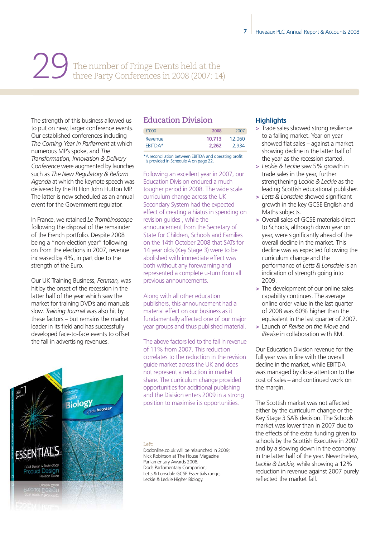# 29 The number of Fringe Events held at the three Party Conferences in 2008 (2007: 14 three Party Conferences in 2008 (2007: 14)

The strength of this business allowed us to put on new, larger conference events. Our established conferences including *The Coming Year in Parliament* at which numerous MP's spoke, and *The Transformation, Innovation & Delivery Conference* were augmented by launches such as *The New Regulatory & Reform Agenda* at which the keynote speech was delivered by the Rt Hon John Hutton MP. The latter is now scheduled as an annual event for the Government regulator.

In France, we retained *Le Trombinoscope* following the disposal of the remainder of the French portfolio. Despite 2008 being a "non-election year" following on from the elections in 2007, revenue increased by 4%, in part due to the strength of the Euro.

Our UK Training Business, *Fenman,* was hit by the onset of the recession in the latter half of the year which saw the market for training DVD's and manuals slow. *Training Journal* was also hit by these factors – but remains the market leader in its field and has successfully developed face-to-face events to offset the fall in advertising revenues.



### **Education Division**

| 2008   | 2007   |
|--------|--------|
| 10,713 | 12.060 |
| 2.262  | 2.934  |
|        |        |

\*A reconciliation between EBITDA and operating profit is provided in Schedule A on page 22.

Following an excellent year in 2007, our Education Division endured a much tougher period in 2008. The wide scale curriculum change across the UK Secondary System had the expected effect of creating a hiatus in spending on revision guides , while the announcement from the Secretary of State for Children, Schools and Families on the 14th October 2008 that SATs for 14 year olds (Key Stage 3) were to be abolished with immediate effect was both without any forewarning and represented a complete u-turn from all previous announcements.

Along with all other education publishers, this announcement had a material effect on our business as it fundamentally affected one of our major year groups and thus published material.

The above factors led to the fall in revenue of 11% from 2007. This reduction correlates to the reduction in the revision guide market across the UK and does not represent a reduction in market share. The curriculum change provided opportunities for additional publishing and the Division enters 2009 in a strong position to maximise its opportunities.

Left:

Dodonline.co.uk will be relaunched in 2009; Nick Robinson at The House Magazine Parliamentary Awards 2008; Dods Parliamentary Companion; Letts & Lonsdale GCSE Essentials range; Leckie & Leckie Higher Biology.

#### **Highlights**

- **>** Trade sales showed strong resilience to a falling market. Year on year showed flat sales – against a market showing decline in the latter half of the year as the recession started.
- **>** *Leckie & Leckie* saw 5% growth in trade sales in the year, further strengthening *Leckie & Leckie* as the leading Scottish educational publisher.
- **>** *Letts & Lonsdale* showed significant growth in the key GCSE English and Maths subjects.
- **>** Overall sales of GCSE materials direct to Schools, although down year on year, were significantly ahead of the overall decline in the market. This decline was as expected following the curriculum change and the performance of *Letts & Lonsdale* is an indication of strength going into 2009.
- **>** The development of our online sales capability continues. The average online order value in the last quarter of 2008 was 60% higher than the equivalent in the last quarter of 2007.
- **>** Launch of *Revise on the Move* and *iRevise* in collaboration with RM.

Our Education Division revenue for the full year was in line with the overall decline in the market, while EBITDA was managed by close attention to the cost of sales – and continued work on the margin.

The Scottish market was not affected either by the curriculum change or the Key Stage 3 SATs decision. The Schools market was lower than in 2007 due to the effects of the extra funding given to schools by the Scottish Executive in 2007 and by a slowing down in the economy in the latter half of the year. Nevertheless, *Leckie & Leckie,* while showing a 12% reduction in revenue against 2007 purely reflected the market fall.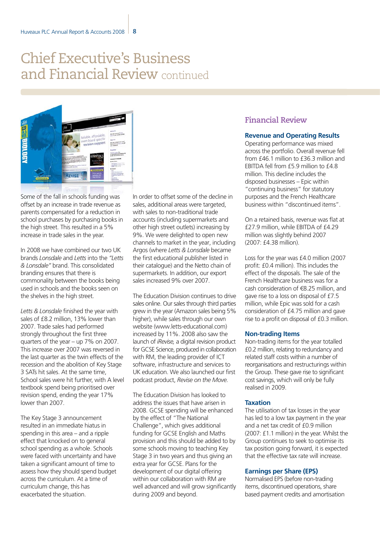# Chief Executive's Business and Financial Review continued



Some of the fall in schools funding was offset by an increase in trade revenue as parents compensated for a reduction in school purchases by purchasing books in the high street. This resulted in a 5% increase in trade sales in the year.

In 2008 we have combined our two UK brands *Lonsdale* and *Letts* into the *"Letts & Lonsdale"* brand. This consolidated branding ensures that there is commonality between the books being used in schools and the books seen on the shelves in the high street.

*Letts & Lonsdale* finished the year with sales of £8.2 million, 13% lower than 2007. Trade sales had performed strongly throughout the first three quarters of the year – up 7% on 2007. This increase over 2007 was reversed in the last quarter as the twin effects of the recession and the abolition of Key Stage 3 SATs hit sales. At the same time, School sales were hit further, with A level textbook spend being prioritised over revision spend, ending the year 17% lower than 2007.

The Key Stage 3 announcement resulted in an immediate hiatus in spending in this area – and a ripple effect that knocked on to general school spending as a whole. Schools were faced with uncertainty and have taken a significant amount of time to assess how they should spend budget across the curriculum. At a time of curriculum change, this has exacerbated the situation.

In order to offset some of the decline in sales, additional areas were targeted, with sales to non-traditional trade accounts (including supermarkets and other high street outlets) increasing by 9%. We were delighted to open new channels to market in the year, including Argos (where *Letts & Lonsdale* became the first educational publisher listed in their catalogue) and the Netto chain of supermarkets. In addition, our export sales increased 9% over 2007.

The Education Division continues to drive sales online. Our sales through third parties grew in the year (Amazon sales being 5% higher), while sales through our own website (www.letts-educational.com) increased by 11%. 2008 also saw the launch of *iRevise,* a digital revision product for GCSE Science, produced in collaboration with RM, the leading provider of ICT software, infrastructure and services to UK education. We also launched our first podcast product, *Revise on the Move.*

The Education Division has looked to address the issues that have arisen in 2008. GCSE spending will be enhanced by the effect of "The National Challenge", which gives additional funding for GCSE English and Maths provision and this should be added to by some schools moving to teaching Key Stage 3 in two years and thus giving an extra year for GCSE. Plans for the development of our digital offering within our collaboration with RM are well advanced and will grow significantly during 2009 and beyond.

### **Financial Review**

### **Revenue and Operating Results**

Operating performance was mixed across the portfolio. Overall revenue fell from £46.1 million to £36.3 million and EBITDA fell from £5.9 million to £4.8 million. This decline includes the disposed businesses – Epic within "continuing business" for statutory purposes and the French Healthcare business within "discontinued items".

On a retained basis, revenue was flat at £27.9 million, while EBITDA of £4.29 million was slightly behind 2007 (2007: £4.38 million).

Loss for the year was £4.0 million (2007 profit: £0.4 million). This includes the effect of the disposals. The sale of the French Healthcare business was for a cash consideration of €8.25 million, and gave rise to a loss on disposal of £7.5 million, while Epic was sold for a cash consideration of £4.75 million and gave rise to a profit on disposal of £0.3 million.

### **Non-trading Items**

Non-trading items for the year totalled £0.2 million, relating to redundancy and related staff costs within a number of reorganisations and restructurings within the Group. These gave rise to significant cost savings, which will only be fully realised in 2009.

### **Taxation**

The utilisation of tax losses in the year has led to a low tax payment in the year and a net tax credit of £0.9 million (2007: £1.1 million) in the year. Whilst the Group continues to seek to optimise its tax position going forward, it is expected that the effective tax rate will increase.

### **Earnings per Share (EPS)**

Normalised EPS (before non-trading items, discontinued operations, share based payment credits and amortisation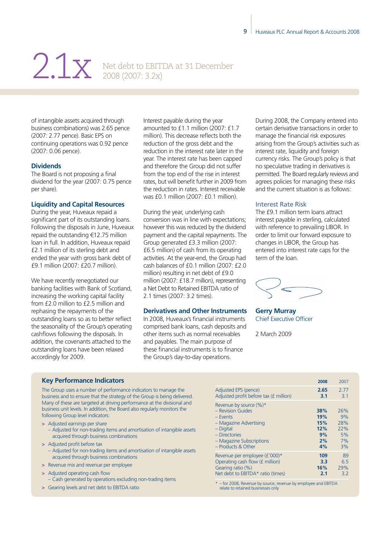$2.\sum$  Net debt to EBITDA at 31 December 2008 (2007: 3.2x)

of intangible assets acquired through business combinations) was 2.65 pence (2007: 2.77 pence). Basic EPS on continuing operations was 0.92 pence (2007: 0.06 pence).

#### **Dividends**

The Board is not proposing a final dividend for the year (2007: 0.75 pence per share).

#### **Liquidity and Capital Resources**

During the year, Huveaux repaid a significant part of its outstanding loans. Following the disposals in June, Huveaux repaid the outstanding €12.75 million loan in full. In addition, Huveaux repaid £2.1 million of its sterling debt and ended the year with gross bank debt of £9.1 million (2007: £20.7 million).

We have recently renegotiated our banking facilities with Bank of Scotland, increasing the working capital facility from £2.0 million to £2.5 million and rephasing the repayments of the outstanding loans so as to better reflect the seasonality of the Group's operating cashflows following the disposals. In addition, the covenants attached to the outstanding loans have been relaxed accordingly for 2009.

Interest payable during the year amounted to £1.1 million (2007: £1.7 million). This decrease reflects both the reduction of the gross debt and the reduction in the interest rate later in the year. The interest rate has been capped and therefore the Group did not suffer from the top end of the rise in interest rates, but will benefit further in 2009 from the reduction in rates. Interest receivable was £0.1 million (2007: £0.1 million).

During the year, underlying cash conversion was in line with expectations; however this was reduced by the dividend payment and the capital repayments. The Group generated £3.3 million (2007: £6.5 million) of cash from its operating activities. At the year-end, the Group had cash balances of £0.1 million (2007: £2.0 million) resulting in net debt of £9.0 million (2007: £18.7 million), representing a Net Debt to Retained EBITDA ratio of 2.1 times (2007: 3.2 times).

#### **Derivatives and Other Instruments**

In 2008, Huveaux's financial instruments comprised bank loans, cash deposits and other items such as normal receivables and payables. The main purpose of these financial instruments is to finance the Group's day-to-day operations.

During 2008, the Company entered into certain derivative transactions in order to manage the financial risk exposures arising from the Group's activities such as interest rate, liquidity and foreign currency risks. The Group's policy is that no speculative trading in derivatives is permitted. The Board regularly reviews and agrees policies for managing these risks and the current situation is as follows:

#### Interest Rate Risk

The £9.1 million term loans attract interest payable in sterling, calculated with reference to prevailing LIBOR. In order to limit our forward exposure to changes in LIBOR, the Group has entered into interest rate caps for the term of the loan.



**Gerry Murray** Chief Executive Officer

2 March 2009

#### **Key Performance Indicators**

The Group uses a number of performance indicators to manage the business and to ensure that the strategy of the Group is being delivered. Many of these are targeted at driving performance at the divisional and business unit levels. In addition, the Board also regularly monitors the following Group level indicators:

- **>** Adjusted earnings per share
	- Adjusted for non-trading items and amortisation of intangible assets acquired through business combinations
- **>** Adjusted profit before tax
	- Adjusted for non-trading items and amortisation of intangible assets acquired through business combinations
- **>** Revenue mix and revenue per employee
- **>** Adjusted operating cash flow
- Cash generated by operations excluding non-trading items
- **>** Gearing levels and net debt to EBITDA ratio

|      | 2007 |
|------|------|
| 2.65 | 2.77 |
| 3.1  | 3.1  |
| 38%  | 26%  |
| 19%  | 9%   |
| 15%  | 28%  |
| 12%  | 22%  |
| 9%   | 5%   |
| 2%   | 7%   |
| 4%   | 3%   |
| 109  | 89   |
| 3.3  | 65   |
| 16%  | 29%  |
| 2.1  | 3.2  |
|      | 2008 |

\* – for 2008, Revenue by source, revenue by employee and EBITDA relate to retained businesses only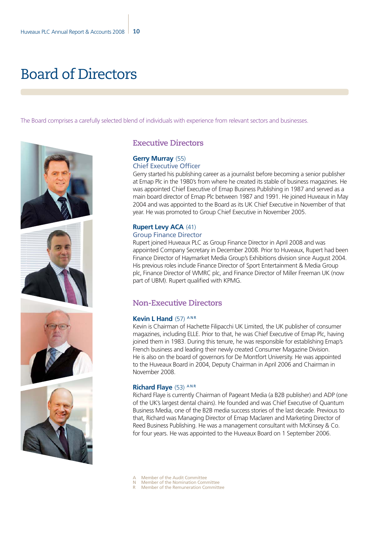### Board of Directors

The Board comprises a carefully selected blend of individuals with experience from relevant sectors and businesses.









### **Executive Directors**

### **Gerry Murray** (55)

Chief Executive Officer

Gerry started his publishing career as a journalist before becoming a senior publisher at Emap Plc in the 1980's from where he created its stable of business magazines. He was appointed Chief Executive of Emap Business Publishing in 1987 and served as a main board director of Emap Plc between 1987 and 1991. He joined Huveaux in May 2004 and was appointed to the Board as its UK Chief Executive in November of that year. He was promoted to Group Chief Executive in November 2005.

### **Rupert Levy ACA** (41)

#### Group Finance Director

Rupert joined Huveaux PLC as Group Finance Director in April 2008 and was appointed Company Secretary in December 2008. Prior to Huveaux, Rupert had been Finance Director of Haymarket Media Group's Exhibitions division since August 2004. His previous roles include Finance Director of Sport Entertainment & Media Group plc, Finance Director of WMRC plc, and Finance Director of Miller Freeman UK (now part of UBM). Rupert qualified with KPMG.

### **Non-Executive Directors**

#### **Kevin L Hand** (57) ANR

Kevin is Chairman of Hachette Filipacchi UK Limited, the UK publisher of consumer magazines, including ELLE. Prior to that, he was Chief Executive of Emap Plc, having joined them in 1983. During this tenure, he was responsible for establishing Emap's French business and leading their newly created Consumer Magazine Division. He is also on the board of governors for De Montfort University. He was appointed to the Huveaux Board in 2004, Deputy Chairman in April 2006 and Chairman in November 2008.

#### **Richard Flave** (53) ANR

Richard Flaye is currently Chairman of Pageant Media (a B2B publisher) and ADP (one of the UK's largest dental chains). He founded and was Chief Executive of Quantum Business Media, one of the B2B media success stories of the last decade. Previous to that, Richard was Managing Director of Emap Maclaren and Marketing Director of Reed Business Publishing. He was a management consultant with McKinsey & Co. for four years. He was appointed to the Huveaux Board on 1 September 2006.

A Member of the Audit Committee<br>N Member of the Nomination Com

- Member of the Nomination Committee Member of the Remuneration Committee
-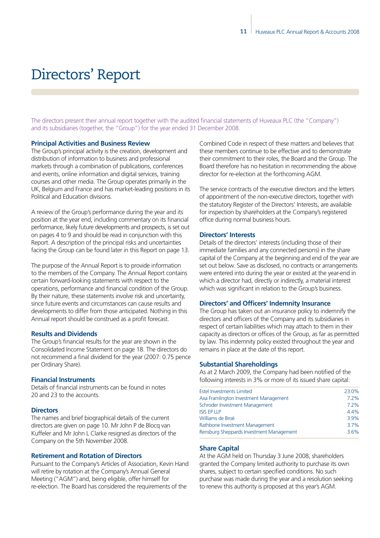### Directors' Report

The directors present their annual report together with the audited financial statements of Huveaux PLC (the "Company") and its subsidiaries (together, the "Group") for the year ended 31 December 2008.

#### **Principal Activities and Business Review**

The Group's principal activity is the creation, development and distribution of information to business and professional markets through a combination of publications, conferences and events, online information and digital services, training courses and other media. The Group operates primarily in the UK, Belgium and France and has market-leading positions in its Political and Education divisions.

A review of the Group's performance during the year and its position at the year end, including commentary on its financial performance, likely future developments and prospects, is set out on pages 4 to 9 and should be read in conjunction with this Report. A description of the principal risks and uncertainties facing the Group can be found later in this Report on page 13.

The purpose of the Annual Report is to provide information to the members of the Company. The Annual Report contains certain forward-looking statements with respect to the operations, performance and financial condition of the Group. By their nature, these statements involve risk and uncertainty, since future events and circumstances can cause results and developments to differ from those anticipated. Nothing in this Annual report should be construed as a profit forecast.

#### **Results and Dividends**

The Group's financial results for the year are shown in the Consolidated Income Statement on page 18. The directors do not recommend a final dividend for the year (2007: 0.75 pence per Ordinary Share).

#### **Financial Instruments**

Details of financial instruments can be found in notes 20 and 23 to the accounts.

#### **Directors**

The names and brief biographical details of the current directors are given on page 10. Mr John P de Blocq van Kuffeler and Mr John L Clarke resigned as directors of the Company on the 5th November 2008.

#### **Retirement and Rotation of Directors**

Pursuant to the Company's Articles of Association, Kevin Hand will retire by rotation at the Company's Annual General Meeting ("AGM") and, being eligible, offer himself for re-election. The Board has considered the requirements of the

Combined Code in respect of these matters and believes that these members continue to be effective and to demonstrate their commitment to their roles, the Board and the Group. The Board therefore has no hesitation in recommending the above director for re-election at the forthcoming AGM.

The service contracts of the executive directors and the letters of appointment of the non-executive directors, together with the statutory Register of the Directors' Interests, are available for inspection by shareholders at the Company's registered office during normal business hours.

#### **Directors' Interests**

Details of the directors' interests (including those of their immediate families and any connected persons) in the share capital of the Company at the beginning and end of the year are set out below. Save as disclosed, no contracts or arrangements were entered into during the year or existed at the year-end in which a director had, directly or indirectly, a material interest which was significant in relation to the Group's business.

#### **Directors' and Officers' Indemnity Insurance**

The Group has taken out an insurance policy to indemnify the directors and officers of the Company and its subsidiaries in respect of certain liabilities which may attach to them in their capacity as directors or offices of the Group, as far as permitted by law. This indemnity policy existed throughout the year and remains in place at the date of this report.

#### **Substantial Shareholdings**

As at 2 March 2009, the Company had been notified of the following interests in 3% or more of its issued share capital:

| <b>Estel Investments Limited</b>         | 23.0% |
|------------------------------------------|-------|
| Axa Framlington Investment Management    | 7.2%  |
| Schroder Investment Management           | 7.2%  |
| <b>ISIS EP LLP</b>                       | 4.4%  |
| Williams de Broë                         | 3.9%  |
| Rathbone Investment Management           | 3.7%  |
| Rensburg Sheppards Investment Management | 3.6%  |

#### **Share Capital**

At the AGM held on Thursday 3 June 2008, shareholders granted the Company limited authority to purchase its own shares, subject to certain specified conditions. No such purchase was made during the year and a resolution seeking to renew this authority is proposed at this year's AGM.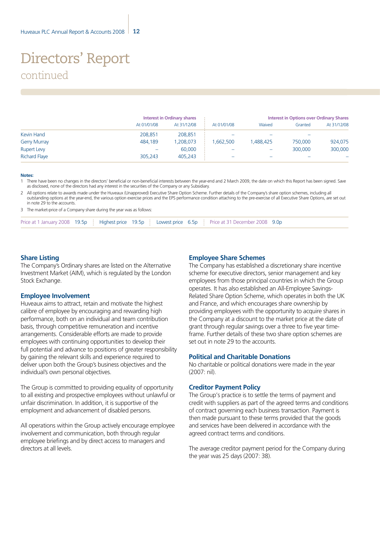### Directors' Report continued

|                      |             | <b>Interest in Ordinary shares</b> |             |          | <b>Interest in Options over Ordinary Shares</b> |             |  |
|----------------------|-------------|------------------------------------|-------------|----------|-------------------------------------------------|-------------|--|
|                      | At 01/01/08 | At 31/12/08                        | At 01/01/08 | Waived   | Granted                                         | At 31/12/08 |  |
| Kevin Hand           | 208.851     | 208.851                            | -           |          |                                                 |             |  |
| <b>Gerry Murray</b>  | 484,189     | 1,208,073                          | 1.662.500   | .488.425 | 750,000                                         | 924,075     |  |
| <b>Rupert Levy</b>   |             | 60,000                             | -           |          | 300,000                                         | 300,000     |  |
| <b>Richard Flaye</b> | 305.243     | 405,243                            | -           |          |                                                 |             |  |

#### **Notes:**

1 There have been no changes in the directors' beneficial or non-beneficial interests between the year-end and 2 March 2009, the date on which this Report has been signed. Save as disclosed, none of the directors had any interest in the securities of the Company or any Subsidiary.

2 All options relate to awards made under the Huveaux (Unapproved) Executive Share Option Scheme. Further details of the Company's share option schemes, including all outstanding options at the year-end, the various option exercise prices and the EPS performance condition attaching to the pre-exercise of all Executive Share Options, are set out in note 29 to the accounts.

3 The market-price of a Company share during the year was as follows:

| Price at 1 January 2008 19.5p   Highest price 19.5p   Lowest price 6.5p   Price at 31 December 2008 9.0p |  |  |  |  |  |  |  |  |  |  |  |
|----------------------------------------------------------------------------------------------------------|--|--|--|--|--|--|--|--|--|--|--|
|----------------------------------------------------------------------------------------------------------|--|--|--|--|--|--|--|--|--|--|--|

#### **Share Listing**

The Company's Ordinary shares are listed on the Alternative Investment Market (AIM), which is regulated by the London Stock Exchange.

#### **Employee Involvement**

Huveaux aims to attract, retain and motivate the highest calibre of employee by encouraging and rewarding high performance, both on an individual and team contribution basis, through competitive remuneration and incentive arrangements. Considerable efforts are made to provide employees with continuing opportunities to develop their full potential and advance to positions of greater responsibility by gaining the relevant skills and experience required to deliver upon both the Group's business objectives and the individual's own personal objectives.

The Group is committed to providing equality of opportunity to all existing and prospective employees without unlawful or unfair discrimination. In addition, it is supportive of the employment and advancement of disabled persons.

All operations within the Group actively encourage employee involvement and communication, both through regular employee briefings and by direct access to managers and directors at all levels.

#### **Employee Share Schemes**

The Company has established a discretionary share incentive scheme for executive directors, senior management and key employees from those principal countries in which the Group operates. It has also established an All-Employee Savings-Related Share Option Scheme, which operates in both the UK and France, and which encourages share ownership by providing employees with the opportunity to acquire shares in the Company at a discount to the market price at the date of grant through regular savings over a three to five year timeframe. Further details of these two share option schemes are set out in note 29 to the accounts.

#### **Political and Charitable Donations**

No charitable or political donations were made in the year (2007: nil).

#### **Creditor Payment Policy**

The Group's practice is to settle the terms of payment and credit with suppliers as part of the agreed terms and conditions of contract governing each business transaction. Payment is then made pursuant to these terms provided that the goods and services have been delivered in accordance with the agreed contract terms and conditions.

The average creditor payment period for the Company during the year was 25 days (2007: 38).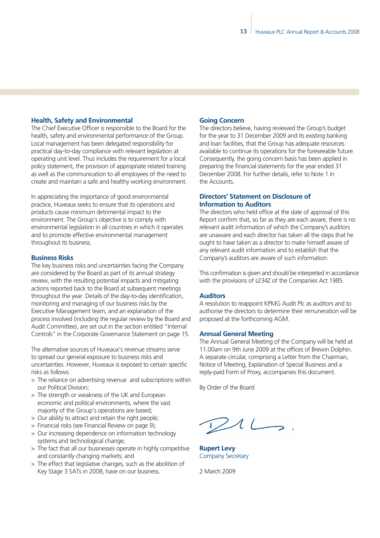#### **Health, Safety and Environmental**

The Chief Executive Officer is responsible to the Board for the health, safety and environmental performance of the Group. Local management has been delegated responsibility for practical day-to-day compliance with relevant legislation at operating unit level. Thus includes the requirement for a local policy statement, the provision of appropriate related training as well as the communication to all employees of the need to create and maintain a safe and healthy working environment.

In appreciating the importance of good environmental practice, Huveaux seeks to ensure that its operations and products cause minimum detrimental impact to the environment. The Group's objective is to comply with environmental legislation in all countries in which it operates and to promote effective environmental management throughout its business.

#### **Business Risks**

The key business risks and uncertainties facing the Company are considered by the Board as part of its annual strategy review, with the resulting potential impacts and mitigating actions reported back to the Board at subsequent meetings throughout the year. Details of the day-to-day identification, monitoring and managing of our business risks by the Executive Management team, and an explanation of the process involved (including the regular review by the Board and Audit Committee), are set out in the section entitled "Internal Controls" in the Corporate Governance Statement on page 15.

The alternative sources of Huveaux's revenue streams serve to spread our general exposure to business risks and uncertainties. However, Huveaux is exposed to certain specific risks as follows:

- **>** The reliance on advertising revenue and subscriptions within our Political Division;
- **>** The strength or weakness of the UK and European economic and political environments, where the vast majority of the Group's operations are based;
- **>** Our ability to attract and retain the right people;
- **>** Financial risks (see Financial Review on page 9);
- **>** Our increasing dependence on information technology systems and technological change;
- **>** The fact that all our businesses operate in highly competitive and constantly changing markets; and
- **>** The effect that legislative changes, such as the abolition of Key Stage 3 SATs in 2008, have on our business.

#### **Going Concern**

The directors believe, having reviewed the Group's budget for the year to 31 December 2009 and its existing banking and loan facilities, that the Group has adequate resources available to continue its operations for the foreseeable future. Consequently, the going concern basis has been applied in preparing the financial statements for the year ended 31 December 2008. For further details, refer to Note 1 in the Accounts.

### **Directors' Statement on Disclosure of Information to Auditors**

The directors who held office at the date of approval of this Report confirm that, so far as they are each aware, there is no relevant audit information of which the Company's auditors are unaware and each director has taken all the steps that he ought to have taken as a director to make himself aware of any relevant audit information and to establish that the Company's auditors are aware of such information.

This confirmation is given and should be interpreted in accordance with the provisions of s234Z of the Companies Act 1985.

#### **Auditors**

A resolution to reappoint KPMG Audit Plc as auditors and to authorise the directors to determine their remuneration will be proposed at the forthcoming AGM.

#### **Annual General Meeting**

The Annual General Meeting of the Company will be held at 11.00am on 9th June 2009 at the offices of Brewin Dolphin. A separate circular, comprising a Letter from the Chairman, Notice of Meeting, Explanation of Special Business and a reply-paid Form of Proxy, accompanies this document.

By Order of the Board

 $1\sqrt{2}$ 

**Rupert Levy** Company Secretary

2 March 2009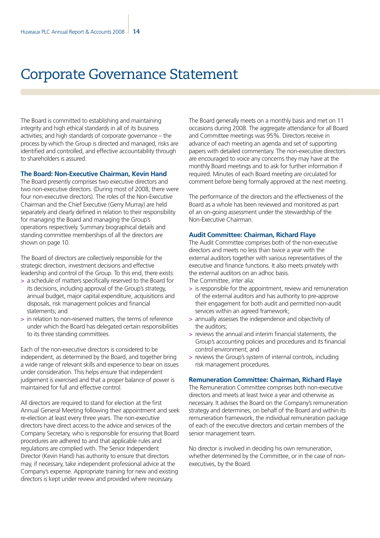### Corporate Governance Statement

The Board is committed to establishing and maintaining integrity and high ethical standards in all of its business activities; and high standards of corporate governance – the process by which the Group is directed and managed, risks are identified and controlled, and effective accountability through to shareholders is assured.

#### **The Board: Non-Executive Chairman, Kevin Hand**

The Board presently comprises two executive directors and two non-executive directors. (During most of 2008, there were four non-executive directors). The roles of the Non-Executive Chairman and the Chief Executive (Gerry Murray) are held separately and clearly defined in relation to their responsibility for managing the Board and managing the Group's operations respectively. Summary biographical details and standing committee memberships of all the directors are shown on page 10.

The Board of directors are collectively responsible for the strategic direction, investment decisions and effective leadership and control of the Group. To this end, there exists:

- **>** a schedule of matters specifically reserved to the Board for its decisions, including approval of the Group's strategy, annual budget, major capital expenditure, acquisitions and disposals, risk management policies and financial statements; and
- **>** in relation to non-reserved matters, the terms of reference under which the Board has delegated certain responsibilities to its three standing committees.

Each of the non-executive directors is considered to be independent, as determined by the Board, and together bring a wide range of relevant skills and experience to bear on issues under consideration. This helps ensure that independent judgement is exercised and that a proper balance of power is maintained for full and effective control.

All directors are required to stand for election at the first Annual General Meeting following their appointment and seek re-election at least every three years. The non-executive directors have direct access to the advice and services of the Company Secretary, who is responsible for ensuring that Board procedures are adhered to and that applicable rules and regulations are complied with. The Senior Independent Director (Kevin Hand) has authority to ensure that directors may, if necessary, take independent professional advice at the Company's expense. Appropriate training for new and existing directors is kept under review and provided where necessary.

The Board generally meets on a monthly basis and met on 11 occasions during 2008. The aggregate attendance for all Board and Committee meetings was 95%. Directors receive in advance of each meeting an agenda and set of supporting papers with detailed commentary. The non-executive directors are encouraged to voice any concerns they may have at the monthly Board meetings and to ask for further information if required. Minutes of each Board meeting are circulated for comment before being formally approved at the next meeting.

The performance of the directors and the effectiveness of the Board as a whole has been reviewed and monitored as part of an on-going assessment under the stewardship of the Non-Executive Chairman.

#### **Audit Committee: Chairman, Richard Flaye**

The Audit Committee comprises both of the non-executive directors and meets no less than twice a year with the external auditors together with various representatives of the executive and finance functions. It also meets privately with the external auditors on an adhoc basis. The Committee, inter alia:

**>** is responsible for the appointment, review and remuneration of the external auditors and has authority to pre-approve their engagement for both audit and permitted non-audit services within an agreed framework;

- **>** annually assesses the independence and objectivity of the auditors;
- **>** reviews the annual and interim financial statements, the Group's accounting policies and procedures and its financial control environment; and
- **>** reviews the Group's system of internal controls, including risk management procedures.

#### **Remuneration Committee: Chairman, Richard Flaye**

The Remuneration Committee comprises both non-executive directors and meets at least twice a year and otherwise as necessary. It advises the Board on the Company's remuneration strategy and determines, on behalf of the Board and within its remuneration framework, the individual remuneration package of each of the executive directors and certain members of the senior management team.

No director is involved in deciding his own remuneration, whether determined by the Committee, or in the case of nonexecutives, by the Board.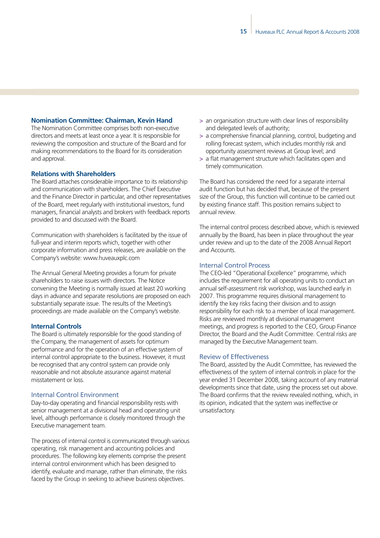#### **Nomination Committee: Chairman, Kevin Hand**

The Nomination Committee comprises both non-executive directors and meets at least once a year. It is responsible for reviewing the composition and structure of the Board and for making recommendations to the Board for its consideration and approval.

#### **Relations with Shareholders**

The Board attaches considerable importance to its relationship and communication with shareholders. The Chief Executive and the Finance Director in particular, and other representatives of the Board, meet regularly with institutional investors, fund managers, financial analysts and brokers with feedback reports provided to and discussed with the Board.

Communication with shareholders is facilitated by the issue of full-year and interim reports which, together with other corporate information and press releases, are available on the Company's website: www.huveauxplc.com

The Annual General Meeting provides a forum for private shareholders to raise issues with directors. The Notice convening the Meeting is normally issued at least 20 working days in advance and separate resolutions are proposed on each substantially separate issue. The results of the Meeting's proceedings are made available on the Company's website.

#### **Internal Controls**

The Board is ultimately responsible for the good standing of the Company, the management of assets for optimum performance and for the operation of an effective system of internal control appropriate to the business. However, it must be recognised that any control system can provide only reasonable and not absolute assurance against material misstatement or loss.

#### Internal Control Environment

Day-to-day operating and financial responsibility rests with senior management at a divisional head and operating unit level, although performance is closely monitored through the Executive management team.

The process of internal control is communicated through various operating, risk management and accounting policies and procedures. The following key elements comprise the present internal control environment which has been designed to identify, evaluate and manage, rather than eliminate, the risks faced by the Group in seeking to achieve business objectives.

- **>** an organisation structure with clear lines of responsibility and delegated levels of authority;
- **>** a comprehensive financial planning, control, budgeting and rolling forecast system, which includes monthly risk and opportunity assessment reviews at Group level; and
- **>** a flat management structure which facilitates open and timely communication.

The Board has considered the need for a separate internal audit function but has decided that, because of the present size of the Group, this function will continue to be carried out by existing finance staff. This position remains subject to annual review.

The internal control process described above, which is reviewed annually by the Board, has been in place throughout the year under review and up to the date of the 2008 Annual Report and Accounts.

#### Internal Control Process

The CEO-led "Operational Excellence" programme, which includes the requirement for all operating units to conduct an annual self-assessment risk workshop, was launched early in 2007. This programme requires divisional management to identify the key risks facing their division and to assign responsibility for each risk to a member of local management. Risks are reviewed monthly at divisional management meetings, and progress is reported to the CEO, Group Finance Director, the Board and the Audit Committee. Central risks are managed by the Executive Management team.

#### Review of Effectiveness

The Board, assisted by the Audit Committee, has reviewed the effectiveness of the system of internal controls in place for the year ended 31 December 2008, taking account of any material developments since that date, using the process set out above. The Board confirms that the review revealed nothing, which, in its opinion, indicated that the system was ineffective or unsatisfactory.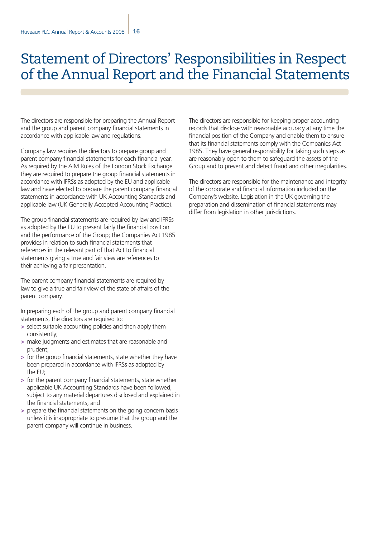### Statement of Directors' Responsibilities in Respect of the Annual Report and the Financial Statements

The directors are responsible for preparing the Annual Report and the group and parent company financial statements in accordance with applicable law and regulations.

Company law requires the directors to prepare group and parent company financial statements for each financial year. As required by the AIM Rules of the London Stock Exchange they are required to prepare the group financial statements in accordance with IFRSs as adopted by the EU and applicable law and have elected to prepare the parent company financial statements in accordance with UK Accounting Standards and applicable law (UK Generally Accepted Accounting Practice).

The group financial statements are required by law and IFRSs as adopted by the EU to present fairly the financial position and the performance of the Group; the Companies Act 1985 provides in relation to such financial statements that references in the relevant part of that Act to financial statements giving a true and fair view are references to their achieving a fair presentation.

The parent company financial statements are required by law to give a true and fair view of the state of affairs of the parent company.

In preparing each of the group and parent company financial statements, the directors are required to:

- **>** select suitable accounting policies and then apply them consistently;
- **>** make judgments and estimates that are reasonable and prudent;
- **>** for the group financial statements, state whether they have been prepared in accordance with IFRSs as adopted by the EU;
- **>** for the parent company financial statements, state whether applicable UK Accounting Standards have been followed, subject to any material departures disclosed and explained in the financial statements; and
- **>** prepare the financial statements on the going concern basis unless it is inappropriate to presume that the group and the parent company will continue in business.

The directors are responsible for keeping proper accounting records that disclose with reasonable accuracy at any time the financial position of the Company and enable them to ensure that its financial statements comply with the Companies Act 1985. They have general responsibility for taking such steps as are reasonably open to them to safeguard the assets of the Group and to prevent and detect fraud and other irregularities.

The directors are responsible for the maintenance and integrity of the corporate and financial information included on the Company's website. Legislation in the UK governing the preparation and dissemination of financial statements may differ from legislation in other jurisdictions.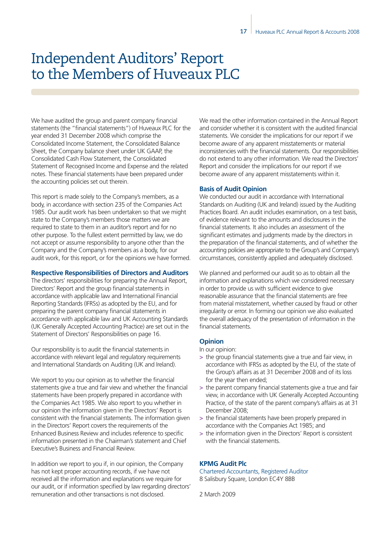### Independent Auditors' Report to the Members of Huveaux PLC

We have audited the group and parent company financial statements (the "financial statements") of Huveaux PLC for the year ended 31 December 2008 which comprise the Consolidated Income Statement, the Consolidated Balance Sheet, the Company balance sheet under UK GAAP, the Consolidated Cash Flow Statement, the Consolidated Statement of Recognised Income and Expense and the related notes. These financial statements have been prepared under the accounting policies set out therein.

This report is made solely to the Company's members, as a body, in accordance with section 235 of the Companies Act 1985. Our audit work has been undertaken so that we might state to the Company's members those matters we are required to state to them in an auditor's report and for no other purpose. To the fullest extent permitted by law, we do not accept or assume responsibility to anyone other than the Company and the Company's members as a body, for our audit work, for this report, or for the opinions we have formed.

#### **Respective Responsibilities of Directors and Auditors**

The directors' responsibilities for preparing the Annual Report, Directors' Report and the group financial statements in accordance with applicable law and International Financial Reporting Standards (IFRSs) as adopted by the EU, and for preparing the parent company financial statements in accordance with applicable law and UK Accounting Standards (UK Generally Accepted Accounting Practice) are set out in the Statement of Directors' Responsibilities on page 16.

Our responsibility is to audit the financial statements in accordance with relevant legal and regulatory requirements and International Standards on Auditing (UK and Ireland).

We report to you our opinion as to whether the financial statements give a true and fair view and whether the financial statements have been properly prepared in accordance with the Companies Act 1985. We also report to you whether in our opinion the information given in the Directors' Report is consistent with the financial statements. The information given in the Directors' Report covers the requirements of the Enhanced Business Review and includes reference to specific information presented in the Chairman's statement and Chief Executive's Business and Financial Review.

In addition we report to you if, in our opinion, the Company has not kept proper accounting records, if we have not received all the information and explanations we require for our audit, or if information specified by law regarding directors' remuneration and other transactions is not disclosed.

We read the other information contained in the Annual Report and consider whether it is consistent with the audited financial statements. We consider the implications for our report if we become aware of any apparent misstatements or material inconsistencies with the financial statements. Our responsibilities do not extend to any other information. We read the Directors' Report and consider the implications for our report if we become aware of any apparent misstatements within it.

#### **Basis of Audit Opinion**

We conducted our audit in accordance with International Standards on Auditing (UK and Ireland) issued by the Auditing Practices Board. An audit includes examination, on a test basis, of evidence relevant to the amounts and disclosures in the financial statements. It also includes an assessment of the significant estimates and judgments made by the directors in the preparation of the financial statements, and of whether the accounting policies are appropriate to the Group's and Company's circumstances, consistently applied and adequately disclosed.

We planned and performed our audit so as to obtain all the information and explanations which we considered necessary in order to provide us with sufficient evidence to give reasonable assurance that the financial statements are free from material misstatement, whether caused by fraud or other irregularity or error. In forming our opinion we also evaluated the overall adequacy of the presentation of information in the financial statements.

#### **Opinion**

In our opinion:

- **>** the group financial statements give a true and fair view, in accordance with IFRSs as adopted by the EU, of the state of the Group's affairs as at 31 December 2008 and of its loss for the year then ended;
- **>** the parent company financial statements give a true and fair view, in accordance with UK Generally Accepted Accounting Practice, of the state of the parent company's affairs as at 31 December 2008;
- **>** the financial statements have been properly prepared in accordance with the Companies Act 1985; and
- **>** the information given in the Directors' Report is consistent with the financial statements.

#### **KPMG Audit Plc**

Chartered Accountants, Registered Auditor 8 Salisbury Square, London EC4Y 8BB

2 March 2009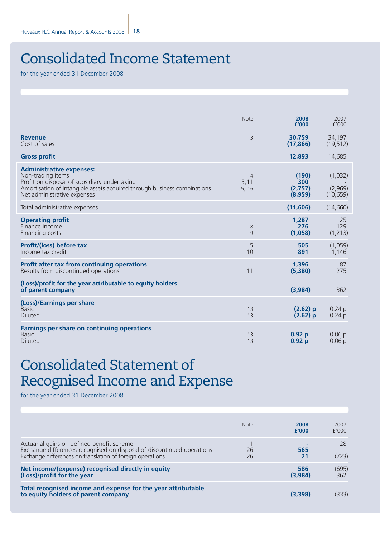# Consolidated Income Statement

for the year ended 31 December 2008

|                                                                                                                                                                                                                 | <b>Note</b>        | 2008                                   | 2007                                   |
|-----------------------------------------------------------------------------------------------------------------------------------------------------------------------------------------------------------------|--------------------|----------------------------------------|----------------------------------------|
|                                                                                                                                                                                                                 |                    | f'000                                  | f'000                                  |
| <b>Revenue</b><br>Cost of sales                                                                                                                                                                                 | $\overline{3}$     | 30,759<br>(17, 866)                    | 34,197<br>(19,512)                     |
| <b>Gross profit</b>                                                                                                                                                                                             |                    | 12,893                                 | 14,685                                 |
| <b>Administrative expenses:</b><br>Non-trading items<br>Profit on disposal of subsidiary undertaking<br>Amortisation of intangible assets acquired through business combinations<br>Net administrative expenses | 4<br>5,11<br>5, 16 | (190)<br>300<br>(2,757)<br>(8,959)     | (1,032)<br>(2,969)<br>(10,659)         |
| Total administrative expenses                                                                                                                                                                                   |                    | (11,606)                               | (14,660)                               |
| <b>Operating profit</b><br>Finance income<br>Financing costs                                                                                                                                                    | 8<br>9             | 1,287<br>276<br>(1,058)                | 25<br>129<br>(1,213)                   |
| Profit/(loss) before tax<br>Income tax credit                                                                                                                                                                   | 5<br>10            | 505<br>891                             | (1,059)<br>1,146                       |
| <b>Profit after tax from continuing operations</b><br>Results from discontinued operations                                                                                                                      | 11                 | 1,396<br>(5,380)                       | 87<br>275                              |
| (Loss)/profit for the year attributable to equity holders<br>of parent company                                                                                                                                  |                    | (3,984)                                | 362                                    |
| (Loss)/Earnings per share<br><b>Basic</b><br>Diluted                                                                                                                                                            | 13<br>13           | $(2.62)$ p<br>$(2.62)$ p               | 0.24 <sub>p</sub><br>0.24 <sub>p</sub> |
| <b>Earnings per share on continuing operations</b><br><b>Basic</b><br>Diluted                                                                                                                                   | 13<br>13           | 0.92 <sub>p</sub><br>0.92 <sub>p</sub> | 0.06 p<br>0.06 p                       |

# Consolidated Statement of Recognised Income and Expense

for the year ended 31 December 2008

|                                                                                                                                                                                  | <b>Note</b> | 2008<br>f'000  | 2007<br>f'000 |
|----------------------------------------------------------------------------------------------------------------------------------------------------------------------------------|-------------|----------------|---------------|
| Actuarial gains on defined benefit scheme<br>Exchange differences recognised on disposal of discontinued operations<br>Exchange differences on translation of foreign operations | 26<br>26    | 565<br>21      | 28<br>(723)   |
| Net income/(expense) recognised directly in equity<br>(Loss)/profit for the year                                                                                                 |             | 586<br>(3,984) | (695)<br>362  |
| Total recognised income and expense for the year attributable<br>to equity holders of parent company                                                                             |             | (3,398)        | (333)         |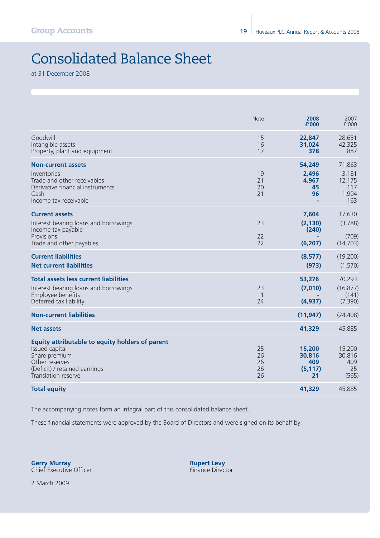# Consolidated Balance Sheet

at 31 December 2008

|                                                                                                                                                              | <b>Note</b>                | 2008<br>£'000                             | 2007<br>f'000                                    |
|--------------------------------------------------------------------------------------------------------------------------------------------------------------|----------------------------|-------------------------------------------|--------------------------------------------------|
| Goodwill<br>Intangible assets<br>Property, plant and equipment                                                                                               | 15<br>16<br>17             | 22,847<br>31,024<br>378                   | 28,651<br>42,325<br>887                          |
| <b>Non-current assets</b><br>Inventories<br>Trade and other receivables<br>Derivative financial instruments<br>Cash<br>Income tax receivable                 | 19<br>21<br>20<br>21       | 54,249<br>2,496<br>4,967<br>45<br>96      | 71,863<br>3,181<br>12,175<br>117<br>1,994<br>163 |
| <b>Current assets</b><br>Interest bearing loans and borrowings<br>Income tax payable<br>Provisions<br>Trade and other payables                               | 23<br>22<br>22             | 7,604<br>(2, 130)<br>(240)<br>(6, 207)    | 17,630<br>(3,788)<br>(709)<br>(14, 703)          |
| <b>Current liabilities</b><br><b>Net current liabilities</b>                                                                                                 |                            | (8, 577)<br>(973)                         | (19,200)<br>(1, 570)                             |
| <b>Total assets less current liabilities</b><br>Interest bearing loans and borrowings<br>Employee benefits<br>Deferred tax liability                         | 23<br>$\mathbf{1}$<br>24   | 53,276<br>(7,010)<br>(4,937)              | 70,293<br>(16, 877)<br>(141)<br>(7, 390)         |
| <b>Non-current liabilities</b>                                                                                                                               |                            | (11, 947)                                 | (24, 408)                                        |
| <b>Net assets</b>                                                                                                                                            |                            | 41,329                                    | 45,885                                           |
| Equity attributable to equity holders of parent<br>Issued capital<br>Share premium<br>Other reserves<br>(Deficit) / retained earnings<br>Translation reserve | 25<br>26<br>26<br>26<br>26 | 15,200<br>30,816<br>409<br>(5, 117)<br>21 | 15,200<br>30,816<br>409<br>25<br>(565)           |
| <b>Total equity</b>                                                                                                                                          |                            | 41,329                                    | 45,885                                           |

The accompanying notes form an integral part of this consolidated balance sheet.

These financial statements were approved by the Board of Directors and were signed on its behalf by:

**Gerry Murray Rupert Levy** Chief Executive Officer Finance Director

2 March 2009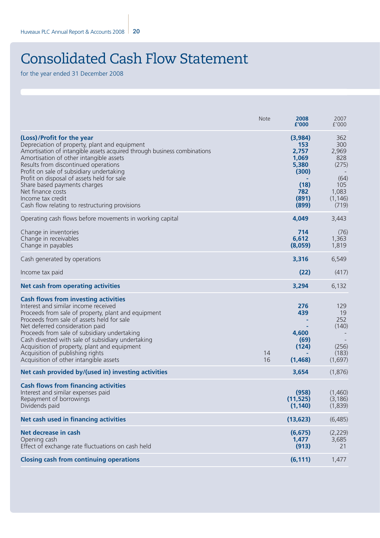# Consolidated Cash Flow Statement

for the year ended 31 December 2008

|                                                                                                                                                                                                                                                                                                                                                                                                                                                                  | <b>Note</b> | 2008<br>f'000                                                                       | 2007<br>f'000                                                                    |
|------------------------------------------------------------------------------------------------------------------------------------------------------------------------------------------------------------------------------------------------------------------------------------------------------------------------------------------------------------------------------------------------------------------------------------------------------------------|-------------|-------------------------------------------------------------------------------------|----------------------------------------------------------------------------------|
| (Loss)/Profit for the year<br>Depreciation of property, plant and equipment<br>Amortisation of intangible assets acquired through business combinations<br>Amortisation of other intangible assets<br>Results from discontinued operations<br>Profit on sale of subsidiary undertaking<br>Profit on disposal of assets held for sale<br>Share based payments charges<br>Net finance costs<br>Income tax credit<br>Cash flow relating to restructuring provisions |             | (3,984)<br>153<br>2,757<br>1,069<br>5,380<br>(300)<br>(18)<br>782<br>(891)<br>(899) | 362<br>300<br>2,969<br>828<br>(275)<br>(64)<br>105<br>1,083<br>(1, 146)<br>(719) |
| Operating cash flows before movements in working capital                                                                                                                                                                                                                                                                                                                                                                                                         |             | 4,049                                                                               | 3,443                                                                            |
| Change in inventories<br>Change in receivables<br>Change in payables                                                                                                                                                                                                                                                                                                                                                                                             |             | 714<br>6,612<br>(8,059)                                                             | (76)<br>1,363<br>1,819                                                           |
| Cash generated by operations                                                                                                                                                                                                                                                                                                                                                                                                                                     |             | 3,316                                                                               | 6,549                                                                            |
| Income tax paid                                                                                                                                                                                                                                                                                                                                                                                                                                                  |             | (22)                                                                                | (417)                                                                            |
| <b>Net cash from operating activities</b>                                                                                                                                                                                                                                                                                                                                                                                                                        |             | 3,294                                                                               | 6,132                                                                            |
| <b>Cash flows from investing activities</b><br>Interest and similar income received<br>Proceeds from sale of property, plant and equipment<br>Proceeds from sale of assets held for sale<br>Net deferred consideration paid<br>Proceeds from sale of subsidiary undertaking<br>Cash divested with sale of subsidiary undertaking<br>Acquisition of property, plant and equipment<br>Acquisition of publishing rights<br>Acquisition of other intangible assets   | 14<br>16    | 276<br>439<br>4,600<br>(69)<br>(124)<br>(1, 468)                                    | 129<br>19<br>252<br>(140)<br>(256)<br>(183)<br>(1,697)                           |
| Net cash provided by/(used in) investing activities                                                                                                                                                                                                                                                                                                                                                                                                              |             | 3,654                                                                               | (1,876)                                                                          |
| <b>Cash flows from financing activities</b><br>Interest and similar expenses paid<br>Repayment of borrowings<br>Dividends paid                                                                                                                                                                                                                                                                                                                                   |             | (958)<br>(11, 525)<br>(1, 140)                                                      | (1,460)<br>(3, 186)<br>(1,839)                                                   |
| Net cash used in financing activities                                                                                                                                                                                                                                                                                                                                                                                                                            |             | (13, 623)                                                                           | (6,485)                                                                          |
| Net decrease in cash<br>Opening cash<br>Effect of exchange rate fluctuations on cash held                                                                                                                                                                                                                                                                                                                                                                        |             | (6, 675)<br>1,477<br>(913)                                                          | (2,229)<br>3,685<br>21                                                           |
| <b>Closing cash from continuing operations</b>                                                                                                                                                                                                                                                                                                                                                                                                                   |             | (6, 111)                                                                            | 1,477                                                                            |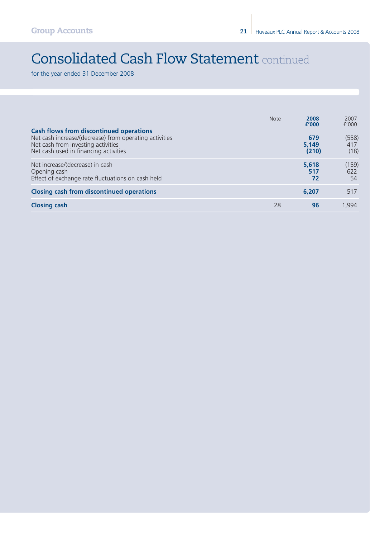# **Consolidated Cash Flow Statement continued**

for the year ended 31 December 2008

| <b>Cash flows from discontinued operations</b><br>Net cash increase/(decrease) from operating activities<br>Net cash from investing activities<br>Net cash used in financing activities | <b>Note</b> | 2008<br>f'000<br>679<br>5,149<br>(210) | 2007<br>f'000<br>(558)<br>417<br>(18) |
|-----------------------------------------------------------------------------------------------------------------------------------------------------------------------------------------|-------------|----------------------------------------|---------------------------------------|
| Net increase/(decrease) in cash<br>Opening cash<br>Effect of exchange rate fluctuations on cash held                                                                                    |             | 5,618<br>517<br>72                     | (159)<br>622<br>54                    |
| <b>Closing cash from discontinued operations</b>                                                                                                                                        |             | 6,207                                  | 517                                   |
| <b>Closing cash</b>                                                                                                                                                                     | 28          | 96                                     | 1.994                                 |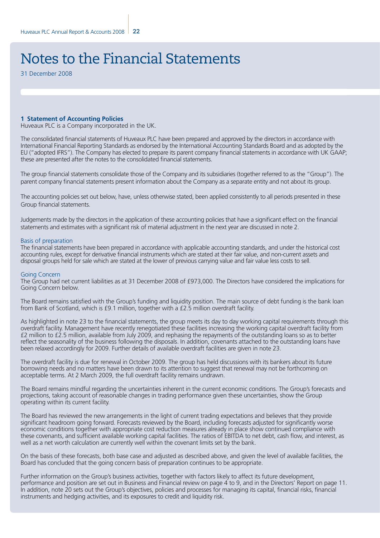## Notes to the Financial Statements

31 December 2008

### **1 Statement of Accounting Policies**

Huveaux PLC is a Company incorporated in the UK.

The consolidated financial statements of Huveaux PLC have been prepared and approved by the directors in accordance with International Financial Reporting Standards as endorsed by the International Accounting Standards Board and as adopted by the EU ("adopted IFRS"). The Company has elected to prepare its parent company financial statements in accordance with UK GAAP; these are presented after the notes to the consolidated financial statements.

The group financial statements consolidate those of the Company and its subsidiaries (together referred to as the "Group"). The parent company financial statements present information about the Company as a separate entity and not about its group.

The accounting policies set out below, have, unless otherwise stated, been applied consistently to all periods presented in these Group financial statements.

Judgements made by the directors in the application of these accounting policies that have a significant effect on the financial statements and estimates with a significant risk of material adjustment in the next year are discussed in note 2.

#### Basis of preparation

The financial statements have been prepared in accordance with applicable accounting standards, and under the historical cost accounting rules, except for derivative financial instruments which are stated at their fair value, and non-current assets and disposal groups held for sale which are stated at the lower of previous carrying value and fair value less costs to sell.

#### Going Concern

The Group had net current liabilities as at 31 December 2008 of £973,000. The Directors have considered the implications for Going Concern below.

The Board remains satisfied with the Group's funding and liquidity position. The main source of debt funding is the bank loan from Bank of Scotland, which is £9.1 million, together with a £2.5 million overdraft facility.

As highlighted in note 23 to the financial statements, the group meets its day to day working capital requirements through this overdraft facility. Management have recently renegotiated these facilities increasing the working capital overdraft facility from £2 million to £2.5 million, available from July 2009, and rephasing the repayments of the outstanding loans so as to better reflect the seasonality of the business following the disposals. In addition, covenants attached to the outstanding loans have been relaxed accordingly for 2009. Further details of available overdraft facilities are given in note 23.

The overdraft facility is due for renewal in October 2009. The group has held discussions with its bankers about its future borrowing needs and no matters have been drawn to its attention to suggest that renewal may not be forthcoming on acceptable terms. At 2 March 2009, the full overdraft facility remains undrawn.

The Board remains mindful regarding the uncertainties inherent in the current economic conditions. The Group's forecasts and projections, taking account of reasonable changes in trading performance given these uncertainties, show the Group operating within its current facility.

The Board has reviewed the new arrangements in the light of current trading expectations and believes that they provide significant headroom going forward. Forecasts reviewed by the Board, including forecasts adjusted for significantly worse economic conditions together with appropriate cost reduction measures already in place show continued compliance with these covenants, and sufficient available working capital facilities. The ratios of EBITDA to net debt, cash flow, and interest, as well as a net worth calculation are currently well within the covenant limits set by the bank.

On the basis of these forecasts, both base case and adjusted as described above, and given the level of available facilities, the Board has concluded that the going concern basis of preparation continues to be appropriate.

Further information on the Group's business activities, together with factors likely to affect its future development, performance and position are set out in Business and Financial review on page 4 to 9, and in the Directors' Report on page 11. In addition, note 20 sets out the Group's objectives, policies and processes for managing its capital, financial risks, financial instruments and hedging activities, and its exposures to credit and liquidity risk.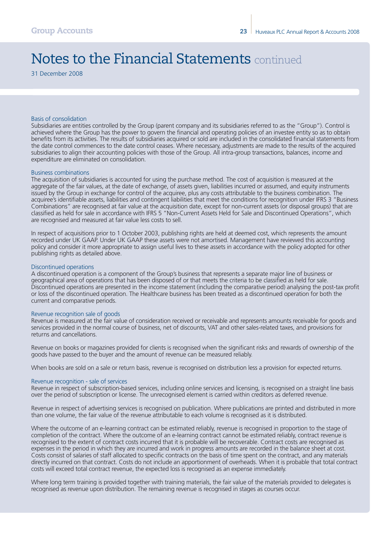31 December 2008

#### Basis of consolidation

Subsidiaries are entities controlled by the Group (parent company and its subsidiaries referred to as the "Group"). Control is achieved where the Group has the power to govern the financial and operating policies of an investee entity so as to obtain benefits from its activities. The results of subsidiaries acquired or sold are included in the consolidated financial statements from the date control commences to the date control ceases. Where necessary, adjustments are made to the results of the acquired subsidiaries to align their accounting policies with those of the Group. All intra-group transactions, balances, income and expenditure are eliminated on consolidation.

#### Business combinations

The acquisition of subsidiaries is accounted for using the purchase method. The cost of acquisition is measured at the aggregate of the fair values, at the date of exchange, of assets given, liabilities incurred or assumed, and equity instruments issued by the Group in exchange for control of the acquiree, plus any costs attributable to the business combination. The acquiree's identifiable assets, liabilities and contingent liabilities that meet the conditions for recognition under IFRS 3 "Business Combinations" are recognised at fair value at the acquisition date, except for non-current assets (or disposal groups) that are classified as held for sale in accordance with IFRS 5 "Non-Current Assets Held for Sale and Discontinued Operations", which are recognised and measured at fair value less costs to sell.

In respect of acquisitions prior to 1 October 2003, publishing rights are held at deemed cost, which represents the amount recorded under UK GAAP. Under UK GAAP these assets were not amortised. Management have reviewed this accounting policy and consider it more appropriate to assign useful lives to these assets in accordance with the policy adopted for other publishing rights as detailed above.

#### Discontinued operations

A discontinued operation is a component of the Group's business that represents a separate major line of business or geographical area of operations that has been disposed of or that meets the criteria to be classified as held for sale. Discontinued operations are presented in the income statement (including the comparative period) analysing the post-tax profit or loss of the discontinued operation. The Healthcare business has been treated as a discontinued operation for both the current and comparative periods.

#### Revenue recognition sale of goods

Revenue is measured at the fair value of consideration received or receivable and represents amounts receivable for goods and services provided in the normal course of business, net of discounts, VAT and other sales-related taxes, and provisions for returns and cancellations.

Revenue on books or magazines provided for clients is recognised when the significant risks and rewards of ownership of the goods have passed to the buyer and the amount of revenue can be measured reliably.

When books are sold on a sale or return basis, revenue is recognised on distribution less a provision for expected returns.

#### Revenue recognition - sale of services

Revenue in respect of subscription-based services, including online services and licensing, is recognised on a straight line basis over the period of subscription or license. The unrecognised element is carried within creditors as deferred revenue.

Revenue in respect of advertising services is recognised on publication. Where publications are printed and distributed in more than one volume, the fair value of the revenue attributable to each volume is recognised as it is distributed.

Where the outcome of an e-learning contract can be estimated reliably, revenue is recognised in proportion to the stage of completion of the contract. Where the outcome of an e-learning contract cannot be estimated reliably, contract revenue is recognised to the extent of contract costs incurred that it is probable will be recoverable. Contract costs are recognised as expenses in the period in which they are incurred and work in progress amounts are recorded in the balance sheet at cost. Costs consist of salaries of staff allocated to specific contracts on the basis of time spent on the contract, and any materials directly incurred on that contract. Costs do not include an apportionment of overheads. When it is probable that total contract costs will exceed total contract revenue, the expected loss is recognised as an expense immediately.

Where long term training is provided together with training materials, the fair value of the materials provided to delegates is recognised as revenue upon distribution. The remaining revenue is recognised in stages as courses occur.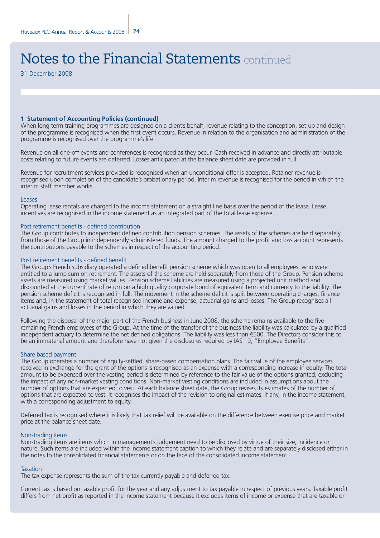31 December 2008

#### **1 Statement of Accounting Policies (continued)**

When long term training programmes are designed on a client's behalf, revenue relating to the conception, set-up and design of the programme is recognised when the first event occurs. Revenue in relation to the organisation and administration of the programme is recognised over the programme's life.

Revenue on all one-off events and conferences is recognised as they occur. Cash received in advance and directly attributable costs relating to future events are deferred. Losses anticipated at the balance sheet date are provided in full.

Revenue for recruitment services provided is recognised when an unconditional offer is accepted. Retainer revenue is recognised upon completion of the candidate's probationary period. Interim revenue is recognised for the period in which the interim staff member works.

#### Leases

Operating lease rentals are charged to the income statement on a straight line basis over the period of the lease. Lease incentives are recognised in the income statement as an integrated part of the total lease expense.

#### Post retirement benefits - defined contribution

The Group contributes to independent defined contribution pension schemes. The assets of the schemes are held separately from those of the Group in independently administered funds. The amount charged to the profit and loss account represents the contributions payable to the schemes in respect of the accounting period.

#### Post retirement benefits - defined benefit

The Group's French subsidiary operated a defined benefit pension scheme which was open to all employees, who were entitled to a lump sum on retirement. The assets of the scheme are held separately from those of the Group. Pension scheme assets are measured using market values. Pension scheme liabilities are measured using a projected unit method and discounted at the current rate of return on a high quality corporate bond of equivalent term and currency to the liability. The pension scheme deficit is recognised in full. The movement in the scheme deficit is split between operating charges, finance items and, in the statement of total recognised income and expense, actuarial gains and losses. The Group recognises all actuarial gains and losses in the period in which they are valued.

Following the disposal of the major part of the French business in June 2008, the scheme remains available to the five remaining French employees of the Group. At the time of the transfer of the business the liability was calculated by a qualified independent actuary to determine the net defined obligations. The liability was less than €500. The Directors consider this to be an immaterial amount and therefore have not given the disclosures required by IAS 19, "Employee Benefits".

#### Share based payment

The Group operates a number of equity-settled, share-based compensation plans. The fair value of the employee services received in exchange for the grant of the options is recognised as an expense with a corresponding increase in equity. The total amount to be expensed over the vesting period is determined by reference to the fair value of the options granted, excluding the impact of any non-market vesting conditions. Non-market vesting conditions are included in assumptions about the number of options that are expected to vest. At each balance sheet date, the Group revises its estimates of the number of options that are expected to vest. It recognises the impact of the revision to original estimates, if any, in the income statement, with a corresponding adjustment to equity.

Deferred tax is recognised where it is likely that tax relief will be available on the difference between exercise price and market price at the balance sheet date.

#### Non-trading items

Non-trading items are items which in management's judgement need to be disclosed by virtue of their size, incidence or nature. Such items are included within the income statement caption to which they relate and are separately disclosed either in the notes to the consolidated financial statements or on the face of the consolidated income statement.

#### Taxation

The tax expense represents the sum of the tax currently payable and deferred tax.

Current tax is based on taxable profit for the year and any adjustment to tax payable in respect of previous years. Taxable profit differs from net profit as reported in the income statement because it excludes items of income or expense that are taxable or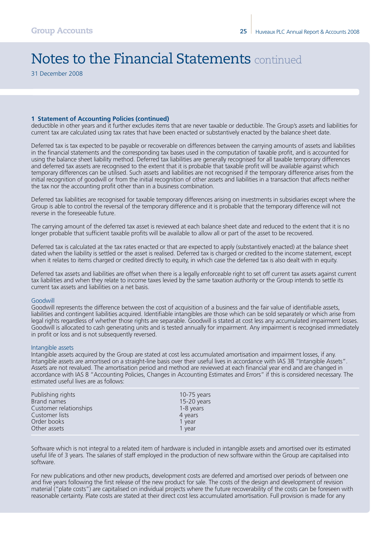31 December 2008

#### **1 Statement of Accounting Policies (continued)**

deductible in other years and it further excludes items that are never taxable or deductible. The Group's assets and liabilities for current tax are calculated using tax rates that have been enacted or substantively enacted by the balance sheet date.

Deferred tax is tax expected to be payable or recoverable on differences between the carrying amounts of assets and liabilities in the financial statements and the corresponding tax bases used in the computation of taxable profit, and is accounted for using the balance sheet liability method. Deferred tax liabilities are generally recognised for all taxable temporary differences and deferred tax assets are recognised to the extent that it is probable that taxable profit will be available against which temporary differences can be utilised. Such assets and liabilities are not recognised if the temporary difference arises from the initial recognition of goodwill or from the initial recognition of other assets and liabilities in a transaction that affects neither the tax nor the accounting profit other than in a business combination.

Deferred tax liabilities are recognised for taxable temporary differences arising on investments in subsidiaries except where the Group is able to control the reversal of the temporary difference and it is probable that the temporary difference will not reverse in the foreseeable future.

The carrying amount of the deferred tax asset is reviewed at each balance sheet date and reduced to the extent that it is no longer probable that sufficient taxable profits will be available to allow all or part of the asset to be recovered.

Deferred tax is calculated at the tax rates enacted or that are expected to apply (substantively enacted) at the balance sheet dated when the liability is settled or the asset is realised. Deferred tax is charged or credited to the income statement, except when it relates to items charged or credited directly to equity, in which case the deferred tax is also dealt with in equity.

Deferred tax assets and liabilities are offset when there is a legally enforceable right to set off current tax assets against current tax liabilities and when they relate to income taxes levied by the same taxation authority or the Group intends to settle its current tax assets and liabilities on a net basis.

#### Goodwill

Goodwill represents the difference between the cost of acquisition of a business and the fair value of identifiable assets, liabilities and contingent liabilities acquired. Identifiable intangibles are those which can be sold separately or which arise from legal rights regardless of whether those rights are separable. Goodwill is stated at cost less any accumulated impairment losses. Goodwill is allocated to cash generating units and is tested annually for impairment. Any impairment is recognised immediately in profit or loss and is not subsequently reversed.

#### Intangible assets

Intangible assets acquired by the Group are stated at cost less accumulated amortisation and impairment losses, if any. Intangible assets are amortised on a straight-line basis over their useful lives in accordance with IAS 38 "Intangible Assets". Assets are not revalued. The amortisation period and method are reviewed at each financial year end and are changed in accordance with IAS 8 "Accounting Policies, Changes in Accounting Estimates and Errors" if this is considered necessary. The estimated useful lives are as follows:

| Publishing rights<br>Brand names | 10-75 years<br>$15-20$ years |
|----------------------------------|------------------------------|
| Customer relationships           | 1-8 years                    |
| Customer lists                   | 4 years                      |
| Order books                      | l year                       |
| Other assets                     | l vear                       |
|                                  |                              |

Software which is not integral to a related item of hardware is included in intangible assets and amortised over its estimated useful life of 3 years. The salaries of staff employed in the production of new software within the Group are capitalised into software.

For new publications and other new products, development costs are deferred and amortised over periods of between one and five years following the first release of the new product for sale. The costs of the design and development of revision material ("plate costs") are capitalised on individual projects where the future recoverability of the costs can be foreseen with reasonable certainty. Plate costs are stated at their direct cost less accumulated amortisation. Full provision is made for any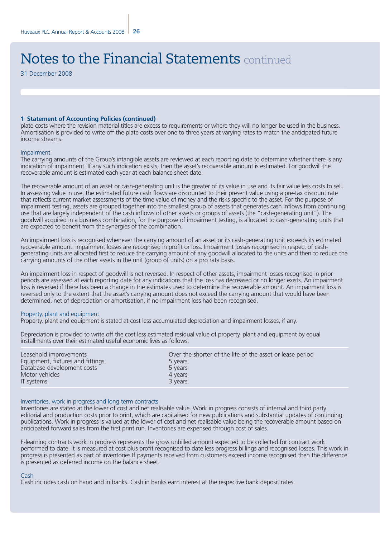31 December 2008

#### **1 Statement of Accounting Policies (continued)**

plate costs where the revision material titles are excess to requirements or where they will no longer be used in the business. Amortisation is provided to write off the plate costs over one to three years at varying rates to match the anticipated future income streams.

#### Impairment

The carrying amounts of the Group's intangible assets are reviewed at each reporting date to determine whether there is any indication of impairment. If any such indication exists, then the asset's recoverable amount is estimated. For goodwill the recoverable amount is estimated each year at each balance sheet date.

The recoverable amount of an asset or cash-generating unit is the greater of its value in use and its fair value less costs to sell. In assessing value in use, the estimated future cash flows are discounted to their present value using a pre-tax discount rate that reflects current market assessments of the time value of money and the risks specific to the asset. For the purpose of impairment testing, assets are grouped together into the smallest group of assets that generates cash inflows from continuing use that are largely independent of the cash inflows of other assets or groups of assets (the "cash-generating unit"). The goodwill acquired in a business combination, for the purpose of impairment testing, is allocated to cash-generating units that are expected to benefit from the synergies of the combination.

An impairment loss is recognised whenever the carrying amount of an asset or its cash-generating unit exceeds its estimated recoverable amount. Impairment losses are recognised in profit or loss. Impairment losses recognised in respect of cashgenerating units are allocated first to reduce the carrying amount of any goodwill allocated to the units and then to reduce the carrying amounts of the other assets in the unit (group of units) on a pro rata basis.

An impairment loss in respect of goodwill is not reversed. In respect of other assets, impairment losses recognised in prior periods are assessed at each reporting date for any indications that the loss has decreased or no longer exists. An impairment loss is reversed if there has been a change in the estimates used to determine the recoverable amount. An impairment loss is reversed only to the extent that the asset's carrying amount does not exceed the carrying amount that would have been determined, net of depreciation or amortisation, if no impairment loss had been recognised.

#### Property, plant and equipment

Property, plant and equipment is stated at cost less accumulated depreciation and impairment losses, if any.

Depreciation is provided to write off the cost less estimated residual value of property, plant and equipment by equal installments over their estimated useful economic lives as follows:

| Equipment, fixtures and fittings<br>5 years<br>Database development costs<br>5 years<br>Motor vehicles<br>4 years<br>IT systems<br>3 years | Leasehold improvements | Over the shorter of the life of the asset or lease period |
|--------------------------------------------------------------------------------------------------------------------------------------------|------------------------|-----------------------------------------------------------|
|--------------------------------------------------------------------------------------------------------------------------------------------|------------------------|-----------------------------------------------------------|

#### Inventories, work in progress and long term contracts

Inventories are stated at the lower of cost and net realisable value. Work in progress consists of internal and third party editorial and production costs prior to print, which are capitalised for new publications and substantial updates of continuing publications. Work in progress is valued at the lower of cost and net realisable value being the recoverable amount based on anticipated forward sales from the first print run. Inventories are expensed through cost of sales.

E-learning contracts work in progress represents the gross unbilled amount expected to be collected for contract work performed to date. It is measured at cost plus profit recognised to date less progress billings and recognised losses. This work in progress is presented as part of inventories If payments received from customers exceed income recognised then the difference is presented as deferred income on the balance sheet.

#### Cash

Cash includes cash on hand and in banks. Cash in banks earn interest at the respective bank deposit rates.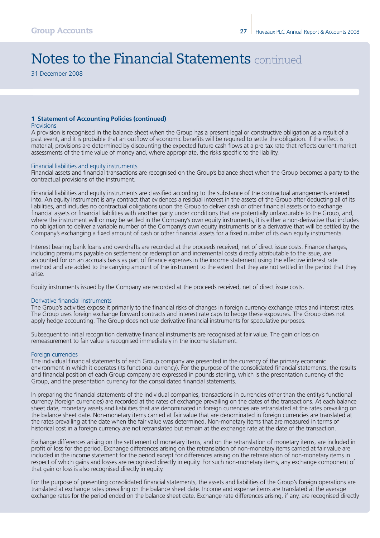31 December 2008

#### **1 Statement of Accounting Policies (continued)**

#### **Provisions**

A provision is recognised in the balance sheet when the Group has a present legal or constructive obligation as a result of a past event, and it is probable that an outflow of economic benefits will be required to settle the obligation. If the effect is material, provisions are determined by discounting the expected future cash flows at a pre tax rate that reflects current market assessments of the time value of money and, where appropriate, the risks specific to the liability.

#### Financial liabilities and equity instruments

Financial assets and financial transactions are recognised on the Group's balance sheet when the Group becomes a party to the contractual provisions of the instrument.

Financial liabilities and equity instruments are classified according to the substance of the contractual arrangements entered into. An equity instrument is any contract that evidences a residual interest in the assets of the Group after deducting all of its liabilities, and includes no contractual obligations upon the Group to deliver cash or other financial assets or to exchange financial assets or financial liabilities with another party under conditions that are potentially unfavourable to the Group, and, where the instrument will or may be settled in the Company's own equity instruments, it is either a non-derivative that includes no obligation to deliver a variable number of the Company's own equity instruments or is a derivative that will be settled by the Company's exchanging a fixed amount of cash or other financial assets for a fixed number of its own equity instruments.

Interest bearing bank loans and overdrafts are recorded at the proceeds received, net of direct issue costs. Finance charges, including premiums payable on settlement or redemption and incremental costs directly attributable to the issue, are accounted for on an accruals basis as part of finance expenses in the income statement using the effective interest rate method and are added to the carrying amount of the instrument to the extent that they are not settled in the period that they arise.

Equity instruments issued by the Company are recorded at the proceeds received, net of direct issue costs.

#### Derivative financial instruments

The Group's activities expose it primarily to the financial risks of changes in foreign currency exchange rates and interest rates. The Group uses foreign exchange forward contracts and interest rate caps to hedge these exposures. The Group does not apply hedge accounting. The Group does not use derivative financial instruments for speculative purposes.

Subsequent to initial recognition derivative financial instruments are recognised at fair value. The gain or loss on remeasurement to fair value is recognised immediately in the income statement.

#### Foreign currencies

The individual financial statements of each Group company are presented in the currency of the primary economic environment in which it operates (its functional currency). For the purpose of the consolidated financial statements, the results and financial position of each Group company are expressed in pounds sterling, which is the presentation currency of the Group, and the presentation currency for the consolidated financial statements.

In preparing the financial statements of the individual companies, transactions in currencies other than the entity's functional currency (foreign currencies) are recorded at the rates of exchange prevailing on the dates of the transactions. At each balance sheet date, monetary assets and liabilities that are denominated in foreign currencies are retranslated at the rates prevailing on the balance sheet date. Non-monetary items carried at fair value that are denominated in foreign currencies are translated at the rates prevailing at the date when the fair value was determined. Non-monetary items that are measured in terms of historical cost in a foreign currency are not retranslated but remain at the exchange rate at the date of the transaction.

Exchange differences arising on the settlement of monetary items, and on the retranslation of monetary items, are included in profit or loss for the period. Exchange differences arising on the retranslation of non-monetary items carried at fair value are included in the income statement for the period except for differences arising on the retranslation of non-monetary items in respect of which gains and losses are recognised directly in equity. For such non-monetary items, any exchange component of that gain or loss is also recognised directly in equity.

For the purpose of presenting consolidated financial statements, the assets and liabilities of the Group's foreign operations are translated at exchange rates prevailing on the balance sheet date. Income and expense items are translated at the average exchange rates for the period ended on the balance sheet date. Exchange rate differences arising, if any, are recognised directly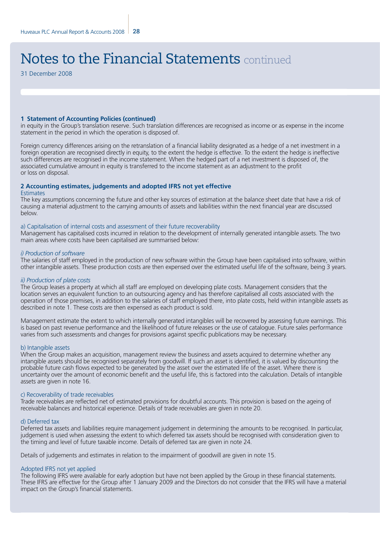31 December 2008

#### **1 Statement of Accounting Policies (continued)**

in equity in the Group's translation reserve. Such translation differences are recognised as income or as expense in the income statement in the period in which the operation is disposed of.

Foreign currency differences arising on the retranslation of a financial liability designated as a hedge of a net investment in a foreign operation are recognised directly in equity, to the extent the hedge is effective. To the extent the hedge is ineffective such differences are recognised in the income statement. When the hedged part of a net investment is disposed of, the associated cumulative amount in equity is transferred to the income statement as an adjustment to the profit or loss on disposal.

### **2 Accounting estimates, judgements and adopted IFRS not yet effective**

**Estimates** 

The key assumptions concerning the future and other key sources of estimation at the balance sheet date that have a risk of causing a material adjustment to the carrying amounts of assets and liabilities within the next financial year are discussed below.

#### a) Capitalisation of internal costs and assessment of their future recoverability

Management has capitalised costs incurred in relation to the development of internally generated intangible assets. The two main areas where costs have been capitalised are summarised below:

#### *i) Production of software*

The salaries of staff employed in the production of new software within the Group have been capitalised into software, within other intangible assets. These production costs are then expensed over the estimated useful life of the software, being 3 years.

### *ii) Production of plate costs*

The Group leases a property at which all staff are employed on developing plate costs. Management considers that the location serves an equivalent function to an outsourcing agency and has therefore capitalised all costs associated with the operation of those premises, in addition to the salaries of staff employed there, into plate costs, held within intangible assets as described in note 1. These costs are then expensed as each product is sold.

Management estimate the extent to which internally generated intangibles will be recovered by assessing future earnings. This is based on past revenue performance and the likelihood of future releases or the use of catalogue. Future sales performance varies from such assessments and changes for provisions against specific publications may be necessary.

#### b) Intangible assets

When the Group makes an acquisition, management review the business and assets acquired to determine whether any intangible assets should be recognised separately from goodwill. If such an asset is identified, it is valued by discounting the probable future cash flows expected to be generated by the asset over the estimated life of the asset. Where there is uncertainty over the amount of economic benefit and the useful life, this is factored into the calculation. Details of intangible assets are given in note 16.

#### c) Recoverability of trade receivables

Trade receivables are reflected net of estimated provisions for doubtful accounts. This provision is based on the ageing of receivable balances and historical experience. Details of trade receivables are given in note 20.

#### d) Deferred tax

Deferred tax assets and liabilities require management judgement in determining the amounts to be recognised. In particular, judgement is used when assessing the extent to which deferred tax assets should be recognised with consideration given to the timing and level of future taxable income. Details of deferred tax are given in note 24.

Details of judgements and estimates in relation to the impairment of goodwill are given in note 15.

#### Adopted IFRS not yet applied

The following IFRS were available for early adoption but have not been applied by the Group in these financial statements. These IFRS are effective for the Group after 1 January 2009 and the Directors do not consider that the IFRS will have a material impact on the Group's financial statements.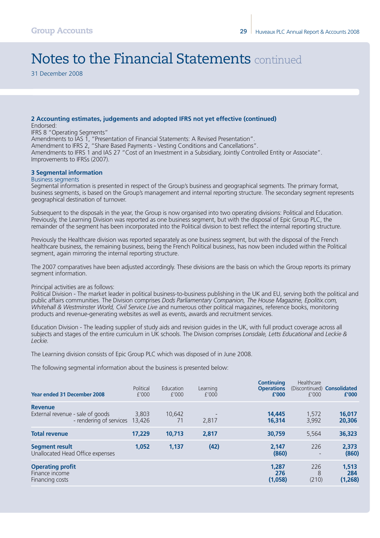31 December 2008

### **2 Accounting estimates, judgements and adopted IFRS not yet effective (continued)**

Endorsed:

IFRS 8 "Operating Segments" Amendments to IAS 1, "Presentation of Financial Statements: A Revised Presentation". Amendment to IFRS 2, "Share Based Payments - Vesting Conditions and Cancellations". Amendments to IFRS 1 and IAS 27 "Cost of an Investment in a Subsidiary, Jointly Controlled Entity or Associate". Improvements to IFRSs (2007).

### **3 Segmental information**

#### Business segments

Segmental information is presented in respect of the Group's business and geographical segments. The primary format, business segments, is based on the Group's management and internal reporting structure. The secondary segment represents geographical destination of turnover.

Subsequent to the disposals in the year, the Group is now organised into two operating divisions: Political and Education. Previously, the Learning Division was reported as one business segment, but with the disposal of Epic Group PLC, the remainder of the segment has been incorporated into the Political division to best reflect the internal reporting structure.

Previously the Healthcare division was reported separately as one business segment, but with the disposal of the French healthcare business, the remaining business, being the French Political business, has now been included within the Political segment, again mirroring the internal reporting structure.

The 2007 comparatives have been adjusted accordingly. These divisions are the basis on which the Group reports its primary segment information.

#### Principal activities are as follows:

Political Division - The market leader in political business-to-business publishing in the UK and EU, serving both the political and public affairs communities. The Division comprises *Dods Parliamentary Companion, The House Magazine, Epolitix.com, Whitehall & Westminster World, Civil Service Live* and numerous other political magazines, reference books, monitoring products and revenue-generating websites as well as events, awards and recruitment services.

Education Division - The leading supplier of study aids and revision guides in the UK, with full product coverage across all subjects and stages of the entire curriculum in UK schools. The Division comprises *Lonsdale, Letts Educational* and *Leckie & Leckie.*

The Learning division consists of Epic Group PLC which was disposed of in June 2008.

The following segmental information about the business is presented below:

| <b>Year ended 31 December 2008</b>                                                   | Political<br>f'000 | Education<br>f'000 | Learning<br>f'000 | <b>Continuing</b><br><b>Operations</b><br>f'000 | Healthcare<br>f'000 | (Discontinued) <b>Consolidated</b><br>f'000 |
|--------------------------------------------------------------------------------------|--------------------|--------------------|-------------------|-------------------------------------------------|---------------------|---------------------------------------------|
| <b>Revenue</b><br>External revenue - sale of goods<br>- rendering of services 13,426 | 3.803              | 10,642<br>71       | 2,817             | 14,445<br>16,314                                | 1,572<br>3,992      | 16,017<br>20,306                            |
| <b>Total revenue</b>                                                                 | 17,229             | 10,713             | 2.817             | 30.759                                          | 5,564               | 36,323                                      |
| Segment result<br>Unallocated Head Office expenses                                   | 1,052              | 1,137              | (42)              | 2.147<br>(860)                                  | 226                 | 2,373<br>(860)                              |
| <b>Operating profit</b><br>Finance income<br>Financing costs                         |                    |                    |                   | 1.287<br>276<br>(1,058)                         | 226<br>8<br>(210)   | 1,513<br>284<br>(1, 268)                    |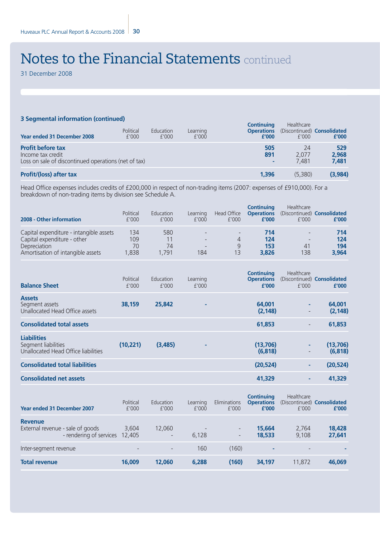31 December 2008

### **3 Segmental information (continued)**

| <b>Year ended 31 December 2008</b>                                                                    | Political<br>f'000                     | Education<br>f'000   | Learning<br>f'000     | <b>Continuing</b><br><b>Operations</b><br>f'000 | Healthcare<br>f'000 | (Discontinued) Consolidated<br>f'000 |
|-------------------------------------------------------------------------------------------------------|----------------------------------------|----------------------|-----------------------|-------------------------------------------------|---------------------|--------------------------------------|
| <b>Profit before tax</b><br>Income tax credit<br>Loss on sale of discontinued operations (net of tax) | 505<br>891<br>$\overline{\phantom{a}}$ | 24<br>2.077<br>7.481 | 529<br>2.968<br>7,481 |                                                 |                     |                                      |
| <b>Profit/(loss) after tax</b>                                                                        |                                        |                      |                       | 1,396                                           | (5,380)             | (3,984)                              |

Head Office expenses includes credits of £200,000 in respect of non-trading items (2007: expenses of £910,000). For a breakdown of non-trading items by division see Schedule A.

| 2008 - Other information                                                                                                    | Political<br>f'000       | Education<br>f'000 | Learning<br>f'000                                                | Head Office<br>f'000 | <b>Continuing</b><br><b>Operations</b><br>f'000 | Healthcare<br>f'000 | (Discontinued) <b>Consolidated</b><br>f'000 |
|-----------------------------------------------------------------------------------------------------------------------------|--------------------------|--------------------|------------------------------------------------------------------|----------------------|-------------------------------------------------|---------------------|---------------------------------------------|
| Capital expenditure - intangible assets<br>Capital expenditure - other<br>Depreciation<br>Amortisation of intangible assets | 134<br>109<br>70<br>838. | 580<br>74<br>1.791 | $\overline{\phantom{0}}$<br>$\overline{\phantom{a}}$<br>-<br>184 | 4<br>q<br>13         | 714<br>124<br>153<br>3,826                      | -<br>41<br>138      | 714<br>124<br>194<br>3,964                  |

| <b>Balance Sheet</b>                                                             | Political<br>f'000 | Education<br>f'000 | Learning<br>f'000 | <b>Continuing</b><br><b>Operations</b><br>f'000 | Healthcare<br>f'000           | (Discontinued) Consolidated<br>f'000 |
|----------------------------------------------------------------------------------|--------------------|--------------------|-------------------|-------------------------------------------------|-------------------------------|--------------------------------------|
| <b>Assets</b><br>Segment assets<br>Unallocated Head Office assets                | 38,159             | 25,842             | ٠                 | 64,001<br>(2, 148)                              | ٠<br>$\overline{\phantom{a}}$ | 64,001<br>(2, 148)                   |
| <b>Consolidated total assets</b>                                                 |                    |                    |                   | 61,853                                          | $\overline{\phantom{a}}$      | 61,853                               |
| <b>Liabilities</b><br>Segment liabilities<br>Unallocated Head Office liabilities | (10, 221)          | (3,485)            | ۰                 | (13,706)<br>(6, 818)                            | ٠<br>$\overline{\phantom{a}}$ | (13, 706)<br>(6, 818)                |
| <b>Consolidated total liabilities</b>                                            |                    |                    |                   | (20, 524)                                       | ٠                             | (20, 524)                            |
| <b>Consolidated net assets</b>                                                   |                    |                    |                   | 41,329                                          | ۰                             | 41,329                               |

| <b>Year ended 31 December 2007</b>                                                   | Political<br>f'000 | Education<br>f'000                 | Learning<br>f'000 | Eliminations<br>f'000 | <b>Continuing</b><br><b>Operations</b><br>f'000 | Healthcare<br>f'000 | (Discontinued) Consolidated<br>f'000 |
|--------------------------------------------------------------------------------------|--------------------|------------------------------------|-------------------|-----------------------|-------------------------------------------------|---------------------|--------------------------------------|
| <b>Revenue</b><br>External revenue - sale of goods<br>- rendering of services 12,405 | 3,604              | 12,060<br>$\overline{\phantom{a}}$ | 6.128             |                       | 15,664<br>18,533                                | 2,764<br>9.108      | 18,428<br>27,641                     |
| Inter-segment revenue                                                                |                    | $\overline{\phantom{a}}$           | 160               | (160)                 | ۰                                               |                     |                                      |
| <b>Total revenue</b>                                                                 | 16,009             | 12,060                             | 6,288             | (160)                 | 34,197                                          | 11,872              | 46,069                               |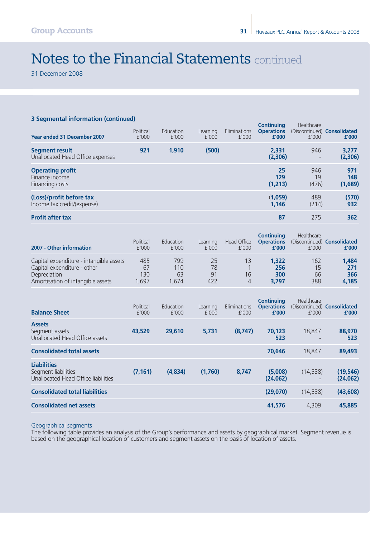31 December 2008

### **3 Segmental information (continued)**

| <b>Year ended 31 December 2007</b>                           | Political<br>f'000 | Education<br>f'000 | Learning<br>f'000 | Eliminations<br>f'000 | <b>Continuing</b><br><b>Operations</b><br>f'000 | Healthcare<br>(Discontinued) <b>Consolidated</b><br>f'000 | f'000                 |
|--------------------------------------------------------------|--------------------|--------------------|-------------------|-----------------------|-------------------------------------------------|-----------------------------------------------------------|-----------------------|
| <b>Segment result</b><br>Unallocated Head Office expenses    | 921                | 1,910              | (500)             |                       | 2,331<br>(2,306)                                | 946                                                       | 3,277<br>(2,306)      |
| <b>Operating profit</b><br>Finance income<br>Financing costs |                    |                    |                   |                       | 25<br>129<br>(1, 213)                           | 946<br>19<br>(476)                                        | 971<br>148<br>(1,689) |
| (Loss)/profit before tax<br>Income tax credit/(expense)      |                    |                    |                   |                       | (1,059)<br>1,146                                | 489<br>(214)                                              | (570)<br>932          |
| <b>Profit after tax</b>                                      |                    |                    |                   |                       | 87                                              | 275                                                       | 362                   |

| 2007 - Other information                                                                                                    | Political<br>f'000       | Education<br>f'000       | Learning<br>f'000     | Head Office<br>f'000       | <b>Continuing</b><br><b>Operations</b><br>f'000 | Healthcare<br>f'000    | (Discontinued) <b>Consolidated</b><br>f'000 |
|-----------------------------------------------------------------------------------------------------------------------------|--------------------------|--------------------------|-----------------------|----------------------------|-------------------------------------------------|------------------------|---------------------------------------------|
| Capital expenditure - intangible assets<br>Capital expenditure - other<br>Depreciation<br>Amortisation of intangible assets | 485<br>67<br>130<br>.697 | 799<br>110<br>63<br>.674 | 25<br>78<br>91<br>422 | 13<br>16<br>$\overline{4}$ | 1.322<br>256<br>300<br>3.797                    | 162<br>15<br>66<br>388 | 1,484<br>271<br>366<br>4,185                |

| <b>Balance Sheet</b>                                                             | Political<br>f'000 | Education<br>f'000 | Learning<br>f'000 | Eliminations<br>f'000 | <b>Continuina</b><br><b>Operations</b><br>f'000 | Healthcare<br>(Discontinued) Consolidated<br>f'000 | f'000                  |
|----------------------------------------------------------------------------------|--------------------|--------------------|-------------------|-----------------------|-------------------------------------------------|----------------------------------------------------|------------------------|
| <b>Assets</b><br>Segment assets<br>Unallocated Head Office assets                | 43,529             | 29,610             | 5,731             | (8, 747)              | 70.123<br>523                                   | 18,847                                             | 88,970<br>523          |
| <b>Consolidated total assets</b>                                                 |                    |                    |                   |                       | 70,646                                          | 18,847                                             | 89,493                 |
| <b>Liabilities</b><br>Segment liabilities<br>Unallocated Head Office liabilities | (7, 161)           | (4,834)            | (1,760)           | 8,747                 | (5,008)<br>(24,062)                             | (14, 538)                                          | (19, 546)<br>(24, 062) |
| <b>Consolidated total liabilities</b>                                            |                    |                    |                   |                       | (29,070)                                        | (14, 538)                                          | (43, 608)              |
| <b>Consolidated net assets</b>                                                   |                    |                    |                   |                       | 41,576                                          | 4,309                                              | 45,885                 |

### Geographical segments

The following table provides an analysis of the Group's performance and assets by geographical market. Segment revenue is based on the geographical location of customers and segment assets on the basis of location of assets.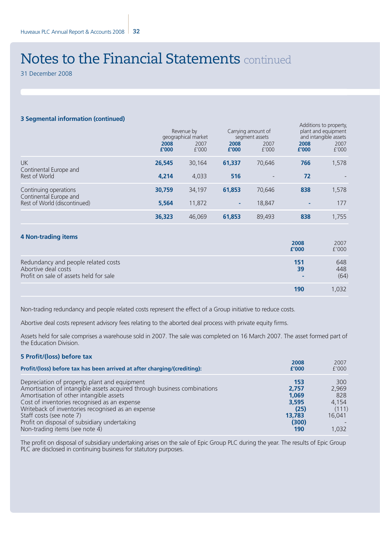31 December 2008

### **3 Segmental information (continued)**

|                                                 | 2008<br>£'000 | Revenue by<br>geographical market<br>2007<br>f'000 | 2008<br>f'000 | Carrying amount of<br>segment assets<br>2007<br>f'000 | 2008<br>f'000 | <i>I</i> luditions to property,<br>plant and equipment<br>and intangible assets<br>2007<br>f'000 |
|-------------------------------------------------|---------------|----------------------------------------------------|---------------|-------------------------------------------------------|---------------|--------------------------------------------------------------------------------------------------|
| <b>UK</b><br>Continental Europe and             | 26,545        | 30,164                                             | 61,337        | 70,646                                                | 766           | 1,578                                                                                            |
| Rest of World                                   | 4,214         | 4,033                                              | 516           | ٠                                                     | 72            |                                                                                                  |
| Continuing operations<br>Continental Europe and | 30,759        | 34,197                                             | 61,853        | 70.646                                                | 838           | 1,578                                                                                            |
| Rest of World (discontinued)                    | 5,564         | 11,872                                             | ۰.            | 18,847                                                | ۰             | 177                                                                                              |
|                                                 | 36,323        | 46,069                                             | 61,853        | 89,493                                                | 838           | 1,755                                                                                            |

Additions to property,

#### **4 Non-trading items**

|                                                                                                      | 2008<br>f'000                         | 2007<br>f'000      |
|------------------------------------------------------------------------------------------------------|---------------------------------------|--------------------|
| Redundancy and people related costs<br>Abortive deal costs<br>Profit on sale of assets held for sale | 151<br>39<br>$\overline{\phantom{0}}$ | 648<br>448<br>(64) |
|                                                                                                      | 190                                   | 1,032              |

Non-trading redundancy and people related costs represent the effect of a Group initiative to reduce costs.

Abortive deal costs represent advisory fees relating to the aborted deal process with private equity firms.

Assets held for sale comprises a warehouse sold in 2007. The sale was completed on 16 March 2007. The asset formed part of the Education Division.

#### **5 Profit/(loss) before tax**

| Profit/(loss) before tax has been arrived at after charging/(crediting):                                                                                                                                                                                                                                                                                                                | 2008<br>£'000                                                    | 2007<br>f'000                                            |
|-----------------------------------------------------------------------------------------------------------------------------------------------------------------------------------------------------------------------------------------------------------------------------------------------------------------------------------------------------------------------------------------|------------------------------------------------------------------|----------------------------------------------------------|
| Depreciation of property, plant and equipment<br>Amortisation of intangible assets acquired through business combinations<br>Amortisation of other intangible assets<br>Cost of inventories recognised as an expense<br>Writeback of inventories recognised as an expense<br>Staff costs (see note 7)<br>Profit on disposal of subsidiary undertaking<br>Non-trading items (see note 4) | 153<br>2.757<br>1.069<br>3,595<br>(25)<br>13,783<br>(300)<br>190 | 300<br>2,969<br>828<br>4.154<br>(111)<br>16,041<br>1.032 |

The profit on disposal of subsidiary undertaking arises on the sale of Epic Group PLC during the year. The results of Epic Group PLC are disclosed in continuing business for statutory purposes.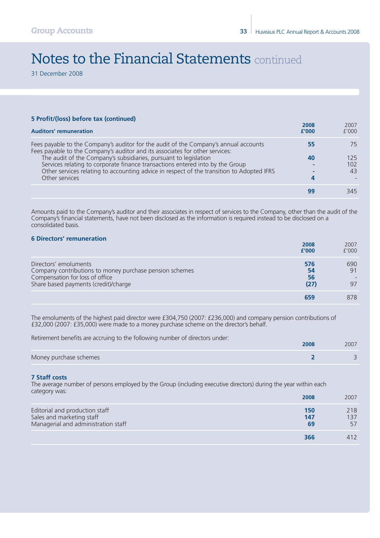31 December 2008

### **5 Profit/(loss) before tax (continued)**

| <b>Auditors' remuneration</b>                                                                                                                                                                                                                                    | 2008<br>f'000 | 2007<br>f'000    |
|------------------------------------------------------------------------------------------------------------------------------------------------------------------------------------------------------------------------------------------------------------------|---------------|------------------|
| Fees payable to the Company's auditor for the audit of the Company's annual accounts<br>Fees payable to the Company's auditor and its associates for other services:                                                                                             |               | 75               |
| The audit of the Company's subsidiaries, pursuant to legislation<br>Services relating to corporate finance transactions entered into by the Group<br>Other services relating to accounting advice in respect of the transition to Adopted IFRS<br>Other services | 40            | 125<br>102<br>43 |
|                                                                                                                                                                                                                                                                  |               | 345.             |

Amounts paid to the Company's auditor and their associates in respect of services to the Company, other than the audit of the Company's financial statements, have not been disclosed as the information is required instead to be disclosed on a consolidated basis.

#### **6 Directors' remuneration**

|                                                                                                                                                             | 2008<br>f'000           | 2007<br>f'000   |
|-------------------------------------------------------------------------------------------------------------------------------------------------------------|-------------------------|-----------------|
| Directors' emoluments<br>Company contributions to money purchase pension schemes<br>Compensation for loss of office<br>Share based payments (credit)/charge | 576<br>54<br>56<br>(27) | 690<br>91<br>97 |
|                                                                                                                                                             | 659                     | 878             |

The emoluments of the highest paid director were £304,750 (2007: £236,000) and company pension contributions of £32,000 (2007: £35,000) were made to a money purchase scheme on the director's behalf.

| Retirement benefits are accruing to the following number of directors under: | 2008 | 2007 |
|------------------------------------------------------------------------------|------|------|
| Money purchase schemes                                                       |      |      |

### **7 Staff costs**

The average number of persons employed by the Group (including executive directors) during the year within each category was:

|                                                                                                    | 2008       | 2007             |
|----------------------------------------------------------------------------------------------------|------------|------------------|
| Editorial and production staff<br>Sales and marketing staff<br>Managerial and administration staff | 150<br>147 | 218<br>137<br>57 |
|                                                                                                    | 366        | 412              |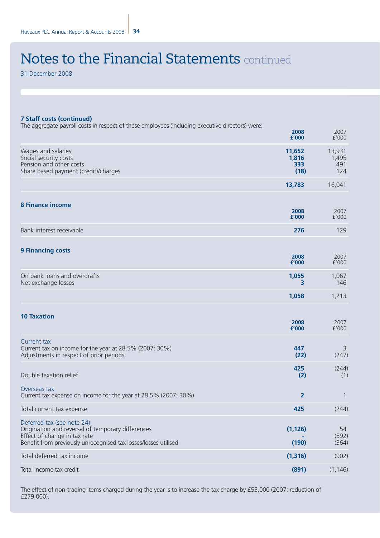31 December 2008

### **7 Staff costs (continued)**

The aggregate payroll costs in respect of these employees (including executive directors) were:

|                                                                                                                                                                                    | 2008<br>f'000                  | 2007<br>f'000                 |
|------------------------------------------------------------------------------------------------------------------------------------------------------------------------------------|--------------------------------|-------------------------------|
| Wages and salaries<br>Social security costs<br>Pension and other costs<br>Share based payment (credit)/charges                                                                     | 11,652<br>1,816<br>333<br>(18) | 13,931<br>1,495<br>491<br>124 |
|                                                                                                                                                                                    | 13,783                         | 16,041                        |
| <b>8 Finance income</b>                                                                                                                                                            | 2008<br>f'000                  | 2007<br>f'000                 |
| Bank interest receivable                                                                                                                                                           | 276                            | 129                           |
| <b>9 Financing costs</b>                                                                                                                                                           | 2008<br>f'000                  | 2007<br>f'000                 |
| On bank loans and overdrafts<br>Net exchange losses                                                                                                                                | 1,055<br>3                     | 1,067<br>146                  |
|                                                                                                                                                                                    | 1,058                          | 1,213                         |
| <b>10 Taxation</b>                                                                                                                                                                 | 2008<br>f'000                  | 2007<br>f'000                 |
| Current tax<br>Current tax on income for the year at 28.5% (2007: 30%)<br>Adjustments in respect of prior periods                                                                  | 447<br>(22)                    | 3<br>(247)                    |
| Double taxation relief                                                                                                                                                             | 425<br>(2)                     | (244)<br>(1)                  |
| Overseas tax<br>Current tax expense on income for the year at 28.5% (2007: 30%)                                                                                                    | $\overline{2}$                 | 1                             |
| Total current tax expense                                                                                                                                                          | 425                            | (244)                         |
| Deferred tax (see note 24)<br>Origination and reversal of temporary differences<br>Effect of change in tax rate<br>Benefit from previously unrecognised tax losses/losses utilised | (1, 126)<br>(190)              | 54<br>(592)<br>(364)          |
| Total deferred tax income                                                                                                                                                          | (1, 316)                       | (902)                         |
| Total income tax credit                                                                                                                                                            | (891)                          | (1, 146)                      |

The effect of non-trading items charged during the year is to increase the tax charge by £53,000 (2007: reduction of £279,000).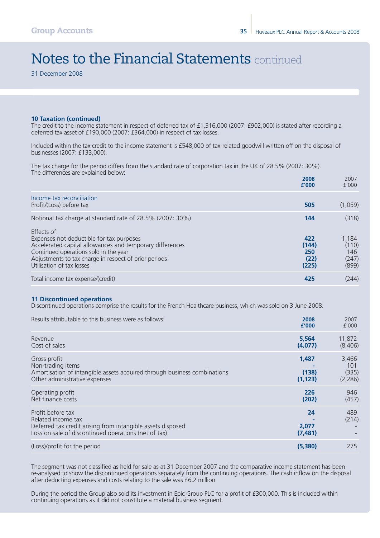31 December 2008

#### **10 Taxation (continued)**

The credit to the income statement in respect of deferred tax of £1,316,000 (2007: £902,000) is stated after recording a deferred tax asset of £190,000 (2007: £364,000) in respect of tax losses.

Included within the tax credit to the income statement is £548,000 of tax-related goodwill written off on the disposal of businesses (2007: £133,000).

The tax charge for the period differs from the standard rate of corporation tax in the UK of 28.5% (2007: 30%). The differences are explained below:

|                                                                                                                                                                                                                                                    | 2008<br>f'000                        | 2007<br>f'000                           |
|----------------------------------------------------------------------------------------------------------------------------------------------------------------------------------------------------------------------------------------------------|--------------------------------------|-----------------------------------------|
| Income tax reconciliation<br>Profit/(Loss) before tax                                                                                                                                                                                              | 505                                  | (1,059)                                 |
| Notional tax charge at standard rate of 28.5% (2007: 30%)                                                                                                                                                                                          | 144                                  | (318)                                   |
| Effects of:<br>Expenses not deductible for tax purposes<br>Accelerated capital allowances and temporary differences<br>Continued operations sold in the year<br>Adjustments to tax charge in respect of prior periods<br>Utilisation of tax losses | 422<br>(144)<br>250<br>(22)<br>(225) | 1,184<br>(110)<br>146<br>(247)<br>(899) |
| Total income tax expense/(credit)                                                                                                                                                                                                                  | 425                                  | (244)                                   |

#### **11 Discontinued operations**

Discontinued operations comprise the results for the French Healthcare business, which was sold on 3 June 2008.

| Results attributable to this business were as follows:                                                                                                         | 2008<br>f'000              | 2007<br>f'000                    |
|----------------------------------------------------------------------------------------------------------------------------------------------------------------|----------------------------|----------------------------------|
| Revenue<br>Cost of sales                                                                                                                                       | 5,564<br>(4,077)           | 11,872<br>(8,406)                |
| Gross profit<br>Non-trading items<br>Amortisation of intangible assets acquired through business combinations<br>Other administrative expenses                 | 1,487<br>(138)<br>(1, 123) | 3,466<br>101<br>(335)<br>(2,286) |
| Operating profit<br>Net finance costs                                                                                                                          | 226<br>(202)               | 946<br>(457)                     |
| Profit before tax<br>Related income tax<br>Deferred tax credit arising from intangible assets disposed<br>Loss on sale of discontinued operations (net of tax) | 24<br>2,077<br>(7, 481)    | 489<br>(214)                     |
| (Loss)/profit for the period                                                                                                                                   | (5,380)                    | 275                              |

The segment was not classified as held for sale as at 31 December 2007 and the comparative income statement has been re-analysed to show the discontinued operations separately from the continuing operations. The cash inflow on the disposal after deducting expenses and costs relating to the sale was £6.2 million.

During the period the Group also sold its investment in Epic Group PLC for a profit of £300,000. This is included within continuing operations as it did not constitute a material business segment.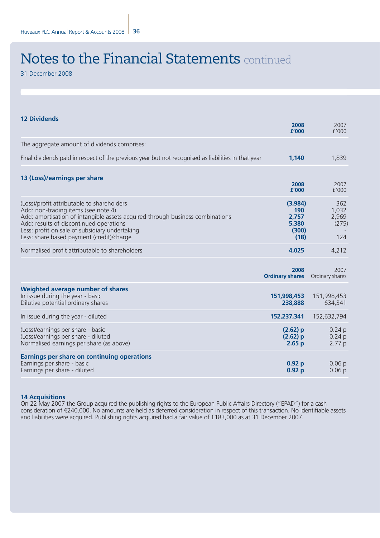31 December 2008

### **12 Dividends**

|                                                                                                                                                                                                                                                                                                              | 2008<br>f'000                                     | 2007<br>f'000                          |
|--------------------------------------------------------------------------------------------------------------------------------------------------------------------------------------------------------------------------------------------------------------------------------------------------------------|---------------------------------------------------|----------------------------------------|
| The aggregate amount of dividends comprises:                                                                                                                                                                                                                                                                 |                                                   |                                        |
| Final dividends paid in respect of the previous year but not recognised as liabilities in that year                                                                                                                                                                                                          | 1,140                                             | 1,839                                  |
| 13 (Loss)/earnings per share                                                                                                                                                                                                                                                                                 | 2008<br>f'000                                     | 2007<br>f'000                          |
| (Loss)/profit attributable to shareholders<br>Add: non-trading items (see note 4)<br>Add: amortisation of intangible assets acquired through business combinations<br>Add: results of discontinued operations<br>Less: profit on sale of subsidiary undertaking<br>Less: share based payment (credit)/charge | (3,984)<br>190<br>2,757<br>5,380<br>(300)<br>(18) | 362<br>1,032<br>2,969<br>(275)<br>124  |
| Normalised profit attributable to shareholders                                                                                                                                                                                                                                                               | 4,025                                             | 4,212                                  |
|                                                                                                                                                                                                                                                                                                              | 2008<br><b>Ordinary shares</b>                    | 2007<br>Ordinary shares                |
| Weighted average number of shares<br>In issue during the year - basic<br>Dilutive potential ordinary shares                                                                                                                                                                                                  | 151,998,453<br>238,888                            | 151,998,453<br>634,341                 |
| In issue during the year - diluted                                                                                                                                                                                                                                                                           | 152,237,341                                       | 152,632,794                            |
| (Loss)/earnings per share - basic<br>(Loss)/earnings per share - diluted<br>Normalised earnings per share (as above)                                                                                                                                                                                         | $(2.62)$ p<br>$(2.62)$ p<br>2.65 <sub>p</sub>     | 0.24p<br>0.24 p<br>2.77 p              |
| <b>Earnings per share on continuing operations</b><br>Earnings per share - basic<br>Earnings per share - diluted                                                                                                                                                                                             | 0.92 <sub>p</sub><br>0.92 <sub>p</sub>            | 0.06 <sub>p</sub><br>0.06 <sub>p</sub> |

### **14 Acquisitions**

On 22 May 2007 the Group acquired the publishing rights to the European Public Affairs Directory ("EPAD") for a cash consideration of €240,000. No amounts are held as deferred consideration in respect of this transaction. No identifiable assets and liabilities were acquired. Publishing rights acquired had a fair value of £183,000 as at 31 December 2007.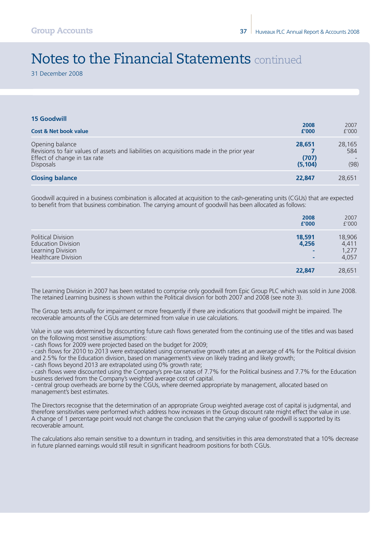31 December 2008

| <b>15 Goodwill</b>                                                                                                                                               | 2008                        | 2007                  |
|------------------------------------------------------------------------------------------------------------------------------------------------------------------|-----------------------------|-----------------------|
| <b>Cost &amp; Net book value</b>                                                                                                                                 | f'000                       | f'000                 |
| Opening balance<br>Revisions to fair values of assets and liabilities on acquisitions made in the prior year<br>Effect of change in tax rate<br><b>Disposals</b> | 28,651<br>(707)<br>(5, 104) | 28,165<br>584<br>(98) |
| <b>Closing balance</b>                                                                                                                                           | 22,847                      | 28,651                |

Goodwill acquired in a business combination is allocated at acquisition to the cash-generating units (CGUs) that are expected to benefit from that business combination. The carrying amount of goodwill has been allocated as follows:

|                                                                                                           | 2008<br>f'000             | 2007<br>f'000                     |
|-----------------------------------------------------------------------------------------------------------|---------------------------|-----------------------------------|
| <b>Political Division</b><br><b>Education Division</b><br>Learning Division<br><b>Healthcare Division</b> | 18,591<br>4,256<br>٠<br>۰ | 18,906<br>4,411<br>1,277<br>4,057 |
|                                                                                                           | 22,847                    | 28,651                            |

The Learning Division in 2007 has been restated to comprise only goodwill from Epic Group PLC which was sold in June 2008. The retained Learning business is shown within the Political division for both 2007 and 2008 (see note 3).

The Group tests annually for impairment or more frequently if there are indications that goodwill might be impaired. The recoverable amounts of the CGUs are determined from value in use calculations.

Value in use was determined by discounting future cash flows generated from the continuing use of the titles and was based on the following most sensitive assumptions:

- cash flows for 2009 were projected based on the budget for 2009;

- cash flows for 2010 to 2013 were extrapolated using conservative growth rates at an average of 4% for the Political division and 2.5% for the Education division, based on management's view on likely trading and likely growth;

- cash flows beyond 2013 are extrapolated using 0% growth rate;

- cash flows were discounted using the Company's pre-tax rates of 7.7% for the Political business and 7.7% for the Education business derived from the Company's weighted average cost of capital.

- central group overheads are borne by the CGUs, where deemed appropriate by management, allocated based on management's best estimates.

The Directors recognise that the determination of an appropriate Group weighted average cost of capital is judgmental, and therefore sensitivities were performed which address how increases in the Group discount rate might effect the value in use. A change of 1 percentage point would not change the conclusion that the carrying value of goodwill is supported by its recoverable amount.

The calculations also remain sensitive to a downturn in trading, and sensitivities in this area demonstrated that a 10% decrease in future planned earnings would still result in significant headroom positions for both CGUs.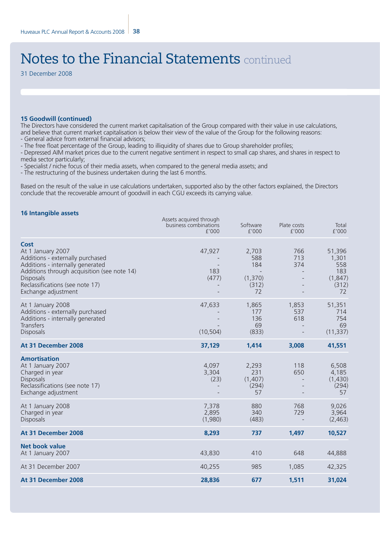31 December 2008

#### **15 Goodwill (continued)**

The Directors have considered the current market capitalisation of the Group compared with their value in use calculations, and believe that current market capitalisation is below their view of the value of the Group for the following reasons: - General advice from external financial advisors;

- The free float percentage of the Group, leading to illiquidity of shares due to Group shareholder profiles;

- Depressed AIM market prices due to the current negative sentiment in respect to small cap shares, and shares in respect to media sector particularly;

- Specialist / niche focus of their media assets, when compared to the general media assets; and
- The restructuring of the business undertaken during the last 6 months.

Based on the result of the value in use calculations undertaken, supported also by the other factors explained, the Directors conclude that the recoverable amount of goodwill in each CGU exceeds its carrying value.

### **16 Intangible assets**

|                                                                                                                                                                                                                                | Assets acquired through<br>business combinations<br>f'000 | Software<br>f'000                             | Plate costs<br>f'000 | Total<br>f'000                                           |
|--------------------------------------------------------------------------------------------------------------------------------------------------------------------------------------------------------------------------------|-----------------------------------------------------------|-----------------------------------------------|----------------------|----------------------------------------------------------|
| Cost<br>At 1 January 2007<br>Additions - externally purchased<br>Additions - internally generated<br>Additions through acquisition (see note 14)<br><b>Disposals</b><br>Reclassifications (see note 17)<br>Exchange adjustment | 47,927<br>183<br>(477)                                    | 2,703<br>588<br>184<br>(1,370)<br>(312)<br>72 | 766<br>713<br>374    | 51,396<br>1,301<br>558<br>183<br>(1, 847)<br>(312)<br>72 |
| At 1 January 2008<br>Additions - externally purchased<br>Additions - internally generated<br><b>Transfers</b><br><b>Disposals</b>                                                                                              | 47,633<br>(10, 504)                                       | 1,865<br>177<br>136<br>69<br>(833)            | 1,853<br>537<br>618  | 51,351<br>714<br>754<br>69<br>(11, 337)                  |
| At 31 December 2008                                                                                                                                                                                                            | 37,129                                                    | 1,414                                         | 3,008                | 41,551                                                   |
| <b>Amortisation</b><br>At 1 January 2007<br>Charged in year<br><b>Disposals</b><br>Reclassifications (see note 17)<br>Exchange adjustment                                                                                      | 4,097<br>3,304<br>(23)                                    | 2,293<br>231<br>(1,407)<br>(294)<br>57        | 118<br>650           | 6,508<br>4,185<br>(1,430)<br>(294)<br>57                 |
| At 1 January 2008<br>Charged in year<br><b>Disposals</b>                                                                                                                                                                       | 7,378<br>2,895<br>(1,980)                                 | 880<br>340<br>(483)                           | 768<br>729           | 9,026<br>3,964<br>(2,463)                                |
| At 31 December 2008                                                                                                                                                                                                            | 8,293                                                     | 737                                           | 1,497                | 10,527                                                   |
| <b>Net book value</b><br>At 1 January 2007                                                                                                                                                                                     | 43,830                                                    | 410                                           | 648                  | 44,888                                                   |
| At 31 December 2007                                                                                                                                                                                                            | 40,255                                                    | 985                                           | 1,085                | 42,325                                                   |
| At 31 December 2008                                                                                                                                                                                                            | 28,836                                                    | 677                                           | 1,511                | 31,024                                                   |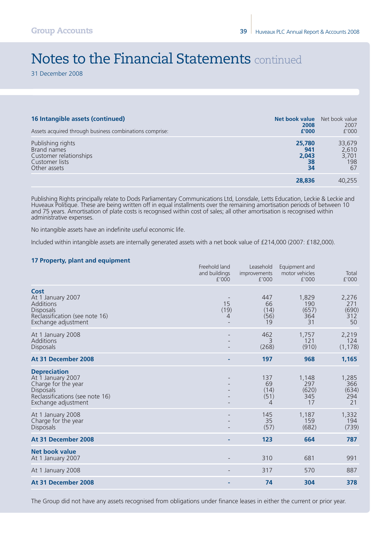31 December 2008

| 16 Intangible assets (continued)<br>Net book value<br>Assets acquired through business combinations comprise: | 2008<br>£'000            | Net book value<br>2007<br>f'000       |
|---------------------------------------------------------------------------------------------------------------|--------------------------|---------------------------------------|
| Publishing rights<br>25,780<br>Brand names<br>Customer relationships<br>Customer lists<br>Other assets        | 941<br>2,043<br>38<br>34 | 33,679<br>2,610<br>3,701<br>198<br>67 |
| 28,836                                                                                                        |                          | 40,255                                |

Publishing Rights principally relate to Dods Parliamentary Communications Ltd, Lonsdale, Letts Education, Leckie & Leckie and Huveaux Politique. These are being written off in equal installments over the remaining amortisation periods of between 10 and 75 years. Amortisation of plate costs is recognised within cost of sales; all other amortisation is recognised within administrative expenses.

No intangible assets have an indefinite useful economic life.

Included within intangible assets are internally generated assets with a net book value of £214,000 (2007: £182,000).

#### **17 Property, plant and equipment**

|                                                                                                                                               | Freehold land<br>and buildings<br>f'000 | Leasehold<br>improvements<br>f'000 | Equipment and<br>motor vehicles<br>f'000 | Total<br>f'000                     |
|-----------------------------------------------------------------------------------------------------------------------------------------------|-----------------------------------------|------------------------------------|------------------------------------------|------------------------------------|
| Cost<br>At 1 January 2007<br><b>Additions</b><br><b>Disposals</b><br>Reclassification (see note 16)<br>Exchange adjustment                    | 15<br>(19)<br>4                         | 447<br>66<br>(14)<br>(56)<br>19    | 1,829<br>190<br>(657)<br>364<br>31       | 2,276<br>271<br>(690)<br>312<br>50 |
| At 1 January 2008<br>Additions<br><b>Disposals</b>                                                                                            |                                         | 462<br>3<br>(268)                  | 1,757<br>121<br>(910)                    | 2,219<br>124<br>(1, 178)           |
| At 31 December 2008                                                                                                                           |                                         | 197                                | 968                                      | 1,165                              |
| <b>Depreciation</b><br>At 1 January 2007<br>Charge for the year<br><b>Disposals</b><br>Reclassifications (see note 16)<br>Exchange adjustment |                                         | 137<br>69<br>(14)<br>(51)<br>4     | 1,148<br>297<br>(620)<br>345<br>17       | 1,285<br>366<br>(634)<br>294<br>21 |
| At 1 January 2008<br>Charge for the year<br><b>Disposals</b>                                                                                  |                                         | 145<br>35<br>(57)                  | 1,187<br>159<br>(682)                    | 1,332<br>194<br>(739)              |
| At 31 December 2008                                                                                                                           |                                         | 123                                | 664                                      | 787                                |
| <b>Net book value</b><br>At 1 January 2007                                                                                                    |                                         | 310                                | 681                                      | 991                                |
| At 1 January 2008                                                                                                                             |                                         | 317                                | 570                                      | 887                                |
| At 31 December 2008                                                                                                                           |                                         | 74                                 | 304                                      | 378                                |

The Group did not have any assets recognised from obligations under finance leases in either the current or prior year.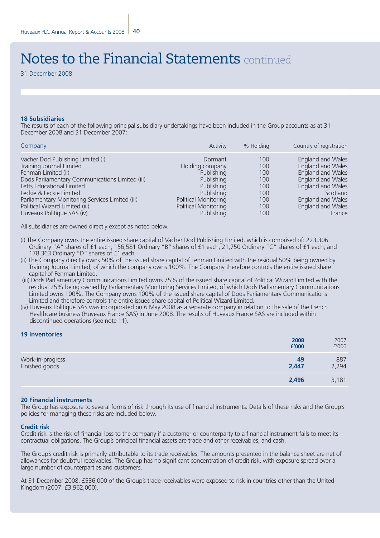31 December 2008

#### **18 Subsidiaries**

The results of each of the following principal subsidiary undertakings have been included in the Group accounts as at 31 December 2008 and 31 December 2007:

| Company                                         | <b>Activity</b>             | % Holding | Country of registration |
|-------------------------------------------------|-----------------------------|-----------|-------------------------|
| Vacher Dod Publishing Limited (i)               | Dormant                     | 100       | England and Wales       |
| Training Journal Limited                        | Holding company             | 100       | England and Wales       |
| Fenman Limited (ii)                             | Publishing                  | 100       | England and Wales       |
| Dods Parliamentary Communications Limited (iii) | Publishing                  | 100       | England and Wales       |
| Letts Educational Limited                       | Publishing                  | 100       | England and Wales       |
| Leckie & Leckie Limited                         | Publishing                  | 100       | Scotland                |
| Parliamentary Monitoring Services Limited (iii) | <b>Political Monitoring</b> | 100       | England and Wales       |
| Political Wizard Limited (iii)                  | <b>Political Monitoring</b> | 100       | England and Wales       |
| Huveaux Politique SAS (iv)                      | Publishing                  | 100       | France                  |

All subsidiaries are owned directly except as noted below.

- (i) The Company owns the entire issued share capital of Vacher Dod Publishing Limited, which is comprised of: 223,306 Ordinary "A" shares of £1 each; 156,581 Ordinary "B" shares of £1 each; 21,750 Ordinary "C" shares of £1 each; and 178,363 Ordinary "D" shares of £1 each.
- (ii) The Company directly owns 50% of the issued share capital of Fenman Limited with the residual 50% being owned by Training Journal Limited, of which the company owns 100%. The Company therefore controls the entire issued share capital of Fenman Limited.
- (iii) Dods Parliamentary Communications Limited owns 75% of the issued share capital of Political Wizard Limited with the residual 25% being owned by Parliamentary Monitoring Services Limited, of which Dods Parliamentary Communications Limited owns 100%. The Company owns 100% of the issued share capital of Dods Parliamentary Communications Limited and therefore controls the entire issued share capital of Political Wizard Limited.
- (iv) Huveaux Politique SAS was incorporated on 6 May 2008 as a separate company in relation to the sale of the French Healthcare business (Huveaux France SAS) in June 2008. The results of Huveaux France SAS are included within discontinued operations (see note 11).

#### **19 Inventories**

| . <b>.</b>                         | 2008<br>f'000 | 2007<br>f'000 |
|------------------------------------|---------------|---------------|
| Work-in-progress<br>Finished goods | 49<br>2,447   | 887<br>2,294  |
|                                    | 2,496         | 3,181         |

#### **20 Financial instruments**

The Group has exposure to several forms of risk through its use of financial instruments. Details of these risks and the Group's policies for managing these risks are included below.

#### **Credit risk**

Credit risk is the risk of financial loss to the company if a customer or counterparty to a financial instrument fails to meet its contractual obligations. The Group's principal financial assets are trade and other receivables, and cash.

The Group's credit risk is primarily attributable to its trade receivables. The amounts presented in the balance sheet are net of allowances for doubtful receivables. The Group has no significant concentration of credit risk, with exposure spread over a large number of counterparties and customers.

At 31 December 2008, £536,000 of the Group's trade receivables were exposed to risk in countries other than the United Kingdom (2007: £3,962,000).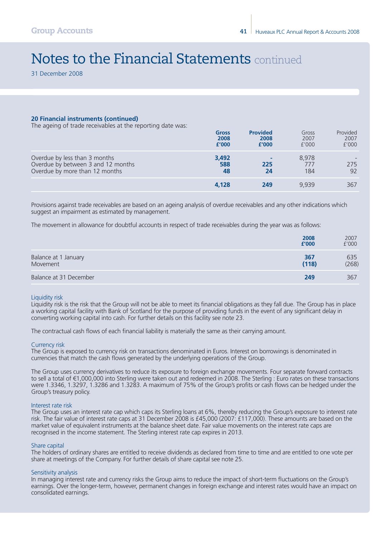31 December 2008

### **20 Financial instruments (continued)**

The ageing of trade receivables at the reporting date was:

|                                                                                                       | Gross<br>2008<br>f'000 | <b>Provided</b><br>2008<br>f'000 | Gross<br>2007<br>f'000 | Provided<br>2007<br>f'000 |
|-------------------------------------------------------------------------------------------------------|------------------------|----------------------------------|------------------------|---------------------------|
| Overdue by less than 3 months<br>Overdue by between 3 and 12 months<br>Overdue by more than 12 months | 3,492<br>588<br>48     | 225<br>24                        | 8,978<br>777<br>184    | 275<br>92                 |
|                                                                                                       | 4,128                  | 249                              | 9.939                  | 367                       |

Provisions against trade receivables are based on an ageing analysis of overdue receivables and any other indications which suggest an impairment as estimated by management.

The movement in allowance for doubtful accounts in respect of trade receivables during the year was as follows:

|                                  | 2008<br>f'000 | 2007<br>f'000 |
|----------------------------------|---------------|---------------|
| Balance at 1 January<br>Movement | 367<br>(118)  | 635<br>(268)  |
| Balance at 31 December           | 249           | 367           |

#### Liquidity risk

Liquidity risk is the risk that the Group will not be able to meet its financial obligations as they fall due. The Group has in place a working capital facility with Bank of Scotland for the purpose of providing funds in the event of any significant delay in converting working capital into cash. For further details on this facility see note 23.

The contractual cash flows of each financial liability is materially the same as their carrying amount.

#### Currency risk

The Group is exposed to currency risk on transactions denominated in Euros. Interest on borrowings is denominated in currencies that match the cash flows generated by the underlying operations of the Group.

The Group uses currency derivatives to reduce its exposure to foreign exchange movements. Four separate forward contracts to sell a total of €1,000,000 into Sterling were taken out and redeemed in 2008. The Sterling : Euro rates on these transactions were 1.3346, 1.3297, 1.3286 and 1.3283. A maximum of 75% of the Group's profits or cash flows can be hedged under the Group's treasury policy.

#### Interest rate risk

The Group uses an interest rate cap which caps its Sterling loans at 6%, thereby reducing the Group's exposure to interest rate risk. The fair value of interest rate caps at 31 December 2008 is £45,000 (2007: £117,000). These amounts are based on the market value of equivalent instruments at the balance sheet date. Fair value movements on the interest rate caps are recognised in the income statement. The Sterling interest rate cap expires in 2013.

#### Share capital

The holders of ordinary shares are entitled to receive dividends as declared from time to time and are entitled to one vote per share at meetings of the Company. For further details of share capital see note 25.

#### Sensitivity analysis

In managing interest rate and currency risks the Group aims to reduce the impact of short-term fluctuations on the Group's earnings. Over the longer-term, however, permanent changes in foreign exchange and interest rates would have an impact on consolidated earnings.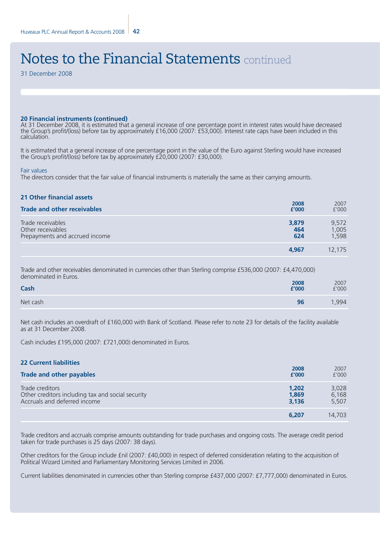31 December 2008

#### **20 Financial instruments (continued)**

At 31 December 2008, it is estimated that a general increase of one percentage point in interest rates would have decreased the Group's profit/(loss) before tax by approximately £16,000 (2007: £53,000). Interest rate caps have been included in this calculation.

It is estimated that a general increase of one percentage point in the value of the Euro against Sterling would have increased the Group's profit/(loss) before tax by approximately £20,000 (2007: £30,000).

#### Fair values

The directors consider that the fair value of financial instruments is materially the same as their carrying amounts.

#### **21 Other financial assets**

| Trade and other receivables                                              | 2008<br>f'000       | 2007<br>f'000           |
|--------------------------------------------------------------------------|---------------------|-------------------------|
| Trade receivables<br>Other receivables<br>Prepayments and accrued income | 3,879<br>464<br>624 | 9,572<br>1,005<br>1.598 |
|                                                                          | 4,967               | 12,175                  |

Trade and other receivables denominated in currencies other than Sterling comprise £536,000 (2007: £4,470,000) denominated in Euros.

| <b>Cash</b> | 2008<br>£'000 | 2007<br>f'000 |
|-------------|---------------|---------------|
| Net cash    | 96            | 1,994         |

Net cash includes an overdraft of £160,000 with Bank of Scotland. Please refer to note 23 for details of the facility available as at 31 December 2008.

Cash includes £195,000 (2007: £721,000) denominated in Euros.

#### **22 Current liabilities**

| Trade and other payables                                                                             | 2008<br>£'000           | 2007<br>f'000           |
|------------------------------------------------------------------------------------------------------|-------------------------|-------------------------|
| Trade creditors<br>Other creditors including tax and social security<br>Accruals and deferred income | 1,202<br>1,869<br>3,136 | 3,028<br>6.168<br>5,507 |
|                                                                                                      | 6,207                   | 14,703                  |

Trade creditors and accruals comprise amounts outstanding for trade purchases and ongoing costs. The average credit period taken for trade purchases is 25 days (2007: 38 days).

Other creditors for the Group include £nil (2007: £40,000) in respect of deferred consideration relating to the acquisition of Political Wizard Limited and Parliamentary Monitoring Services Limited in 2006.

Current liabilities denominated in currencies other than Sterling comprise £437,000 (2007: £7,777,000) denominated in Euros.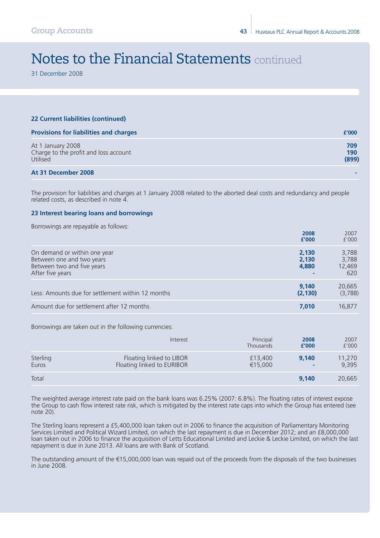31 December 2008

### **22 Current liabilities (continued)**

| <b>Provisions for liabilities and charges</b>                          | f'000               |
|------------------------------------------------------------------------|---------------------|
| At 1 January 2008<br>Charge to the profit and loss account<br>Utilised | 709<br>190<br>(899) |
| At 31 December 2008                                                    |                     |

#### The provision for liabilities and charges at 1 January 2008 related to the aborted deal costs and redundancy and people related costs, as described in note 4.

#### **23 Interest bearing loans and borrowings**

Borrowings are repayable as follows:

|                                                                                                             | 2008<br>f'000           | 2007<br>f'000                   |
|-------------------------------------------------------------------------------------------------------------|-------------------------|---------------------------------|
| On demand or within one year<br>Between one and two years<br>Between two and five years<br>After five years | 2,130<br>2,130<br>4,880 | 3,788<br>3,788<br>12,469<br>620 |
| Less: Amounts due for settlement within 12 months                                                           | 9,140<br>(2, 130)       | 20,665<br>(3,788)               |
| Amount due for settlement after 12 months                                                                   | 7,010                   | 16.877                          |

Borrowings are taken out in the following currencies:

|                   | Interest                                               | Principal<br>Thousands | 2008<br>f'000   | 2007<br>f'000   |
|-------------------|--------------------------------------------------------|------------------------|-----------------|-----------------|
| Sterling<br>Euros | Floating linked to LIBOR<br>Floating linked to EURIBOR | £13,400<br>€15,000     | 9,140<br>$\sim$ | 11,270<br>9,395 |
| Total             |                                                        |                        | 9,140           | 20,665          |

The weighted average interest rate paid on the bank loans was 6.25% (2007: 6.8%). The floating rates of interest expose the Group to cash flow interest rate risk, which is mitigated by the interest rate caps into which the Group has entered (see note 20).

The Sterling loans represent a £5,400,000 loan taken out in 2006 to finance the acquisition of Parliamentary Monitoring Services Limited and Political Wizard Limited, on which the last repayment is due in December 2012; and an £8,000,000 loan taken out in 2006 to finance the acquisition of Letts Educational Limited and Leckie & Leckie Limited, on which the last repayment is due in June 2013. All loans are with Bank of Scotland.

The outstanding amount of the €15,000,000 loan was repaid out of the proceeds from the disposals of the two businesses in June 2008.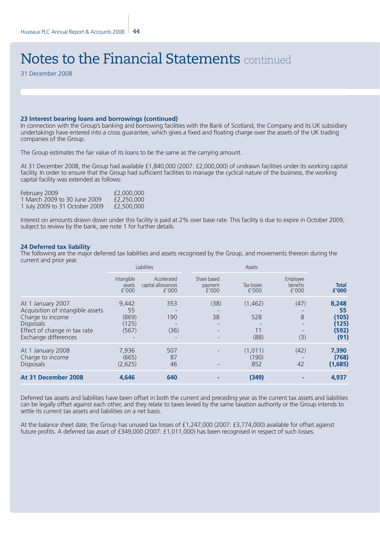31 December 2008

#### **23 Interest bearing loans and borrowings (continued)**

In connection with the Group's banking and borrowing facilities with the Bank of Scotland, the Company and its UK subsidiary undertakings have entered into a cross guarantee, which gives a fixed and floating charge over the assets of the UK trading companies of the Group.

The Group estimates the fair value of its loans to be the same as the carrying amount.

At 31 December 2008, the Group had available £1,840,000 (2007: £2,000,000) of undrawn facilities under its working capital facility. In order to ensure that the Group had sufficient facilities to manage the cyclical nature of the business, the working capital facility was extended as follows:

February 2009 **E2,000,000**<br>1 March 2009 to 30 June 2009 **E2.250.000** 1 March 2009 to 30 June 2009 £2,250,000 1 July 2009 to 31 October 2009

Interest on amounts drawn down under this facility is paid at 2% over base rate. This facility is due to expire in October 2009, subject to review by the bank, see note 1 for further details.

#### **24 Deferred tax liability**

The following are the major deferred tax liabilities and assets recognised by the Group, and movements thereon during the current and prior year.

|                                                                                                                                                       | Liabilities                            |                                            |                                 | Assets                        |                               |                                                |
|-------------------------------------------------------------------------------------------------------------------------------------------------------|----------------------------------------|--------------------------------------------|---------------------------------|-------------------------------|-------------------------------|------------------------------------------------|
|                                                                                                                                                       | Intangible<br>assets<br>f'000          | Accelerated<br>capital allowances<br>f'000 | Share based<br>payment<br>f'000 | Tax losses<br>f'000           | Employee<br>benefits<br>f'000 | <b>Total</b><br>£'000                          |
| At 1 January 2007<br>Acquisition of intangible assets<br>Charge to income<br><b>Disposals</b><br>Effect of change in tax rate<br>Exchange differences | 9,442<br>55<br>(869)<br>(125)<br>(567) | 353<br>190<br>(36)                         | (38)<br>38                      | (1, 462)<br>528<br>11<br>(88) | (47)<br>8<br>(3)              | 8,248<br>55<br>(105)<br>(125)<br>(592)<br>(91) |
| At 1 January 2008<br>Charge to income<br><b>Disposals</b>                                                                                             | 7,936<br>(665)<br>(2,625)              | 507<br>87<br>46                            |                                 | (1,011)<br>(190)<br>852       | (42)<br>42                    | 7,390<br>(768)<br>(1,685)                      |
| At 31 December 2008                                                                                                                                   | 4,646                                  | 640                                        |                                 | (349)                         |                               | 4,937                                          |

Deferred tax assets and liabilities have been offset in both the current and preceding year as the current tax assets and liabilities can be legally offset against each other, and they relate to taxes levied by the same taxation authority or the Group intends to settle its current tax assets and liabilities on a net basis.

At the balance sheet date, the Group has unused tax losses of £1,247,000 (2007: £3,774,000) available for offset against future profits. A deferred tax asset of £349,000 (2007: £1,011,000) has been recognised in respect of such losses.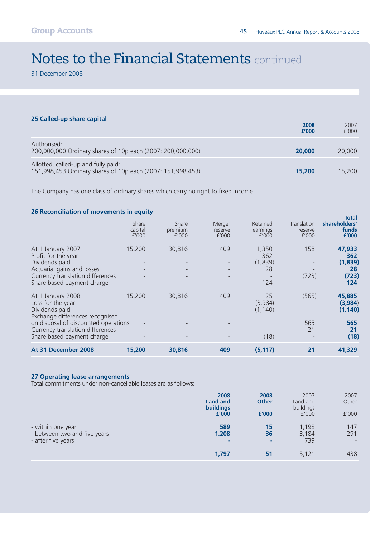31 December 2008

### **25 Called-up share capital**

|                                                                                                    | 2008<br>f'000 | 2007<br>f'000 |
|----------------------------------------------------------------------------------------------------|---------------|---------------|
| Authorised:<br>200,000,000 Ordinary shares of 10p each (2007: 200,000,000)                         | 20,000        | 20,000        |
| Allotted, called-up and fully paid:<br>151,998,453 Ordinary shares of 10p each (2007: 151,998,453) | 15,200        | 15,200        |

The Company has one class of ordinary shares which carry no right to fixed income.

#### **26 Reconciliation of movements in equity**

|                                                                                                                                                                                                       | Share<br>capital<br>f'000 | Share<br>premium<br>f'000 | Merger<br>reserve<br>f'000 | Retained<br>earnings<br>f'000        | <b>Translation</b><br>reserve<br>f'000 | <b>Total</b><br>shareholders'<br>funds<br>£'000    |
|-------------------------------------------------------------------------------------------------------------------------------------------------------------------------------------------------------|---------------------------|---------------------------|----------------------------|--------------------------------------|----------------------------------------|----------------------------------------------------|
| At 1 January 2007<br>Profit for the year<br>Dividends paid<br>Actuarial gains and losses<br>Currency translation differences<br>Share based payment charge                                            | 15,200                    | 30,816                    | 409                        | 1,350<br>362<br>(1,839)<br>28<br>124 | 158<br>(723)                           | 47,933<br>362<br>(1,839)<br>28<br>(723)<br>124     |
| At 1 January 2008<br>Loss for the year<br>Dividends paid<br>Exchange differences recognised<br>on disposal of discounted operations<br>Currency translation differences<br>Share based payment charge | 15,200                    | 30,816                    | 409                        | 25<br>(3,984)<br>(1, 140)<br>(18)    | (565)<br>565<br>21                     | 45,885<br>(3,984)<br>(1, 140)<br>565<br>21<br>(18) |
| At 31 December 2008                                                                                                                                                                                   | 15,200                    | 30,816                    | 409                        | (5, 117)                             | 21                                     | 41,329                                             |

#### **27 Operating lease arrangements**

Total commitments under non-cancellable leases are as follows:

|                                                                         | 2008<br><b>Land and</b><br>buildings<br>f'000 | 2008<br><b>Other</b><br>£'000        | 2007<br>Land and<br>buildings<br>f'000 | 2007<br>Other<br>f'000 |
|-------------------------------------------------------------------------|-----------------------------------------------|--------------------------------------|----------------------------------------|------------------------|
| - within one year<br>- between two and five years<br>- after five years | 589<br>1,208<br>-                             | 15<br>36<br>$\overline{\phantom{0}}$ | 1,198<br>3,184<br>739                  | 147<br>291<br>$\sim$   |
|                                                                         | 1,797                                         | 51                                   | 5,121                                  | 438                    |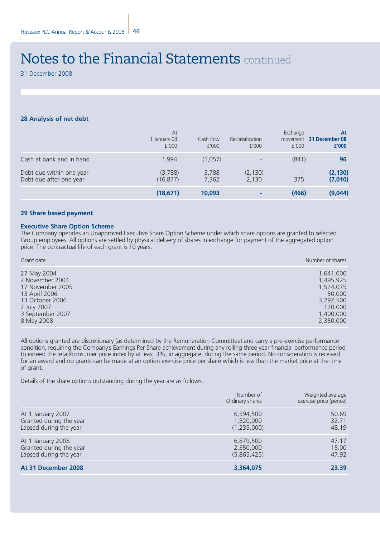31 December 2008

#### **28 Analysis of net debt**

|                                                     | At<br>1 January 08<br>f'000 | Cash flow<br>f'000 | Reclassification<br>f'000 | Exchange<br>f'000               | At<br>movement 31 December 08<br>f'000 |
|-----------------------------------------------------|-----------------------------|--------------------|---------------------------|---------------------------------|----------------------------------------|
| Cash at bank and in hand                            | 1,994                       | (1,057)            | $\overline{\phantom{a}}$  | (841)                           | 96                                     |
| Debt due within one year<br>Debt due after one year | (3,788)<br>(16, 877)        | 3,788<br>7,362     | (2, 130)<br>2,130         | $\overline{\phantom{a}}$<br>375 | (2, 130)<br>(7,010)                    |
|                                                     | (18, 671)                   | 10,093             |                           | (466)                           | (9,044)                                |

#### **29 Share based payment**

#### **Executive Share Option Scheme**

The Company operates an Unapproved Executive Share Option Scheme under which share options are granted to selected Group employees. All options are settled by physical delivery of shares in exchange for payment of the aggregated option price. The contractual life of each grant is 10 years.

| Grant date       | Number of shares |
|------------------|------------------|
| 27 May 2004      | 1,641,000        |
| 2 November 2004  | 1,495,925        |
| 17 November 2005 | 1,524,075        |
| 13 April 2006    | 50,000           |
| 13 October 2006  | 3,292,500        |
| 2 July 2007      | 120,000          |
| 3 September 2007 | 1,400,000        |
| 8 May 2008       | 2,350,000        |

All options granted are discretionary (as determined by the Remuneration Committee) and carry a pre-exercise performance condition, requiring the Company's Earnings Per Share achievement during any rolling three year financial performance period to exceed the retail/consumer price index by at least 3%, in aggregate, during the same period. No consideration is received for an award and no grants can be made at an option exercise price per share which is less than the market price at the time of grant.

Details of the share options outstanding during the year are as follows.

|                         | Number of<br>Ordinary shares | Weighted average<br>exercise price (pence) |
|-------------------------|------------------------------|--------------------------------------------|
| At 1 January 2007       | 6,594,500                    | 50.69                                      |
| Granted during the year | 1,520,000                    | 32.71                                      |
| Lapsed during the year  | (1,235,000)                  | 48.19                                      |
| At 1 January 2008       | 6,879,500                    | 47.17                                      |
| Granted during the year | 2,350,000                    | 15.00                                      |
| Lapsed during the year  | (5,865,425)                  | 47.92                                      |
| At 31 December 2008     | 3,364,075                    | 23.39                                      |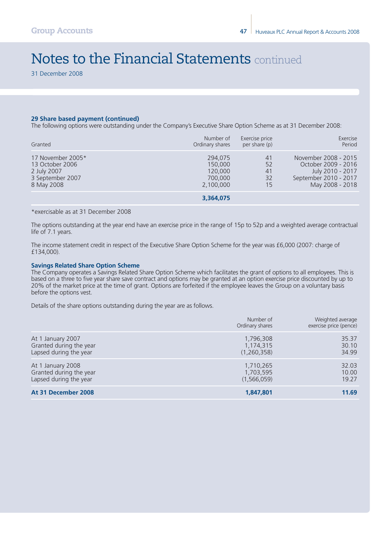31 December 2008

### **29 Share based payment (continued)**

The following options were outstanding under the Company's Executive Share Option Scheme as at 31 December 2008:

| Granted           | Number of       | Exercise price | Exercise              |
|-------------------|-----------------|----------------|-----------------------|
|                   | Ordinary shares | per share (p)  | Period                |
| 17 November 2005* | 294,075         | 41             | November 2008 - 2015  |
| 13 October 2006   | 150,000         | 52             | October 2009 - 2016   |
| 2 July 2007       | 120,000         | 41             | July 2010 - 2017      |
| 3 September 2007  | 700,000         | 32             | September 2010 - 2017 |
| 8 May 2008        | 2,100,000       | 15             | May 2008 - 2018       |
|                   | 3,364,075       |                |                       |

#### \*exercisable as at 31 December 2008

The options outstanding at the year end have an exercise price in the range of 15p to 52p and a weighted average contractual life of 7.1 years.

The income statement credit in respect of the Executive Share Option Scheme for the year was £6,000 (2007: charge of £134,000).

### **Savings Related Share Option Scheme**

The Company operates a Savings Related Share Option Scheme which facilitates the grant of options to all employees. This is based on a three to five year share save contract and options may be granted at an option exercise price discounted by up to 20% of the market price at the time of grant. Options are forfeited if the employee leaves the Group on a voluntary basis before the options vest.

Details of the share options outstanding during the year are as follows.

|                         | Number of<br>Ordinary shares | Weighted average<br>exercise price (pence) |
|-------------------------|------------------------------|--------------------------------------------|
| At 1 January 2007       | 1,796,308                    | 35.37                                      |
| Granted during the year | 1,174,315                    | 30.10                                      |
| Lapsed during the year  | (1,260,358)                  | 34.99                                      |
| At 1 January 2008       | 1,710,265                    | 32.03                                      |
| Granted during the year | 1,703,595                    | 10.00                                      |
| Lapsed during the year  | (1, 566, 059)                | 19.27                                      |
| At 31 December 2008     | 1,847,801                    | 11.69                                      |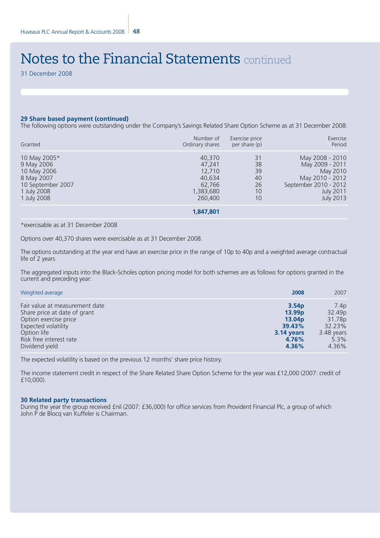31 December 2008

### **29 Share based payment (continued)**

The following options were outstanding under the Company's Savings Related Share Option Scheme as at 31 December 2008:

| Granted           | Number of       | Exercise price | Exercise              |
|-------------------|-----------------|----------------|-----------------------|
|                   | Ordinary shares | per share (p)  | Period                |
| 10 May 2005*      | 40,370          | 31             | May 2008 - 2010       |
| 9 May 2006        | 47.241          | 38             | May 2009 - 2011       |
| 10 May 2006       | 12.710          | 39             | May 2010              |
| 8 May 2007        | 40.634          | 40             | May 2010 - 2012       |
| 10 September 2007 | 62.766          | 26             | September 2010 - 2012 |
| 1 July 2008       | 1,383,680       | 10             | <b>July 2011</b>      |
| 1 July 2008       | 260,400         | 10             | <b>July 2013</b>      |
|                   | 1,847,801       |                |                       |

\*exercisable as at 31 December 2008

Options over 40,370 shares were exercisable as at 31 December 2008.

The options outstanding at the year end have an exercise price in the range of 10p to 40p and a weighted average contractual life of 2 years

The aggregated inputs into the Black-Scholes option pricing model for both schemes are as follows for options granted in the current and preceding year:

| Weighted average               | 2008               | 2007       |
|--------------------------------|--------------------|------------|
| Fair value at measurement date | 3.54 <sub>p</sub>  | 7.4p       |
| Share price at date of grant   | 13.99 <sub>p</sub> | 32.49p     |
| Option exercise price          | 13.04 <sub>p</sub> | 31.78p     |
| Expected volatility            | 39.43%             | 32.23%     |
| Option life                    | 3.14 years         | 3.48 years |
| Risk free interest rate        | 4.76%              | $5.3\%$    |
| Dividend yield                 | 4.36%              | 4.36%      |

The expected volatility is based on the previous 12 months' share price history.

The income statement credit in respect of the Share Related Share Option Scheme for the year was £12,000 (2007: credit of £10,000).

#### **30 Related party transactions**

During the year the group received £nil (2007: £36,000) for office services from Provident Financial Plc, a group of which John P de Blocq van Kuffeler is Chairman.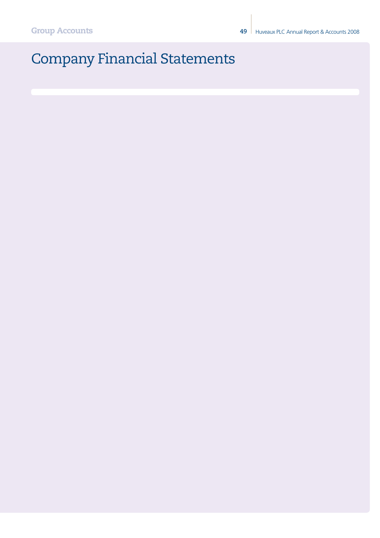# Company Financial Statements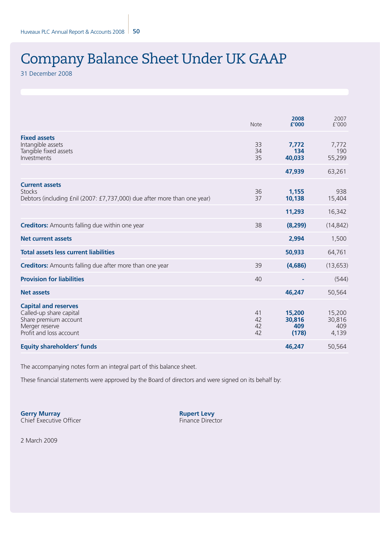# Company Balance Sheet Under UK GAAP

31 December 2008

|                                                                                                                              | <b>Note</b>          | 2008<br>f'000                    | 2007<br>f'000                    |
|------------------------------------------------------------------------------------------------------------------------------|----------------------|----------------------------------|----------------------------------|
| <b>Fixed assets</b><br>Intangible assets<br>Tangible fixed assets<br>Investments                                             | 33<br>34<br>35       | 7.772<br>134<br>40,033           | 7,772<br>190<br>55,299           |
|                                                                                                                              |                      | 47,939                           | 63,261                           |
| <b>Current assets</b><br><b>Stocks</b><br>Debtors (including £nil (2007: £7,737,000) due after more than one year)           | 36<br>37             | 1,155<br>10,138                  | 938<br>15,404                    |
|                                                                                                                              |                      | 11,293                           | 16,342                           |
| <b>Creditors:</b> Amounts falling due within one year                                                                        | 38                   | (8, 299)                         | (14, 842)                        |
| <b>Net current assets</b>                                                                                                    |                      | 2,994                            | 1,500                            |
| <b>Total assets less current liabilities</b>                                                                                 |                      | 50,933                           | 64,761                           |
| <b>Creditors:</b> Amounts falling due after more than one year                                                               | 39                   | (4,686)                          | (13, 653)                        |
| <b>Provision for liabilities</b>                                                                                             | 40                   |                                  | (544)                            |
| <b>Net assets</b>                                                                                                            |                      | 46,247                           | 50,564                           |
| <b>Capital and reserves</b><br>Called-up share capital<br>Share premium account<br>Merger reserve<br>Profit and loss account | 41<br>42<br>42<br>42 | 15,200<br>30,816<br>409<br>(178) | 15,200<br>30,816<br>409<br>4,139 |
| <b>Equity shareholders' funds</b>                                                                                            |                      | 46,247                           | 50,564                           |

The accompanying notes form an integral part of this balance sheet.

These financial statements were approved by the Board of directors and were signed on its behalf by:

**Gerry Murray Rupert Levy** Chief Executive Officer Finance Director

2 March 2009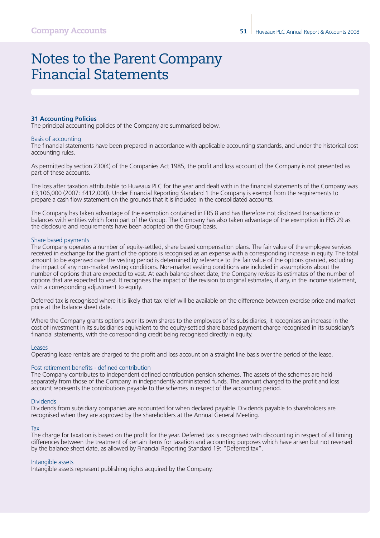#### **31 Accounting Policies**

The principal accounting policies of the Company are summarised below.

#### Basis of accounting

The financial statements have been prepared in accordance with applicable accounting standards, and under the historical cost accounting rules.

As permitted by section 230(4) of the Companies Act 1985, the profit and loss account of the Company is not presented as part of these accounts.

The loss after taxation attributable to Huveaux PLC for the year and dealt with in the financial statements of the Company was £3,106,000 (2007: £412,000). Under Financial Reporting Standard 1 the Company is exempt from the requirements to prepare a cash flow statement on the grounds that it is included in the consolidated accounts.

The Company has taken advantage of the exemption contained in FRS 8 and has therefore not disclosed transactions or balances with entities which form part of the Group. The Company has also taken advantage of the exemption in FRS 29 as the disclosure and requirements have been adopted on the Group basis.

#### Share based payments

The Company operates a number of equity-settled, share based compensation plans. The fair value of the employee services received in exchange for the grant of the options is recognised as an expense with a corresponding increase in equity. The total amount to be expensed over the vesting period is determined by reference to the fair value of the options granted, excluding the impact of any non-market vesting conditions. Non-market vesting conditions are included in assumptions about the number of options that are expected to vest. At each balance sheet date, the Company revises its estimates of the number of options that are expected to vest. It recognises the impact of the revision to original estimates, if any, in the income statement, with a corresponding adjustment to equity.

Deferred tax is recognised where it is likely that tax relief will be available on the difference between exercise price and market price at the balance sheet date.

Where the Company grants options over its own shares to the employees of its subsidiaries, it recognises an increase in the cost of investment in its subsidiaries equivalent to the equity-settled share based payment charge recognised in its subsidiary's financial statements, with the corresponding credit being recognised directly in equity.

#### Leases

Operating lease rentals are charged to the profit and loss account on a straight line basis over the period of the lease.

#### Post retirement benefits - defined contribution

The Company contributes to independent defined contribution pension schemes. The assets of the schemes are held separately from those of the Company in independently administered funds. The amount charged to the profit and loss account represents the contributions payable to the schemes in respect of the accounting period.

#### **Dividends**

Dividends from subsidiary companies are accounted for when declared payable. Dividends payable to shareholders are recognised when they are approved by the shareholders at the Annual General Meeting.

#### Tax

The charge for taxation is based on the profit for the year. Deferred tax is recognised with discounting in respect of all timing differences between the treatment of certain items for taxation and accounting purposes which have arisen but not reversed by the balance sheet date, as allowed by Financial Reporting Standard 19: "Deferred tax".

#### Intangible assets

Intangible assets represent publishing rights acquired by the Company.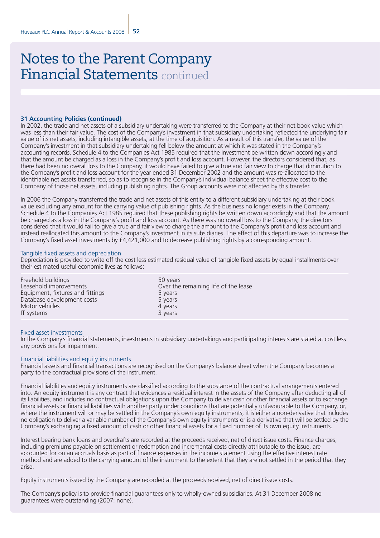#### **31 Accounting Policies (continued)**

In 2002, the trade and net assets of a subsidiary undertaking were transferred to the Company at their net book value which was less than their fair value. The cost of the Company's investment in that subsidiary undertaking reflected the underlying fair value of its net assets, including intangible assets, at the time of acquisition. As a result of this transfer, the value of the Company's investment in that subsidiary undertaking fell below the amount at which it was stated in the Company's accounting records. Schedule 4 to the Companies Act 1985 required that the investment be written down accordingly and that the amount be charged as a loss in the Company's profit and loss account. However, the directors considered that, as there had been no overall loss to the Company, it would have failed to give a true and fair view to charge that diminution to the Company's profit and loss account for the year ended 31 December 2002 and the amount was re-allocated to the identifiable net assets transferred, so as to recognise in the Company's individual balance sheet the effective cost to the Company of those net assets, including publishing rights. The Group accounts were not affected by this transfer.

In 2006 the Company transferred the trade and net assets of this entity to a different subsidiary undertaking at their book value excluding any amount for the carrying value of publishing rights. As the business no longer exists in the Company, Schedule 4 to the Companies Act 1985 required that these publishing rights be written down accordingly and that the amount be charged as a loss in the Company's profit and loss account. As there was no overall loss to the Company, the directors considered that it would fail to give a true and fair view to charge the amount to the Company's profit and loss account and instead reallocated this amount to the Company's investment in its subsidiaries. The effect of this departure was to increase the Company's fixed asset investments by £4,421,000 and to decrease publishing rights by a corresponding amount.

#### Tangible fixed assets and depreciation

Depreciation is provided to write off the cost less estimated residual value of tangible fixed assets by equal installments over their estimated useful economic lives as follows:

| Freehold buildings<br>Leasehold improvements<br>Equipment, fixtures and fittings<br>Database development costs<br>Motor vehicles<br>IT systems | 50 years<br>Over the remaining life of the lease<br>5 years<br>5 years<br>4 years<br>3 years |  |
|------------------------------------------------------------------------------------------------------------------------------------------------|----------------------------------------------------------------------------------------------|--|
|------------------------------------------------------------------------------------------------------------------------------------------------|----------------------------------------------------------------------------------------------|--|

#### Fixed asset investments

In the Company's financial statements, investments in subsidiary undertakings and participating interests are stated at cost less any provisions for impairment.

#### Financial liabilities and equity instruments

Financial assets and financial transactions are recognised on the Company's balance sheet when the Company becomes a party to the contractual provisions of the instrument.

Financial liabilities and equity instruments are classified according to the substance of the contractual arrangements entered into. An equity instrument is any contract that evidences a residual interest in the assets of the Company after deducting all of its liabilities, and includes no contractual obligations upon the Company to deliver cash or other financial assets or to exchange financial assets or financial liabilities with another party under conditions that are potentially unfavourable to the Company, or, where the instrument will or may be settled in the Company's own equity instruments, it is either a non-derivative that includes no obligation to deliver a variable number of the Company's own equity instruments or is a derivative that will be settled by the Company's exchanging a fixed amount of cash or other financial assets for a fixed number of its own equity instruments.

Interest bearing bank loans and overdrafts are recorded at the proceeds received, net of direct issue costs. Finance charges, including premiums payable on settlement or redemption and incremental costs directly attributable to the issue, are accounted for on an accruals basis as part of finance expenses in the income statement using the effective interest rate method and are added to the carrying amount of the instrument to the extent that they are not settled in the period that they arise.

Equity instruments issued by the Company are recorded at the proceeds received, net of direct issue costs.

The Company's policy is to provide financial guarantees only to wholly-owned subsidiaries. At 31 December 2008 no guarantees were outstanding (2007: none).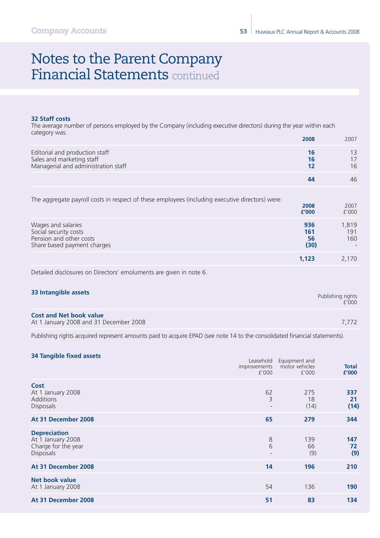### **32 Staff costs**

The average number of persons employed by the Company (including executive directors) during the year within each category was:

|                                                                                                    | 2008 | 2007 |
|----------------------------------------------------------------------------------------------------|------|------|
| Editorial and production staff<br>Sales and marketing staff<br>Managerial and administration staff | 16   | 16   |
|                                                                                                    |      | 46   |

The aggregate payroll costs in respect of these employees (including executive directors) were:

|                                                                                                       | 2008<br>f'000            | 2007<br>f'000                 |
|-------------------------------------------------------------------------------------------------------|--------------------------|-------------------------------|
| Wages and salaries<br>Social security costs<br>Pension and other costs<br>Share based payment charges | 936<br>161<br>56<br>(30) | 1,819<br>191<br>160<br>$\sim$ |
|                                                                                                       | 1,123                    | 2,170                         |

Detailed disclosures on Directors' emoluments are given in note 6.

| <b>33 Intangible assets</b>                                              | Publishing rights<br>f'000 |
|--------------------------------------------------------------------------|----------------------------|
| <b>Cost and Net book value</b><br>At 1 January 2008 and 31 December 2008 | 7.772                      |

Publishing rights acquired represent amounts paid to acquire EPAD (see note 14 to the consolidated financial statements).

| <b>34 Tangible fixed assets</b>                                                     | Leasehold<br>improvements<br>f'000    | Equipment and<br>motor vehicles<br>f'000 | <b>Total</b><br>f'000 |
|-------------------------------------------------------------------------------------|---------------------------------------|------------------------------------------|-----------------------|
| Cost<br>At 1 January 2008<br><b>Additions</b><br><b>Disposals</b>                   | 62<br>$\overline{3}$                  | 275<br>18<br>(14)                        | 337<br>21<br>(14)     |
| At 31 December 2008                                                                 | 65                                    | 279                                      | 344                   |
| <b>Depreciation</b><br>At 1 January 2008<br>Charge for the year<br><b>Disposals</b> | $\begin{array}{c} 8 \\ 6 \end{array}$ | 139<br>66<br>(9)                         | 147<br>72<br>(9)      |
| At 31 December 2008                                                                 | 14                                    | 196                                      | 210                   |
| Net book value<br>At 1 January 2008                                                 | 54                                    | 136                                      | 190                   |
| At 31 December 2008                                                                 | 51                                    | 83                                       | 134                   |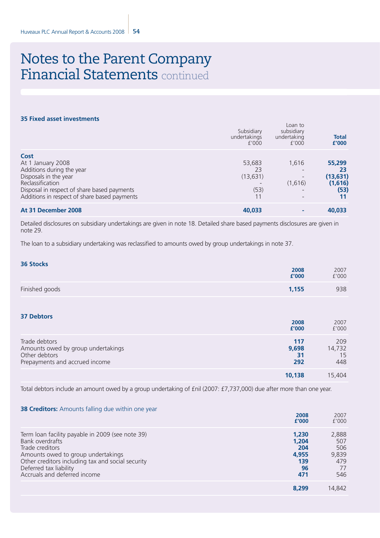### **35 Fixed asset investments**

|                                                                                                                                                                                                    | Subsidiary<br>undertakings<br>f'000 | Loan to<br>subsidiary<br>undertaking<br>f'000 | <b>Total</b><br>f'000                        |
|----------------------------------------------------------------------------------------------------------------------------------------------------------------------------------------------------|-------------------------------------|-----------------------------------------------|----------------------------------------------|
| Cost<br>At 1 January 2008<br>Additions during the year<br>Disposals in the year<br>Reclassification<br>Disposal in respect of share based payments<br>Additions in respect of share based payments | 53,683<br>23<br>(13, 631)<br>(53)   | 1,616<br>(1,616)<br>$\overline{\phantom{a}}$  | 55,299<br>23<br>(13, 631)<br>(1,616)<br>(53) |
| At 31 December 2008                                                                                                                                                                                | 40,033                              |                                               | 40,033                                       |

Detailed disclosures on subsidiary undertakings are given in note 18. Detailed share based payments disclosures are given in note 29.

The loan to a subsidiary undertaking was reclassified to amounts owed by group undertakings in note 37.

### **36 Stocks**

|                   | 2008<br>f'000 | 2007<br>f'000 |
|-------------------|---------------|---------------|
| Finished goods    | 1,155         | 938           |
|                   |               |               |
| <b>37 Debtors</b> | 2008          | 2007          |

|                                                                                                        | f'000                     | f'000                      |
|--------------------------------------------------------------------------------------------------------|---------------------------|----------------------------|
| Trade debtors<br>Amounts owed by group undertakings<br>Other debtors<br>Prepayments and accrued income | 117<br>9,698<br>31<br>292 | 209<br>14,732<br>15<br>448 |
|                                                                                                        | 10,138                    | 15,404                     |

Total debtors include an amount owed by a group undertaking of £nil (2007: £7,737,000) due after more than one year.

### **38 Creditors:** Amounts falling due within one year

|                                                                                                                                                                                                                                             | 2008<br>f'000                                      | 2007<br>f'000                                    |
|---------------------------------------------------------------------------------------------------------------------------------------------------------------------------------------------------------------------------------------------|----------------------------------------------------|--------------------------------------------------|
| Term loan facility payable in 2009 (see note 39)<br>Bank overdrafts<br>Trade creditors<br>Amounts owed to group undertakings<br>Other creditors including tax and social security<br>Deferred tax liability<br>Accruals and deferred income | 1,230<br>1,204<br>204<br>4,955<br>139<br>96<br>471 | 2,888<br>507<br>506<br>9,839<br>479<br>77<br>546 |
|                                                                                                                                                                                                                                             | 8,299                                              | 14.842                                           |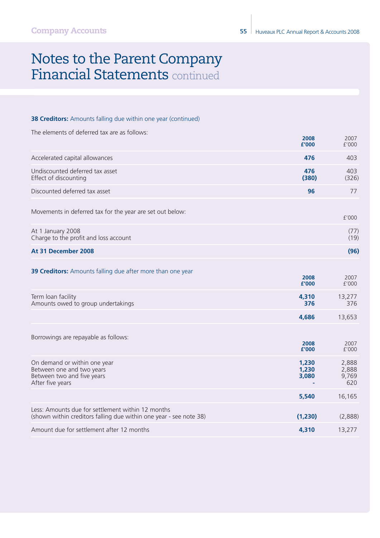**2008** 2007

### Notes to the Parent Company Financial Statements continued

### **38 Creditors:** Amounts falling due within one year (continued)

The elements of deferred tax are as follows:

|                                                                                                                         | £'000                   | f'000                          |
|-------------------------------------------------------------------------------------------------------------------------|-------------------------|--------------------------------|
| Accelerated capital allowances                                                                                          | 476                     | 403                            |
| Undiscounted deferred tax asset<br>Effect of discounting                                                                | 476<br>(380)            | 403<br>(326)                   |
| Discounted deferred tax asset                                                                                           | 96                      | 77                             |
| Movements in deferred tax for the year are set out below:                                                               |                         | f'000                          |
| At 1 January 2008<br>Charge to the profit and loss account                                                              |                         | (77)<br>(19)                   |
| At 31 December 2008                                                                                                     |                         | (96)                           |
| 39 Creditors: Amounts falling due after more than one year                                                              | 2008<br>f'000           | 2007<br>f'000                  |
| Term loan facility<br>Amounts owed to group undertakings                                                                | 4,310<br>376            | 13,277<br>376                  |
|                                                                                                                         | 4,686                   | 13,653                         |
| Borrowings are repayable as follows:                                                                                    | 2008<br>f'000           | 2007<br>f'000                  |
| On demand or within one year<br>Between one and two years<br>Between two and five years<br>After five years             | 1,230<br>1,230<br>3,080 | 2,888<br>2,888<br>9,769<br>620 |
|                                                                                                                         | 5,540                   | 16,165                         |
| Less: Amounts due for settlement within 12 months<br>(shown within creditors falling due within one year - see note 38) | (1,230)                 | (2,888)                        |
| Amount due for settlement after 12 months                                                                               | 4,310                   | 13,277                         |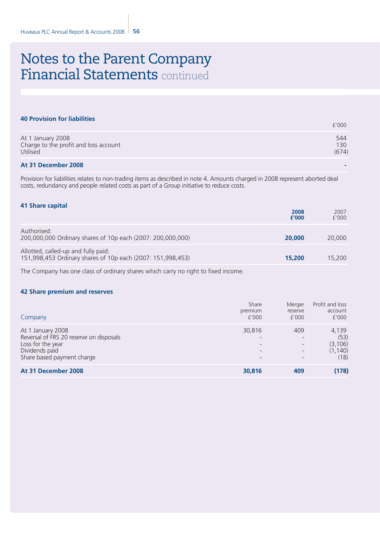### **40 Provision for liabilities**

| At 31 December 2008                                                    |                     |
|------------------------------------------------------------------------|---------------------|
| At 1 January 2008<br>Charge to the profit and loss account<br>Utilised | 544<br>130<br>(674) |
|                                                                        | L'UUU               |

 $\overline{C}$ 

Provision for liabilities relates to non-trading items as described in note 4. Amounts charged in 2008 represent aborted deal costs, redundancy and people related costs as part of a Group initiative to reduce costs.

### **41 Share capital**

|                                                                                                    | 2008<br>f'000 | 2007<br>f'000 |
|----------------------------------------------------------------------------------------------------|---------------|---------------|
| Authorised:<br>200,000,000 Ordinary shares of 10p each (2007: 200,000,000)                         | 20,000        | 20,000        |
| Allotted, called-up and fully paid:<br>151,998,453 Ordinary shares of 10p each (2007: 151,998,453) | 15,200        | 15,200        |

The Company has one class of ordinary shares which carry no right to fixed income.

#### **42 Share premium and reserves**

| Company                                                                                                                           | Share<br>premium<br>f'000          | Merger<br>reserve<br>f'000                                                                                          | Profit and loss<br>account<br>f'000           |
|-----------------------------------------------------------------------------------------------------------------------------------|------------------------------------|---------------------------------------------------------------------------------------------------------------------|-----------------------------------------------|
| At 1 January 2008<br>Reversal of FRS 20 reserve on disposals<br>Loss for the year<br>Dividends paid<br>Share based payment charge | 30,816<br>$\overline{\phantom{0}}$ | 409<br>$\overline{\phantom{a}}$<br>$\overline{\phantom{0}}$<br>$\overline{\phantom{a}}$<br>$\overline{\phantom{0}}$ | 4,139<br>(53)<br>(3, 106)<br>(1, 140)<br>(18) |
| At 31 December 2008                                                                                                               | 30,816                             | 409                                                                                                                 | (178)                                         |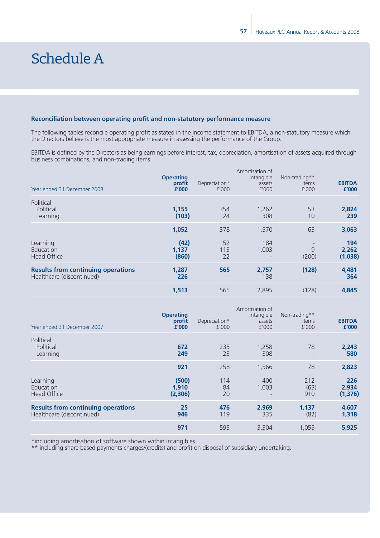### Schedule A

### **Reconciliation between operating profit and non-statutory performance measure**

The following tables reconcile operating profit as stated in the income statement to EBITDA, a non-statutory measure which the Directors believe is the most appropriate measure in assessing the performance of the Group.

EBITDA is defined by the Directors as being earnings before interest, tax, depreciation, amortisation of assets acquired through business combinations, and non-trading items.

| Year ended 31 December 2008                                            | <b>Operating</b><br>profit<br>f'000 | Depreciation*<br>f'000 | Amortisation of<br>intangible<br>assets<br>f'000 | Non-trading**<br>items<br>f'000 | <b>EBITDA</b><br>£'000  |
|------------------------------------------------------------------------|-------------------------------------|------------------------|--------------------------------------------------|---------------------------------|-------------------------|
| Political<br>Political<br>Learning                                     | 1,155<br>(103)                      | 354<br>24              | 1,262<br>308                                     | 53<br>10                        | 2,824<br>239            |
|                                                                        | 1,052                               | 378                    | 1,570                                            | 63                              | 3,063                   |
| Learning<br>Education<br><b>Head Office</b>                            | (42)<br>1,137<br>(860)              | 52<br>113<br>22        | 184<br>1,003                                     | 9<br>(200)                      | 194<br>2,262<br>(1,038) |
| <b>Results from continuing operations</b><br>Healthcare (discontinued) | 1,287<br>226                        | 565                    | 2,757<br>138                                     | (128)                           | 4,481<br>364            |
|                                                                        | 1,513                               | 565                    | 2,895                                            | (128)                           | 4,845                   |

| Year ended 31 December 2007                                            | <b>Operating</b><br>profit<br>f'000 | Depreciation*<br>f'000 | Amortisation of<br>intangible<br>assets<br>f'000 | Non-trading**<br>items<br>f'000 | <b>EBITDA</b><br>£'000   |
|------------------------------------------------------------------------|-------------------------------------|------------------------|--------------------------------------------------|---------------------------------|--------------------------|
| Political<br>Political<br>Learning                                     | 672<br>249                          | 235<br>23              | 1,258<br>308                                     | 78<br>$\overline{\phantom{a}}$  | 2,243<br>580             |
|                                                                        | 921                                 | 258                    | 1,566                                            | 78                              | 2,823                    |
| Learning<br>Education<br><b>Head Office</b>                            | (500)<br>1,910<br>(2,306)           | 114<br>84<br>20        | 400<br>1,003                                     | 212<br>(63)<br>910              | 226<br>2,934<br>(1, 376) |
| <b>Results from continuing operations</b><br>Healthcare (discontinued) | 25<br>946                           | 476<br>119             | 2,969<br>335                                     | 1,137<br>(82)                   | 4,607<br>1,318           |
|                                                                        | 971                                 | 595                    | 3,304                                            | 1,055                           | 5,925                    |

\*including amortisation of software shown within intangibles.

\*\* including share based payments charges/(credits) and profit on disposal of subsidiary undertaking.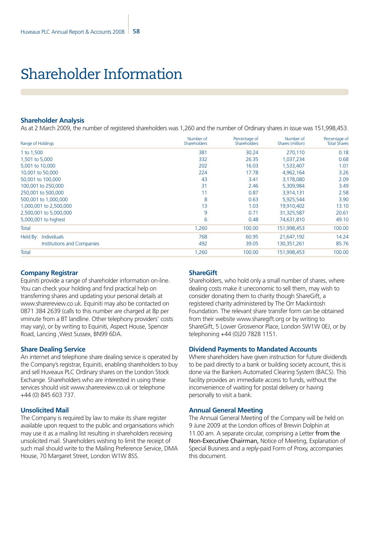# Shareholder Information

### **Shareholder Analysis**

As at 2 March 2009, the number of registered shareholders was 1,260 and the number of Ordinary shares in issue was 151,998,453.

| Range of Holdings          | Number of<br>Shareholders | Percentage of<br><b>Shareholders</b> | Number of<br>Shares (million) | Percentage of<br><b>Total Shares</b> |
|----------------------------|---------------------------|--------------------------------------|-------------------------------|--------------------------------------|
| 1 to 1,500                 | 381                       | 30.24                                | 270,110                       | 0.18                                 |
| 1,501 to 5,000             | 332                       | 26.35                                | 1,037,234                     | 0.68                                 |
| 5,001 to 10,000            | 202                       | 16.03                                | 1,533,407                     | 1.01                                 |
| 10,001 to 50,000           | 224                       | 17.78                                | 4,962,164                     | 3.26                                 |
| 50,001 to 100,000          | 43                        | 3.41                                 | 3,178,080                     | 2.09                                 |
| 100,001 to 250,000         | 31                        | 2.46                                 | 5,309,984                     | 3.49                                 |
| 250,001 to 500,000         | 11                        | 0.87                                 | 3,914,131                     | 2.58                                 |
| 500,001 to 1,000,000       | 8                         | 0.63                                 | 5,925,544                     | 3.90                                 |
| 1,000,001 to 2,500,000     | 13                        | 1.03                                 | 19,910,402                    | 13.10                                |
| 2,500,001 to 5,000,000     | 9                         | 0.71                                 | 31,325,587                    | 20.61                                |
| 5,000,001 to highest       | 6                         | 0.48                                 | 74,631,810                    | 49.10                                |
| <b>Total</b>               | 1,260                     | 100.00                               | 151,998,453                   | 100.00                               |
| Individuals<br>Held By:    | 768                       | 60.95                                | 21,647,192                    | 14.24                                |
| Institutions and Companies | 492                       | 39.05                                | 130,351,261                   | 85.76                                |
| <b>Total</b>               | 1,260                     | 100.00                               | 151,998,453                   | 100.00                               |

#### **Company Registrar**

Equiniti provide a range of shareholder information on-line. You can check your holding and find practical help on transferring shares and updating your personal details at www.sharereview.co.uk. Equiniti may also be contacted on 0871 384 2639 (calls to this number are charged at 8p per vminute from a BT landline. Other telephony providers' costs may vary), or by writing to Equiniti, Aspect House, Spencer Road, Lancing ,West Sussex, BN99 6DA.

#### **Share Dealing Service**

An internet and telephone share dealing service is operated by the Company's registrar, Equiniti, enabling shareholders to buy and sell Huveaux PLC Ordinary shares on the London Stock Exchange. Shareholders who are interested in using these services should visit www.sharereview.co.uk or telephone +44 (0) 845 603 737.

#### **Unsolicited Mail**

The Company is required by law to make its share register available upon request to the public and organisations which may use it as a mailing list resulting in shareholders receiving unsolicited mail. Shareholders wishing to limit the receipt of such mail should write to the Mailing Preference Service, DMA House, 70 Margaret Street, London W1W 8SS.

#### **ShareGift**

Shareholders, who hold only a small number of shares, where dealing costs make it uneconomic to sell them, may wish to consider donating them to charity though ShareGift, a registered charity administered by The Orr Mackintosh Foundation. The relevant share transfer form can be obtained from their website www.sharegift.org or by writing to ShareGift, 5 Lower Grosvenor Place, London SW1W 0EJ, or by telephoning +44 (0)20 7828 1151.

#### **Dividend Payments to Mandated Accounts**

Where shareholders have given instruction for future dividends to be paid directly to a bank or building society account, this is done via the Bankers Automated Clearing System (BACS). This facility provides an immediate access to funds, without the inconvenience of waiting for postal delivery or having personally to visit a bank.

#### **Annual General Meeting**

The Annual General Meeting of the Company will be held on 9 June 2009 at the London offices of Brewin Dolphin at 11.00 am. A separate circular, comprising a Letter from the Non-Executive Chairman, Notice of Meeting, Explanation of Special Business and a reply-paid Form of Proxy, accompanies this document.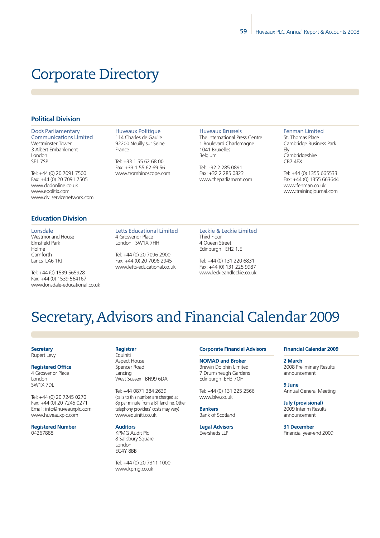### Corporate Directory

#### **Political Division**

Dods Parliamentary Communications Limited Westminster Tower 3 Albert Embankment London SE1 7SP

Tel: +44 (0) 20 7091 7500 Fax: +44 (0) 20 7091 7505 www.dodonline.co.uk www.epolitix.com www.civilservicenetwork.com

#### **Education Division**

#### Lonsdale

Westmorland House Elmsfield Park Holme Carnforth Lancs LA6 1RJ

Tel: +44 (0) 1539 565928 Fax: +44 (0) 1539 564167 www.lonsdale-educational.co.uk Huveaux Politique 114 Charles de Gaulle 92200 Neuilly sur Seine France

Tel: +33 1 55 62 68 00 Fax: +33 1 55 62 69 56 www.trombinoscope.com

Huveaux Brussels The International Press Centre 1 Boulevard Charlemagne 1041 Bruxelles Belgium

Tel: +32 2 285 0891 Fax: +32 2 285 0823 www.theparliament.com

#### Fenman Limited St. Thomas Place Cambridge Business Park Ely Cambridgeshire CB7 4EX

Tel: +44 (0) 1355 665533 Fax: +44 (0) 1355 663644 www.fenman.co.uk www.trainingjournal.com

Letts Educational Limited 4 Grosvenor Place London SW1X 7HH

Tel: +44 (0) 20 7096 2900 Fax: +44 (0) 20 7096 2945 www.letts-educational.co.uk

Leckie & Leckie Limited Third Floor 4 Queen Street Edinburgh EH2 1JE

Tel: +44 (0) 131 220 6831 Fax: +44 (0) 131 225 9987 www.leckieandleckie.co.uk

### Secretary, Advisors and Financial Calendar 2009

**Secretary** Rupert Levy

#### **Registered Office**

4 Grosvenor Place London SW1X 7DL

Tel: +44 (0) 20 7245 0270 Fax: +44 (0) 20 7245 0271 Email: info@huveauxplc.com www.huveauxplc.com

**Registered Number** 04267888

#### **Registrar Equiniti**

Aspect House Spencer Road Lancing West Sussex BN99 6DA

Tel: +44 0871 384 2639 (calls to this number are charged at 8p per minute from a BT landline. Other telephony providers' costs may vary) www.equiniti.co.uk

#### **Auditors**

KPMG Audit Plc 8 Salisbury Square London EC4Y 8BB

Tel: +44 (0) 20 7311 1000 www.kpmg.co.uk

#### **Corporate Financial Advisors**

**NOMAD and Broker** Brewin Dolphin Limited 7 Drumsheugh Gardens Edinburgh EH3 7QH

Tel: +44 (0) 131 225 2566 www.blw.co.uk

**Bankers** Bank of Scotland

**Legal Advisors** Eversheds LLP

#### **Financial Calendar 2009**

**2 March** 2008 Preliminary Results announcement

**9 June** Annual General Meeting

**July (provisional)** 2009 Interim Results announcement

**31 December** Financial year-end 2009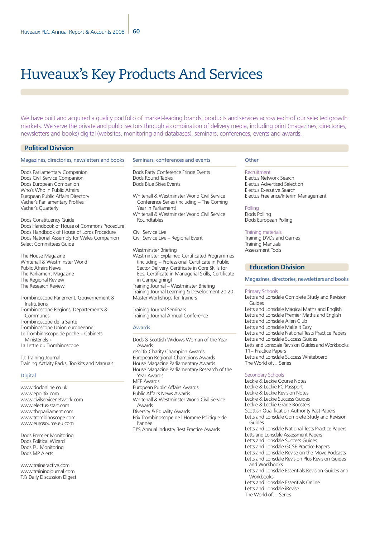### Huveaux's Key Products And Services

We have built and acquired a quality portfolio of market-leading brands, products and services across each of our selected growth markets. We serve the private and public sectors through a combination of delivery media, including print (magazines, directories, newsletters and books) digital (websites, monitoring and databases), seminars, conferences, events and awards.

### **Political Division**

#### Magazines, directories, newsletters and books

Dods Parliamentary Companion Dods Civil Service Companion Dods European Companion Who's Who in Public Affairs European Public Affairs Directory Vacher's Parliamentary Profiles Vacher's Quarterly

Dods Constituency Guide Dods Handbook of House of Commons Procedure Dods Handbook of House of Lords Procedure Dods National Assembly for Wales Companion Select Committees Guide

The House Magazine Whitehall & Westminster World Public Affairs News The Parliament Magazine The Regional Review The Research Review

Trombinoscope Parlement, Gouvernement & Institutions Trombinoscope Régions, Départements & **Communes** Trombinoscope de la Santé Trombinoscope Union européenne Le Trombinoscope de poche « Cabinets Ministériels » La Lettre du Trombinoscope

TJ: Training Journal Training Activity Packs, Toolkits and Manuals

#### **Digital**

www.dodonline.co.uk www.epolitix.com www.civilservicenetwork.com www.electus-start.com www.theparliament.com www.trombinoscope.com www.eurosource.eu.com

Dods Premier Monitoring Dods Political Wizard Dods EU Monitoring Dods MP Alerts

www.traineractive.com www.trainingjournal.com TJ's Daily Discussion Digest

#### Seminars, conferences and events

Dods Party Conference Fringe Events Dods Round Tables Dods Blue Skies Events

Whitehall & Westminster World Civil Service Conference Series (including – The Coming Year in Parliament) Whitehall & Westminster World Civil Service Roundtables

Civil Service Live Civil Service Live – Regional Event

Westminster Briefing Westminster Explained Certificated Programmes (including – Professional Certificate in Public Sector Delivery, Certificate in Core Skills for Eos, Certificate in Managerial Skills, Certificate in Campaigning) Training Journal – Westminster Briefing Training Journal Learning & Development 20:20 Master Workshops for Trainers

Training Journal Seminars Training Journal Annual Conference

#### Awards

Dods & Scottish Widows Woman of the Year Awards ePolitix Charity Champion Awards European Regional Champions Awards House Magazine Parliamentary Awards House Magazine Parliamentary Research of the Year Awards MEP Awards European Public Affairs Awards Public Affairs News Awards Whitehall & Westminster World Civil Service Awards Diversity & Equality Awards Prix Trombinoscope de l'Homme Politique de l'année TJ'S Annual Industry Best Practice Awards

### **Other**

Recruitment

Electus Network Search Electus Advertised Selection Electus Executive Search Electus Freelance/Interim Management

Polling Dods Polling Dods European Polling

Training materials Training DVDs and Games Training Manuals Assessment Tools

#### **Education Division**

Magazines, directories, newsletters and books

#### Primary Schools

Letts and Lonsdale Complete Study and Revision Guides Letts and Lonsdale Magical Maths and English Letts and Lonsdale Premier Maths and English Letts and Lonsdale Alien Club Letts and Lonsdale Make It Easy Letts and Lonsdale National Tests Practice Papers Letts and Lonsdale Success Guides Letts and Lonsdale Revision Guides and Workbooks 11+ Practice Papers Letts and Lonsdale Success Whiteboard The World of… Series

#### Secondary Schools

Leckie & Leckie Course Notes Leckie & Leckie PC Passport Leckie & Leckie Revision Notes Leckie & Leckie Success Guides Leckie & Leckie Grade Boosters Scottish Qualification Authority Past Papers Letts and Lonsdale Complete Study and Revision Guides Letts and Lonsdale National Tests Practice Papers Letts and Lonsdale Assessment Papers Letts and Lonsdale Success Guides Letts and Lonsdale GCSE Practice Papers Letts and Lonsdale Revise on the Move Podcasts Letts and Lonsdale Revision Plus Revision Guides and Workbooks Letts and Lonsdale Essentials Revision Guides and Workbooks Letts and Lonsdale Essentials Online Letts and Lonsdale iRevise The World of… Series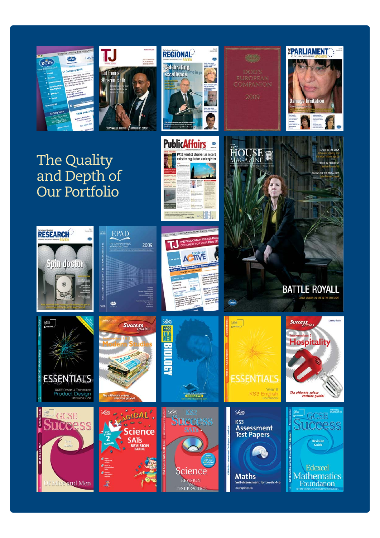